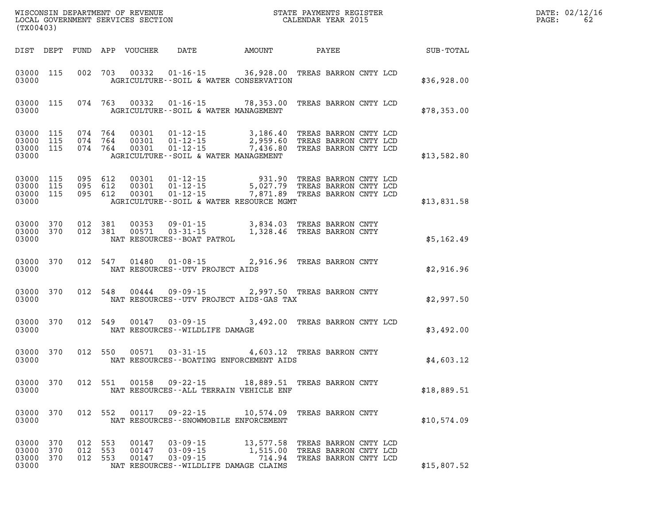| (TX00403)                            |            |                               |  |                                             |  |  |                                                                                                                                                                                                                                                 |  |  |  |  |             | $\mathtt{PAGE:}$ | DATE: 02/12/16<br>62 |
|--------------------------------------|------------|-------------------------------|--|---------------------------------------------|--|--|-------------------------------------------------------------------------------------------------------------------------------------------------------------------------------------------------------------------------------------------------|--|--|--|--|-------------|------------------|----------------------|
|                                      |            |                               |  |                                             |  |  | DIST DEPT FUND APP VOUCHER DATE AMOUNT PAYEE                                                                                                                                                                                                    |  |  |  |  | SUB-TOTAL   |                  |                      |
| 03000                                |            |                               |  |                                             |  |  | 03000 115 002 703 00332 01-16-15 36,928.00 TREAS BARRON CNTY LCD<br>AGRICULTURE--SOIL & WATER CONSERVATION                                                                                                                                      |  |  |  |  | \$36,928.00 |                  |                      |
| 03000                                |            |                               |  |                                             |  |  | 03000 115 074 763 00332 01-16-15 78,353.00 TREAS BARRON CNTY LCD<br>AGRICULTURE--SOIL & WATER MANAGEMENT                                                                                                                                        |  |  |  |  | \$78,353.00 |                  |                      |
| 03000                                |            |                               |  |                                             |  |  | 03000 115 074 764 00301 01-12-15 3,186.40 TREAS BARRON CNTY LCD<br>03000 115 074 764 00301 01-12-15 2,959.60 TREAS BARRON CNTY LCD<br>03000 115 074 764 00301 01-12-15 7,436.80 TREAS BARRON CNTY LCD<br>AGRICULTURE -- SOIL & WATER MANAGEMENT |  |  |  |  | \$13,582.80 |                  |                      |
| 03000                                |            |                               |  |                                             |  |  | 03000 115 095 612 00301 01-12-15 931.90 TREAS BARRON CNTY LCD<br>03000 115 095 612 00301 01-12-15 5,027.79 TREAS BARRON CNTY LCD<br>03000 115 095 612 00301 01-12-15 7,871.89 TREAS BARRON CNTY LCD<br>AGRICULTURE--SOIL & WATER RESOURCE MGMT  |  |  |  |  | \$13,831.58 |                  |                      |
| 03000                                |            |                               |  | NAT RESOURCES - - BOAT PATROL               |  |  | 03000 370 012 381 00353 09-01-15 3,834.03 TREAS BARRON CNTY<br>03000 370 012 381 00571 03-31-15 1,328.46 TREAS BARRON CNTY                                                                                                                      |  |  |  |  | \$5,162.49  |                  |                      |
| 03000                                |            |                               |  | NAT RESOURCES--UTV PROJECT AIDS             |  |  | 03000 370 012 547 01480 01-08-15 2,916.96 TREAS BARRON CNTY                                                                                                                                                                                     |  |  |  |  | \$2,916.96  |                  |                      |
| 03000                                |            |                               |  |                                             |  |  | 03000 370 012 548 00444 09-09-15 2,997.50 TREAS BARRON CNTY<br>NAT RESOURCES--UTV PROJECT AIDS-GAS TAX                                                                                                                                          |  |  |  |  | \$2,997.50  |                  |                      |
| 03000                                |            |                               |  | NAT RESOURCES - - WILDLIFE DAMAGE           |  |  | 03000 370 012 549 00147 03-09-15 3,492.00 TREAS BARRON CNTY LCD                                                                                                                                                                                 |  |  |  |  | \$3,492.00  |                  |                      |
| 03000                                |            |                               |  |                                             |  |  | 03000 370 012 550 00571 03-31-15 4,603.12 TREAS BARRON CNTY<br>NAT RESOURCES--BOATING ENFORCEMENT AIDS                                                                                                                                          |  |  |  |  | \$4,603.12  |                  |                      |
| 03000                                |            |                               |  |                                             |  |  | 03000 370 012 551 00158 09-22-15 18,889.51 TREAS BARRON CNTY<br>NAT RESOURCES -- ALL TERRAIN VEHICLE ENF                                                                                                                                        |  |  |  |  | \$18,889.51 |                  |                      |
| 03000 370<br>03000                   |            |                               |  |                                             |  |  | 012 552 00117 09-22-15 10,574.09 TREAS BARRON CNTY<br>NAT RESOURCES - - SNOWMOBILE ENFORCEMENT                                                                                                                                                  |  |  |  |  | \$10,574.09 |                  |                      |
| 03000 370<br>03000<br>03000<br>03000 | 370<br>370 | 012 553<br>012 553<br>012 553 |  | $00147$ 03-09-15<br>00147 03-09-15<br>00147 |  |  | 13,577.58 TREAS BARRON CNTY LCD<br>1,515.00 TREAS BARRON CNTY LCD<br>03-09-15 714.94 TREAS BARRON CNTY LCD<br>NAT RESOURCES--WILDLIFE DAMAGE CLAIMS                                                                                             |  |  |  |  | \$15,807.52 |                  |                      |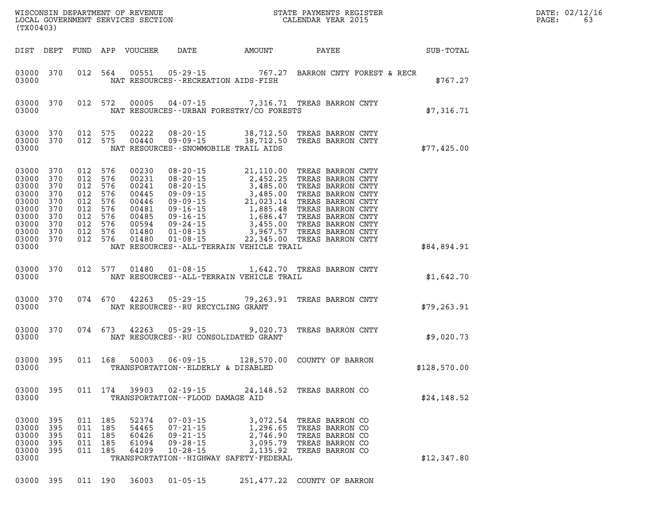| $\mathtt{DATE}$ : | 02/12/16 |
|-------------------|----------|
| PAGE:             | 63       |

| (TX00403)                                                                                              |                                              |                                             |            |                                           |                                                                                        |                                                                                                         |                                                                                                                                                                                                                                       | WISCONSIN DEPARTMENT OF REVENUE<br>LOCAL GOVERNMENT SERVICES SECTION<br>(TYAOAAQ) | DATE: 02/12/1<br>$\mathtt{PAGE:}$<br>63 |
|--------------------------------------------------------------------------------------------------------|----------------------------------------------|---------------------------------------------|------------|-------------------------------------------|----------------------------------------------------------------------------------------|---------------------------------------------------------------------------------------------------------|---------------------------------------------------------------------------------------------------------------------------------------------------------------------------------------------------------------------------------------|-----------------------------------------------------------------------------------|-----------------------------------------|
|                                                                                                        |                                              |                                             |            |                                           |                                                                                        |                                                                                                         |                                                                                                                                                                                                                                       | DIST DEPT FUND APP VOUCHER DATE AMOUNT PAYEE SUB-TOTAL                            |                                         |
| 03000                                                                                                  |                                              |                                             |            |                                           |                                                                                        | NAT RESOURCES - - RECREATION AIDS - FISH                                                                | 03000 370 012 564 00551 05-29-15 767.27 BARRON CNTY FOREST & RECR                                                                                                                                                                     | \$767.27                                                                          |                                         |
| 03000                                                                                                  |                                              |                                             |            |                                           |                                                                                        |                                                                                                         | 03000 370 012 572 00005 04-07-15 7,316.71 TREAS BARRON CNTY<br>NAT RESOURCES - URBAN FORESTRY/CO FORESTS                                                                                                                              | \$7,316.71                                                                        |                                         |
| 03000                                                                                                  |                                              |                                             |            |                                           |                                                                                        | NAT RESOURCES - SNOWMOBILE TRAIL AIDS                                                                   | $\begin{array}{cccc} 03000& 370& 012& 575& 00222& 08\cdot 20\cdot 15& 38\,, 712\,50& \text{TREAS BARRON CNTY}\\ 03000& 370& 012& 575& 00440& 09\cdot 09\cdot 15& 38\,, 712\,50& \text{TREAS BARRON CNTY} \end{array}$                 | \$77,425.00                                                                       |                                         |
| 03000 370<br>03000 370<br>03000<br>03000<br>03000<br>03000<br>03000<br>03000 370<br>03000 370<br>03000 | 370<br>370<br>370<br>370<br>370<br>03000 370 |                                             |            |                                           |                                                                                        | NAT RESOURCES--ALL-TERRAIN VEHICLE TRAIL                                                                | 012 576 00231 08-20-15 21,110.00 TREAS BARRON CNTY<br>012 576 00231 08-20-15 2,452.25 TREAS BARRON CNTY<br>012 576 00241 08-20-15 3,485.00 TREAS BARRON CNTY<br>012 576 00445 09-09-15 3,485.00 TREAS BARRON CNTY<br>012 576 00481 09 | \$84,894.91                                                                       |                                         |
|                                                                                                        |                                              |                                             |            |                                           |                                                                                        |                                                                                                         | 03000 370 012 577 01480 01-08-15 1,642.70 TREAS BARRON CNTY<br>03000 MAT RESOURCES--ALL-TERRAIN VEHICLE TRAIL                                                                                                                         | \$1,642.70                                                                        |                                         |
| 03000                                                                                                  |                                              |                                             |            |                                           | NAT RESOURCES -- RU RECYCLING GRANT                                                    |                                                                                                         | 03000 370 074 670 42263 05-29-15 79,263.91 TREAS BARRON CNTY                                                                                                                                                                          | \$79, 263.91                                                                      |                                         |
| 03000                                                                                                  |                                              |                                             |            |                                           |                                                                                        | NAT RESOURCES--RU CONSOLIDATED GRANT                                                                    | 03000 370 074 673 42263 05-29-15 9,020.73 TREAS BARRON CNTY                                                                                                                                                                           | \$9,020.73                                                                        |                                         |
| 03000                                                                                                  |                                              |                                             |            |                                           |                                                                                        | TRANSPORTATION--ELDERLY & DISABLED                                                                      | 03000 395 011 168 50003 06-09-15 128,570.00 COUNTY OF BARRON                                                                                                                                                                          | \$128,570.00                                                                      |                                         |
| 03000<br>03000                                                                                         | 395                                          |                                             | 011 174    | 39903                                     | $02 - 19 - 15$<br>TRANSPORTATION--FLOOD DAMAGE AID                                     |                                                                                                         | 24,148.52 TREAS BARRON CO                                                                                                                                                                                                             | \$24,148.52                                                                       |                                         |
| 03000<br>03000<br>03000<br>03000<br>03000<br>03000                                                     | 395<br>395<br>395<br>395<br>395              | 011 185<br>011 185<br>011<br>011<br>011 185 | 185<br>185 | 52374<br>54465<br>60426<br>61094<br>64209 | $07 - 03 - 15$<br>$07 - 21 - 15$<br>$09 - 21 - 15$<br>$09 - 28 - 15$<br>$10 - 28 - 15$ | 3,072.54<br>1,296.65<br>2,746.90<br>3,095.79<br>2,135.92<br>TRANSPORTATION - - HIGHWAY SAFETY - FEDERAL | TREAS BARRON CO<br>TREAS BARRON CO<br>TREAS BARRON CO<br>TREAS BARRON CO<br>TREAS BARRON CO                                                                                                                                           | \$12,347.80                                                                       |                                         |

**03000 395 011 190 36003 01-05-15 251,477.22 COUNTY OF BARRON**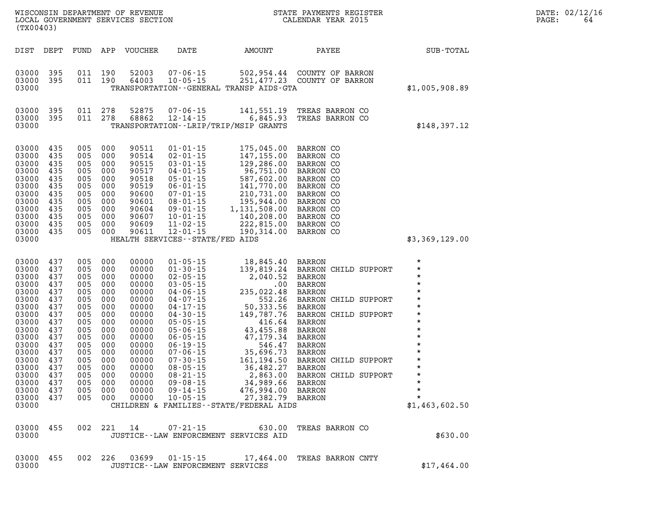| (TX00403)                                                                                                                                                                                |                                                                                                                     |                                                                                                                            |                                                                                                                                       | WISCONSIN DEPARTMENT OF REVENUE<br>LOCAL GOVERNMENT SERVICES SECTION                                                                                                    |                                                                                                                                                                                                                                                                                                                                  | STATE PAYMENTS REGISTER<br>CALENDAR YEAR 2015                                                                                                                                                                                                                                                                         |                                                                                                                                                                                                                                    |                                                                                                                                                                                                                                 |
|------------------------------------------------------------------------------------------------------------------------------------------------------------------------------------------|---------------------------------------------------------------------------------------------------------------------|----------------------------------------------------------------------------------------------------------------------------|---------------------------------------------------------------------------------------------------------------------------------------|-------------------------------------------------------------------------------------------------------------------------------------------------------------------------|----------------------------------------------------------------------------------------------------------------------------------------------------------------------------------------------------------------------------------------------------------------------------------------------------------------------------------|-----------------------------------------------------------------------------------------------------------------------------------------------------------------------------------------------------------------------------------------------------------------------------------------------------------------------|------------------------------------------------------------------------------------------------------------------------------------------------------------------------------------------------------------------------------------|---------------------------------------------------------------------------------------------------------------------------------------------------------------------------------------------------------------------------------|
| DIST                                                                                                                                                                                     | DEPT                                                                                                                | FUND                                                                                                                       | APP                                                                                                                                   | VOUCHER                                                                                                                                                                 | DATE                                                                                                                                                                                                                                                                                                                             | AMOUNT                                                                                                                                                                                                                                                                                                                | PAYEE                                                                                                                                                                                                                              | <b>SUB-TOTAL</b>                                                                                                                                                                                                                |
| 03000<br>03000<br>03000                                                                                                                                                                  | 395<br>395                                                                                                          | 011<br>011                                                                                                                 | 190<br>190                                                                                                                            | 52003<br>64003                                                                                                                                                          | 07-06-15<br>$10 - 05 - 15$                                                                                                                                                                                                                                                                                                       | TRANSPORTATION--GENERAL TRANSP AIDS-GTA                                                                                                                                                                                                                                                                               | 502,954.44 COUNTY OF BARRON<br>251,477.23 COUNTY OF BARRON                                                                                                                                                                         | \$1,005,908.89                                                                                                                                                                                                                  |
| 03000<br>03000<br>03000                                                                                                                                                                  | 395<br>395                                                                                                          | 011<br>011                                                                                                                 | 278<br>278                                                                                                                            | 52875<br>68862                                                                                                                                                          | 07-06-15<br>$12 - 14 - 15$<br>TRANSPORTATION - - LRIP/TRIP/MSIP GRANTS                                                                                                                                                                                                                                                           | 141,551.19<br>6,845.93                                                                                                                                                                                                                                                                                                | TREAS BARRON CO<br>TREAS BARRON CO                                                                                                                                                                                                 | \$148,397.12                                                                                                                                                                                                                    |
| 03000<br>03000<br>03000<br>03000<br>03000<br>03000<br>03000<br>03000<br>03000<br>03000<br>03000<br>03000<br>03000                                                                        | 435<br>435<br>435<br>435<br>435<br>435<br>435<br>435<br>435<br>435<br>435<br>435                                    | 005<br>005<br>005<br>005<br>005<br>005<br>005<br>005<br>005<br>005<br>005<br>005                                           | 000<br>000<br>000<br>000<br>000<br>000<br>000<br>000<br>000<br>000<br>000<br>000                                                      | 90511<br>90514<br>90515<br>90517<br>90518<br>90519<br>90600<br>90601<br>90604<br>90607<br>90609<br>90611                                                                | $01 - 01 - 15$<br>$02 - 01 - 15$<br>$03 - 01 - 15$<br>$04 - 01 - 15$<br>$08 - 01 - 15$ $09 - 01 - 15$ $1$ $09 - 01 - 15$<br>$11 - 02 - 15$<br>$12 - 01 - 15$<br>HEALTH SERVICES - - STATE/FED AIDS                                                                                                                               | 175,045.00<br>147,155.00<br>129,286.00<br>96,751.00<br>587,602.00<br>141,770.00<br>210,731.00<br>195,944.00<br>1,131,508.00<br>140,208.00<br>222,815.00<br>190,314.00                                                                                                                                                 | BARRON CO<br>BARRON CO<br>BARRON CO<br>BARRON CO<br>BARRON CO<br>BARRON CO<br>BARRON CO<br><b>BARRON CO</b><br>BARRON CO<br><b>BARRON CO</b><br><b>BARRON CO</b><br>BARRON CO                                                      | \$3,369,129.00                                                                                                                                                                                                                  |
| 03000<br>03000<br>03000<br>03000<br>03000<br>03000<br>03000<br>03000<br>03000<br>03000<br>03000<br>03000<br>03000<br>03000<br>03000<br>03000<br>03000 437<br>03000 437<br>03000<br>03000 | 437<br>437<br>437<br>437<br>437<br>437<br>437<br>437<br>437<br>437<br>437<br>437<br>437<br>437<br>437<br>437<br>437 | 005<br>005<br>005<br>005<br>005<br>005<br>005<br>005<br>005<br>005<br>005<br>005<br>005<br>005<br>005<br>005<br>005<br>005 | 000<br>000<br>000<br>000<br>000<br>000<br>000<br>000<br>000<br>000<br>000<br>000<br>000<br>000<br>000<br>000<br>000<br>005 000<br>000 | 00000<br>00000<br>00000<br>00000<br>00000<br>00000<br>00000<br>00000<br>00000<br>00000<br>00000<br>00000<br>00000<br>00000<br>00000<br>00000<br>00000<br>00000<br>00000 | $01 - 05 - 15$<br>$01 - 30 - 15$<br>$02 - 05 - 15$<br>$03 - 05 - 15$<br>$04 - 06 - 15$<br>$04 - 07 - 15$<br>$04 - 17 - 15$<br>$04 - 30 - 15$<br>$05 - 05 - 15$<br>$05 - 06 - 15$<br>$06 - 05 - 15$<br>$06 - 19 - 15$<br>$07 - 06 - 15$<br>$07 - 30 - 15$<br>$08 - 05 - 15$<br>$08 - 21 - 15$<br>$09 - 08 - 15$<br>$09 - 14 - 15$ | 18,845.40<br>139,819.24<br>2,040.52<br>$.00 \,$<br>235,022.48<br>552.26<br>50,333.56<br>149,787.76<br>416.64<br>43,455.88<br>47,179.34<br>546.47<br>35,696.73<br>161,194.50<br>36,482.27<br>2,863.00<br>34,989.66 BARRON<br>476,994.00 BARRON<br>10-05-15 27,382.79 BARRON<br>CHILDREN & FAMILIES--STATE/FEDERAL AIDS | BARRON<br>BARRON CHILD SUPPORT<br>BARRON<br>BARRON<br>BARRON<br>BARRON CHILD SUPPORT<br>BARRON<br>BARRON CHILD SUPPORT<br>BARRON<br>BARRON<br>BARRON<br>BARRON<br>BARRON<br>BARRON CHILD SUPPORT<br>BARRON<br>BARRON CHILD SUPPORT | $\star$<br>$\star$<br>$\star$<br>$\star$<br>$\star$<br>$\star$<br>$\star$<br>$\star$<br>$\star$<br>$\star$<br>$\star$<br>$\star$<br>$\star$<br>$\star$<br>$\star$<br>$\star$<br>$\star$<br>$\star$<br>$\star$<br>\$1,463,602.50 |
| 03000<br>03000                                                                                                                                                                           | 455                                                                                                                 |                                                                                                                            | 002 221                                                                                                                               |                                                                                                                                                                         | 07-21-15<br>JUSTICE--LAW ENFORCEMENT SERVICES AID                                                                                                                                                                                                                                                                                | 630.00                                                                                                                                                                                                                                                                                                                | TREAS BARRON CO                                                                                                                                                                                                                    | \$630.00                                                                                                                                                                                                                        |
| 03000<br>03000                                                                                                                                                                           | 455                                                                                                                 | 002 226                                                                                                                    |                                                                                                                                       | 03699                                                                                                                                                                   | $01 - 15 - 15$<br>JUSTICE - - LAW ENFORCEMENT SERVICES                                                                                                                                                                                                                                                                           | 17,464.00                                                                                                                                                                                                                                                                                                             | TREAS BARRON CNTY                                                                                                                                                                                                                  | \$17,464.00                                                                                                                                                                                                                     |

**LOCAL GOVERNIT SERVICE:** 02/12/16<br>PAGE: 64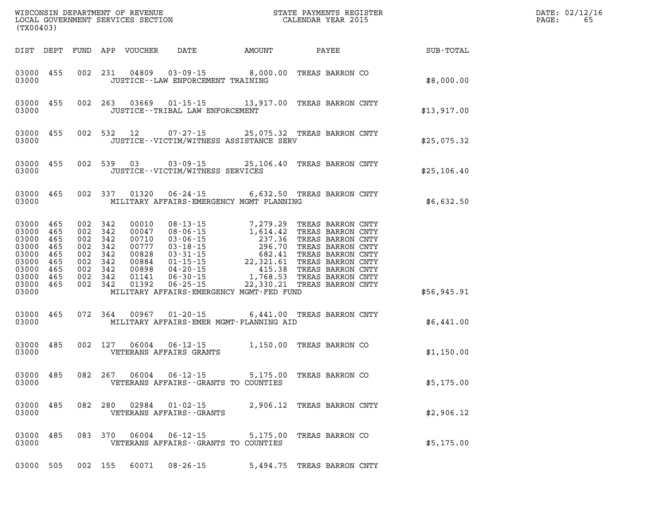| WISCONSIN DEPARTMENT OF REVENUE<br>LOCAL GOVERNMENT SERVICES SECTION<br>(TYO0403)<br>(TX00403) |                                                  |  |         |       |                                        |                                                                                                                                                                                                                                                                                    |                            |                                                              | DATE: 02/12/16<br>65<br>$\mathtt{PAGE:}$ |
|------------------------------------------------------------------------------------------------|--------------------------------------------------|--|---------|-------|----------------------------------------|------------------------------------------------------------------------------------------------------------------------------------------------------------------------------------------------------------------------------------------------------------------------------------|----------------------------|--------------------------------------------------------------|------------------------------------------|
|                                                                                                |                                                  |  |         |       |                                        |                                                                                                                                                                                                                                                                                    |                            | DIST DEPT FUND APP VOUCHER DATE AMOUNT PAYEE TOTAL SUB-TOTAL |                                          |
| 03000                                                                                          |                                                  |  |         |       | JUSTICE -- LAW ENFORCEMENT TRAINING    | 03000 455 002 231 04809 03-09-15 8,000.00 TREAS BARRON CO                                                                                                                                                                                                                          |                            | \$8,000.00                                                   |                                          |
| 03000                                                                                          |                                                  |  |         |       | JUSTICE - - TRIBAL LAW ENFORCEMENT     | 03000 455 002 263 03669 01-15-15 13,917.00 TREAS BARRON CNTY                                                                                                                                                                                                                       |                            | \$13,917.00                                                  |                                          |
| 03000                                                                                          |                                                  |  |         |       |                                        | 03000 455 002 532 12 07-27-15 25,075.32 TREAS BARRON CNTY<br>JUSTICE -- VICTIM/WITNESS ASSISTANCE SERV                                                                                                                                                                             |                            | \$25,075.32                                                  |                                          |
| 03000                                                                                          |                                                  |  |         |       | JUSTICE - - VICTIM/WITNESS SERVICES    | 03000 455 002 539 03 03-09-15 25,106.40 TREAS BARRON CNTY                                                                                                                                                                                                                          |                            | \$25,106.40                                                  |                                          |
| 03000                                                                                          |                                                  |  |         |       |                                        | 03000 465 002 337 01320 06-24-15 6,632.50 TREAS BARRON CNTY<br>MILITARY AFFAIRS-EMERGENCY MGMT PLANNING                                                                                                                                                                            |                            | \$6,632.50                                                   |                                          |
| 03000 465<br>03000 465<br>03000 465<br>03000 465<br>03000 465<br>03000                         | 03000 465<br>03000 465<br>03000 465<br>03000 465 |  |         |       |                                        | 002 342 00010 08-13-15 7, 279.29 TREAS BARRON CNTY<br>002 342 00047 08-06-15 1, 614.42 TREAS BARRON CNTY<br>002 342 00710 03-06-15 237.36 TREAS BARRON CNTY<br>002 342 00828 03-31-15 682.41 TREAS BARRON CNTY<br>002 342 00884 01-15-<br>MILITARY AFFAIRS-EMERGENCY MGMT-FED FUND |                            | \$56,945.91                                                  |                                          |
| 03000                                                                                          |                                                  |  |         |       |                                        | 03000 465 072 364 00967 01-20-15 6,441.00 TREAS BARRON CNTY<br>MILITARY AFFAIRS-EMER MGMT-PLANNING AID                                                                                                                                                                             |                            | \$6,441.00                                                   |                                          |
| 03000                                                                                          |                                                  |  |         |       | VETERANS AFFAIRS GRANTS                | 03000 485 002 127 06004 06-12-15 1,150.00 TREAS BARRON CO                                                                                                                                                                                                                          |                            | \$1,150.00                                                   |                                          |
|                                                                                                |                                                  |  |         |       |                                        | 03000 485 082 267 06004 06-12-15 5,175.00 TREAS BARRON CO<br>03000   VETERANS AFFAIRS--GRANTS TO COUNTIES                                                                                                                                                                          |                            | \$5,175.00                                                   |                                          |
| 03000 485<br>03000                                                                             |                                                  |  |         |       | VETERANS AFFAIRS - - GRANTS            | 082 280 02984 01-02-15 2,906.12 TREAS BARRON CNTY                                                                                                                                                                                                                                  |                            | \$2,906.12                                                   |                                          |
| 03000 485<br>03000                                                                             |                                                  |  |         |       | VETERANS AFFAIRS -- GRANTS TO COUNTIES | 083 370 06004 06-12-15 5,175.00 TREAS BARRON CO                                                                                                                                                                                                                                    |                            | \$5,175.00                                                   |                                          |
| 03000 505                                                                                      |                                                  |  | 002 155 | 60071 | 08-26-15                               |                                                                                                                                                                                                                                                                                    | 5,494.75 TREAS BARRON CNTY |                                                              |                                          |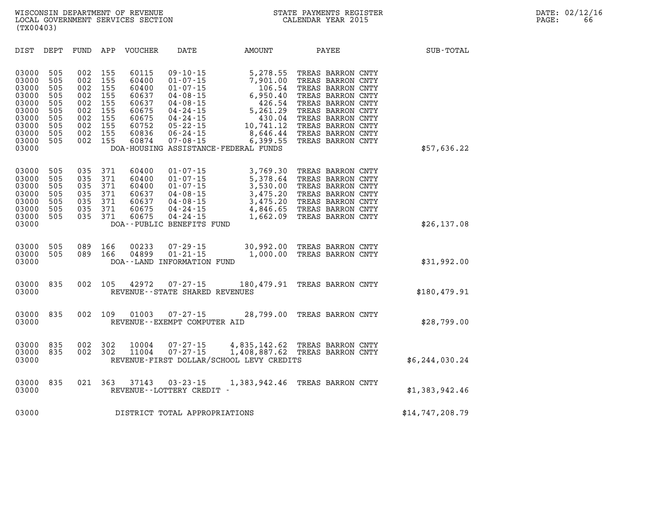| DIST                                                                                            | DEPT                                                               | FUND                                                               | APP                                                                | <b>VOUCHER</b>                                                                         | DATE                                                                                                                                                                             | AMOUNT                                                                                                                                                  | PAYEE                                                                                                                                                                                                          | SUB-TOTAL        |
|-------------------------------------------------------------------------------------------------|--------------------------------------------------------------------|--------------------------------------------------------------------|--------------------------------------------------------------------|----------------------------------------------------------------------------------------|----------------------------------------------------------------------------------------------------------------------------------------------------------------------------------|---------------------------------------------------------------------------------------------------------------------------------------------------------|----------------------------------------------------------------------------------------------------------------------------------------------------------------------------------------------------------------|------------------|
| 03000<br>03000<br>03000<br>03000<br>03000<br>03000<br>03000<br>03000<br>03000<br>03000<br>03000 | 505<br>505<br>505<br>505<br>505<br>505<br>505<br>505<br>505<br>505 | 002<br>002<br>002<br>002<br>002<br>002<br>002<br>002<br>002<br>002 | 155<br>155<br>155<br>155<br>155<br>155<br>155<br>155<br>155<br>155 | 60115<br>60400<br>60400<br>60637<br>60637<br>60675<br>60675<br>60752<br>60836<br>60874 | $09 - 10 - 15$<br>$01 - 07 - 15$<br>$01 - 07 - 15$<br>$04 - 08 - 15$<br>$04 - 08 - 15$<br>$04 - 24 - 15$<br>$04 - 24 - 15$<br>$05 - 22 - 15$<br>$06 - 24 - 15$<br>$07 - 08 - 15$ | 5,278.55<br>7,901.00<br>106.54<br>6,950.40<br>426.54<br>5,261.29<br>430.04<br>10,741.12<br>8,646.44<br>6,399.55<br>DOA-HOUSING ASSISTANCE-FEDERAL FUNDS | TREAS BARRON CNTY<br>TREAS BARRON CNTY<br>TREAS BARRON CNTY<br>TREAS BARRON CNTY<br>TREAS BARRON CNTY<br>TREAS BARRON CNTY<br>TREAS BARRON CNTY<br>TREAS BARRON CNTY<br>TREAS BARRON CNTY<br>TREAS BARRON CNTY | \$57,636.22      |
| 03000<br>03000<br>03000<br>03000<br>03000<br>03000<br>03000<br>03000                            | 505<br>505<br>505<br>505<br>505<br>505<br>505                      | 035<br>035<br>035<br>035<br>035<br>035<br>035                      | 371<br>371<br>371<br>371<br>371<br>371<br>371                      | 60400<br>60400<br>60400<br>60637<br>60637<br>60675<br>60675                            | $01 - 07 - 15$<br>$01 - 07 - 15$<br>$01 - 07 - 15$<br>$04 - 08 - 15$<br>$04 - 08 - 15$<br>$04 - 24 - 15$<br>$04 - 24 - 15$<br>DOA--PUBLIC BENEFITS FUND                          | 3,769.30<br>5,378.64<br>3,530.00<br>3,475.20<br>3,475.20<br>4,846.65<br>1,662.09                                                                        | TREAS BARRON CNTY<br>TREAS BARRON CNTY<br>TREAS BARRON CNTY<br>TREAS BARRON CNTY<br>TREAS BARRON CNTY<br>TREAS BARRON CNTY<br>TREAS BARRON CNTY                                                                | \$26, 137.08     |
| 03000<br>03000<br>03000                                                                         | 505<br>505                                                         | 089<br>089                                                         | 166<br>166                                                         | 00233<br>04899                                                                         | $07 - 29 - 15$<br>$01 - 21 - 15$<br>DOA--LAND INFORMATION FUND                                                                                                                   | 30,992.00<br>1,000.00                                                                                                                                   | TREAS BARRON CNTY<br>TREAS BARRON CNTY                                                                                                                                                                         | \$31,992.00      |
| 03000<br>03000                                                                                  | 835                                                                | 002                                                                | 105                                                                | 42972                                                                                  | $07 - 27 - 15$<br>REVENUE - - STATE SHARED REVENUES                                                                                                                              | 180,479.91                                                                                                                                              | TREAS BARRON CNTY                                                                                                                                                                                              | \$180,479.91     |
| 03000<br>03000                                                                                  | 835                                                                | 002                                                                | 109                                                                | 01003                                                                                  | $07 - 27 - 15$<br>REVENUE--EXEMPT COMPUTER AID                                                                                                                                   | 28,799.00                                                                                                                                               | TREAS BARRON CNTY                                                                                                                                                                                              | \$28,799.00      |
| 03000<br>03000<br>03000                                                                         | 835<br>835                                                         | 002<br>002                                                         | 302<br>302                                                         | 10004<br>11004                                                                         | $07 - 27 - 15$<br>$07 - 27 - 15$                                                                                                                                                 | 4,835,142.62<br>1,408,887.62<br>REVENUE-FIRST DOLLAR/SCHOOL LEVY CREDITS                                                                                | TREAS BARRON CNTY<br>TREAS BARRON CNTY                                                                                                                                                                         | \$6, 244, 030.24 |
| 03000<br>03000                                                                                  | 835                                                                | 021                                                                | 363                                                                | 37143                                                                                  | $03 - 23 - 15$<br>REVENUE--LOTTERY CREDIT -                                                                                                                                      | 1,383,942.46                                                                                                                                            | TREAS BARRON CNTY                                                                                                                                                                                              | \$1,383,942.46   |
| 03000                                                                                           |                                                                    |                                                                    |                                                                    |                                                                                        | DISTRICT TOTAL APPROPRIATIONS                                                                                                                                                    |                                                                                                                                                         |                                                                                                                                                                                                                | \$14,747,208.79  |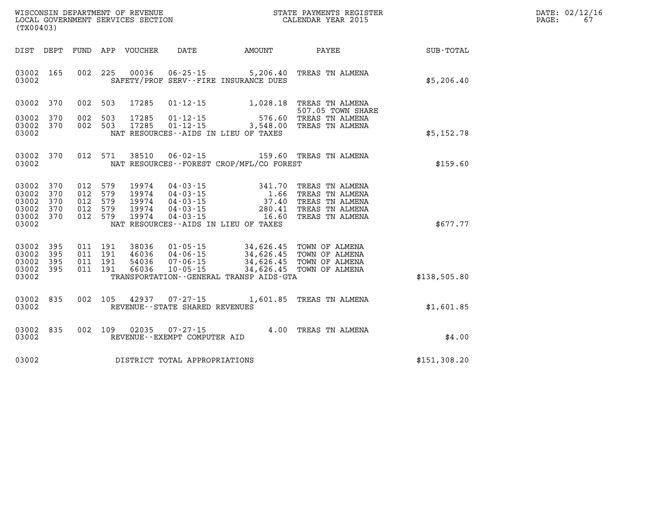| DATE: | 02/12/16 |
|-------|----------|
| PAGE: | 67       |

| WISCONSIN DEPARTMENT OF REVENUE<br>(TX00403)                                                                             | LOCAL GOVERNMENT SERVICES SECTION                                                                                                                                                                                | STATE PAYMENTS REGISTER<br>CALENDAR YEAR 2015    |                                                                                             |              |  |  |
|--------------------------------------------------------------------------------------------------------------------------|------------------------------------------------------------------------------------------------------------------------------------------------------------------------------------------------------------------|--------------------------------------------------|---------------------------------------------------------------------------------------------|--------------|--|--|
| DIST<br>DEPT<br>FUND                                                                                                     | APP<br><b>VOUCHER</b><br>DATE                                                                                                                                                                                    | AMOUNT                                           | PAYEE                                                                                       | SUB-TOTAL    |  |  |
| 002<br>165<br>03002<br>03002                                                                                             | 225<br>00036<br>$06 - 25 - 15$<br>SAFETY/PROF SERV--FIRE INSURANCE DUES                                                                                                                                          | 5,206.40                                         | TREAS TN ALMENA                                                                             | \$5,206.40   |  |  |
| 370<br>002<br>03002                                                                                                      | 17285<br>$01 - 12 - 15$<br>503                                                                                                                                                                                   | 1,028.18                                         | TREAS TN ALMENA<br>507.05 TOWN SHARE                                                        |              |  |  |
| 002<br>03002<br>370<br>03002<br>370<br>002<br>03002                                                                      | 503<br>17285<br>$01 - 12 - 15$<br>17285<br>$01 - 12 - 15$<br>503<br>NAT RESOURCES -- AIDS IN LIEU OF TAXES                                                                                                       | 576.60<br>3,548.00                               | TREAS TN ALMENA<br>TREAS TN ALMENA                                                          | \$5,152.78   |  |  |
|                                                                                                                          |                                                                                                                                                                                                                  |                                                  |                                                                                             |              |  |  |
| 012<br>03002<br>370<br>03002                                                                                             | 571<br>38510<br>$06 - 02 - 15$<br>NAT RESOURCES - - FOREST CROP/MFL/CO FOREST                                                                                                                                    | 159.60                                           | TREAS TN ALMENA                                                                             | \$159.60     |  |  |
| 012<br>03002<br>370<br>03002<br>370<br>012<br>370<br>03002<br>012<br>370<br>012<br>03002<br>370<br>03002<br>012<br>03002 | 579<br>19974<br>$04 - 03 - 15$<br>579<br>19974<br>$04 - 03 - 15$<br>579<br>19974<br>$04 - 03 - 15$<br>579<br>19974<br>$04 - 03 - 15$<br>579<br>19974<br>$04 - 03 - 15$<br>NAT RESOURCES -- AIDS IN LIEU OF TAXES | 341.70<br>1.66<br>37.40<br>280.41<br>16.60       | TREAS TN ALMENA<br>TREAS TN ALMENA<br>TREAS TN ALMENA<br>TREAS TN ALMENA<br>TREAS TN ALMENA | \$677.77     |  |  |
| 03002<br>395<br>011<br>03002<br>395<br>011<br>03002<br>395<br>011<br>03002<br>395<br>011<br>03002                        | 191<br>38036<br>$01 - 05 - 15$<br>191<br>46036<br>$04 - 06 - 15$<br>191<br>54036<br>$07 - 06 - 15$<br>191<br>66036<br>$10 - 05 - 15$<br>TRANSPORTATION--GENERAL TRANSP AIDS-GTA                                  | 34,626.45<br>34,626.45<br>34,626.45<br>34,626.45 | TOWN OF ALMENA<br>TOWN OF ALMENA<br>TOWN OF ALMENA<br>TOWN OF ALMENA                        | \$138,505.80 |  |  |
| 03002<br>835<br>002<br>03002                                                                                             | 105<br>42937<br>$07 - 27 - 15$<br>REVENUE - - STATE SHARED REVENUES                                                                                                                                              | 1,601.85                                         | TREAS TN ALMENA                                                                             | \$1,601.85   |  |  |
| 002<br>03002<br>835<br>03002                                                                                             | 109<br>02035<br>$07 - 27 - 15$<br>REVENUE--EXEMPT COMPUTER AID                                                                                                                                                   | 4.00                                             | TREAS TN ALMENA                                                                             | \$4.00       |  |  |
| 03002                                                                                                                    | DISTRICT TOTAL APPROPRIATIONS                                                                                                                                                                                    |                                                  |                                                                                             | \$151,308.20 |  |  |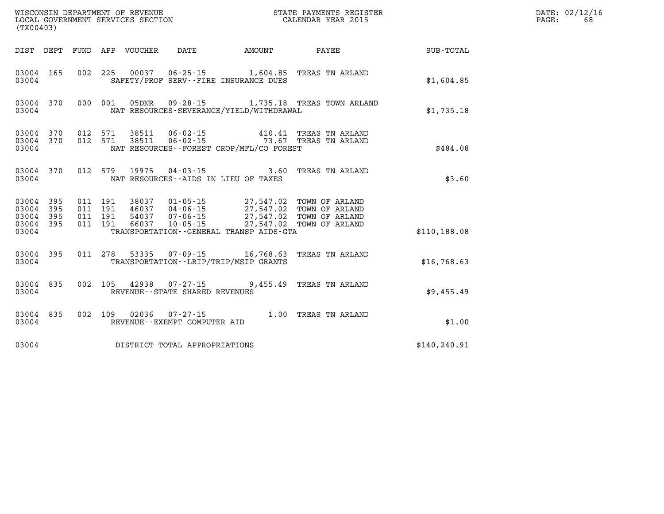| (TX00403)                        |                                |                                          | WISCONSIN DEPARTMENT OF REVENUE<br>LOCAL GOVERNMENT SERVICES SECTION |                                   |                                                                                                                                              | STATE PAYMENTS REGISTER<br>CALENDAR YEAR 2015     |               | DATE: 02/12/16<br>68<br>$\mathtt{PAGE}$ : |
|----------------------------------|--------------------------------|------------------------------------------|----------------------------------------------------------------------|-----------------------------------|----------------------------------------------------------------------------------------------------------------------------------------------|---------------------------------------------------|---------------|-------------------------------------------|
|                                  |                                |                                          | DIST DEPT FUND APP VOUCHER DATE                                      |                                   | AMOUNT PAYEE                                                                                                                                 |                                                   | SUB-TOTAL     |                                           |
| 03004                            | 03004 165                      |                                          |                                                                      |                                   | 002 225 00037 06-25-15 1,604.85 TREAS TN ARLAND<br>SAFETY/PROF SERV--FIRE INSURANCE DUES                                                     |                                                   | \$1,604.85    |                                           |
| 03004                            | 03004 370                      |                                          |                                                                      |                                   | NAT RESOURCES-SEVERANCE/YIELD/WITHDRAWAL                                                                                                     | 000 001 05DNR 09-28-15 1,735.18 TREAS TOWN ARLAND | \$1,735.18    |                                           |
| 03004                            | 03004 370 012 571<br>03004 370 |                                          |                                                                      |                                   | 012 571 38511 06-02-15 410.41 TREAS TN ARLAND<br>012 571 38511 06-02-15 73.67 TREAS TN ARLAND<br>NAT RESOURCES - - FOREST CROP/MFL/CO FOREST |                                                   | \$484.08      |                                           |
| 03004                            | 03004 370                      |                                          |                                                                      |                                   | 012 579 19975 04-03-15 3.60 TREAS TN ARLAND<br>NAT RESOURCES--AIDS IN LIEU OF TAXES                                                          |                                                   | \$3.60        |                                           |
| 03004<br>03004<br>03004<br>03004 | 03004 395<br>395<br>395<br>395 | 011 191<br>011 191<br>011 191<br>011 191 |                                                                      |                                   | 54037 07-06-15 27,547.02 TOWN OF ARLAND<br>66037  10-05-15  27,547.02  TOWN OF ARLAND<br>TRANSPORTATION--GENERAL TRANSP AIDS-GTA             |                                                   | \$110,188.08  |                                           |
| 03004                            | 03004 395                      |                                          |                                                                      |                                   | 011  278  53335  07-09-15  16,768.63  TREAS TN ARLAND<br>TRANSPORTATION - - LRIP/TRIP/MSIP GRANTS                                            |                                                   | \$16,768.63   |                                           |
| 03004                            | 03004 835                      |                                          |                                                                      | REVENUE - - STATE SHARED REVENUES | 002 105 42938 07-27-15 9,455.49 TREAS TN ARLAND                                                                                              |                                                   | \$9,455.49    |                                           |
| 03004                            | 03004 835                      |                                          |                                                                      | REVENUE--EXEMPT COMPUTER AID      | 002 109 02036 07-27-15 1.00 TREAS TN ARLAND                                                                                                  |                                                   | \$1.00        |                                           |
| 03004                            |                                |                                          |                                                                      | DISTRICT TOTAL APPROPRIATIONS     |                                                                                                                                              |                                                   | \$140, 240.91 |                                           |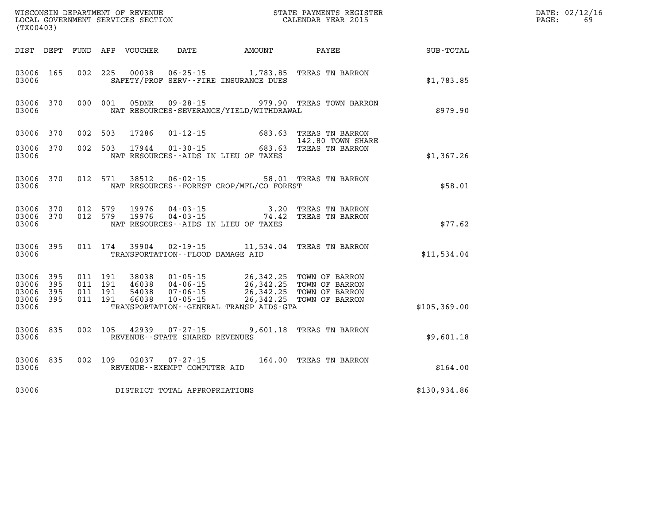| (TX00403)                                         |            |                               |                    |                                  |                                                          |                                                                          |                                                                                                                                                  |              | DATE: 02/12/16<br>PAGE:<br>69 |
|---------------------------------------------------|------------|-------------------------------|--------------------|----------------------------------|----------------------------------------------------------|--------------------------------------------------------------------------|--------------------------------------------------------------------------------------------------------------------------------------------------|--------------|-------------------------------|
|                                                   |            |                               |                    |                                  |                                                          | DIST DEPT FUND APP VOUCHER DATE AMOUNT                                   | <b>PAYEE</b>                                                                                                                                     | SUB-TOTAL    |                               |
| 03006 165<br>03006                                |            |                               |                    |                                  |                                                          | 002 225 00038 06-25-15 1,783.85<br>SAFETY/PROF SERV--FIRE INSURANCE DUES | TREAS TN BARRON                                                                                                                                  | \$1,783.85   |                               |
| 03006 370<br>03006                                |            |                               | 000 001            |                                  |                                                          | NAT RESOURCES-SEVERANCE/YIELD/WITHDRAWAL                                 | 05DNR  09-28-15  979.90 TREAS TOWN BARRON                                                                                                        | \$979.90     |                               |
| 03006 370                                         |            | 002 503                       |                    |                                  |                                                          |                                                                          | 17286  01-12-15  683.63  TREAS TN BARRON<br>142.80  TOWN SHAF<br>17944  01-30-15  683.63  TREAS TN BARRON<br>142.80 TOWN SHARE                   |              |                               |
| 03006 370<br>03006                                |            |                               | 002 503            |                                  |                                                          | NAT RESOURCES--AIDS IN LIEU OF TAXES                                     |                                                                                                                                                  | \$1,367.26   |                               |
| 03006                                             | 03006 370  |                               | 012 571            |                                  |                                                          | NAT RESOURCES - - FOREST CROP/MFL/CO FOREST                              | 38512  06-02-15  58.01 TREAS TN BARRON                                                                                                           | \$58.01      |                               |
| 03006 370<br>03006 370<br>03006                   |            |                               | 012 579<br>012 579 |                                  |                                                          | NAT RESOURCES--AIDS IN LIEU OF TAXES                                     | 19976  04-03-15  3.20 TREAS TN BARRON<br>19976  04-03-15  74.42 TREAS TN BARRON                                                                  | \$77.62      |                               |
| 03006 395<br>03006                                |            |                               |                    |                                  | TRANSPORTATION--FLOOD DAMAGE AID                         |                                                                          | 011 174 39904 02-19-15 11,534.04 TREAS TN BARRON                                                                                                 | \$11,534.04  |                               |
| 03006 395<br>03006<br>03006<br>03006 395<br>03006 | 395<br>395 | 011 191<br>011 191<br>011 191 | 011 191            | 38038<br>46038<br>54038<br>66038 |                                                          | TRANSPORTATION - - GENERAL TRANSP AIDS - GTA                             | 01-05-15 26,342.25 TOWN OF BARRON<br>04-06-15 26,342.25 TOWN OF BARRON<br>07-06-15 26,342.25 TOWN OF BARRON<br>10-05-15 26,342.25 TOWN OF BARRON | \$105,369.00 |                               |
| 03006 835<br>03006                                |            |                               |                    |                                  | 002 105 42939 07-27-15<br>REVENUE--STATE SHARED REVENUES |                                                                          | 9,601.18 TREAS TN BARRON                                                                                                                         | \$9,601.18   |                               |
| 03006 835<br>03006                                |            |                               |                    |                                  | REVENUE--EXEMPT COMPUTER AID                             |                                                                          | 002 109 02037 07-27-15 164.00 TREAS TN BARRON                                                                                                    | \$164.00     |                               |
| 03006                                             |            |                               |                    |                                  | DISTRICT TOTAL APPROPRIATIONS                            |                                                                          |                                                                                                                                                  | \$130,934.86 |                               |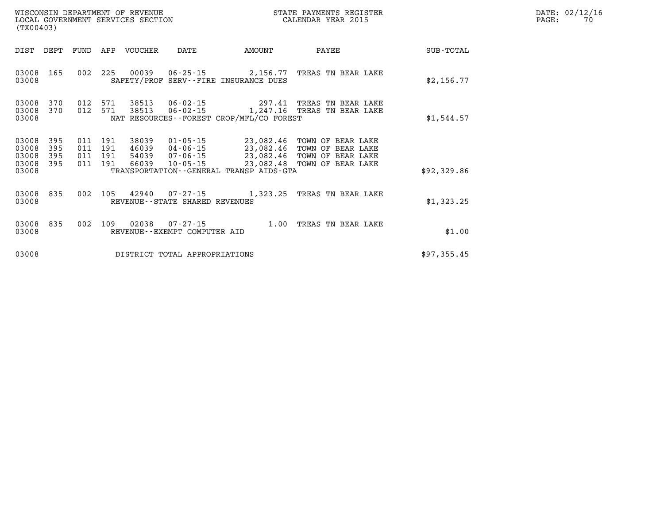| DATE: | 02/12/16 |
|-------|----------|
| PAGE: | 70       |

| WISCONSIN DEPARTMENT OF REVENUE<br>WISCONSIN DEPARTMENT OF REVENUE<br>LOCAL GOVERNMENT SERVICES SECTION<br>(TX00403)    |                                                                                                                                                                                                                           | STATE PAYMENTS REGISTER<br>CALENDAR YEAR 2015 |             | DATE: 02/12/1<br>PAGE:<br>70 |
|-------------------------------------------------------------------------------------------------------------------------|---------------------------------------------------------------------------------------------------------------------------------------------------------------------------------------------------------------------------|-----------------------------------------------|-------------|------------------------------|
| FUND APP VOUCHER<br>DIST DEPT                                                                                           | DATE<br>AMOUNT                                                                                                                                                                                                            | PAYEE                                         | SUB-TOTAL   |                              |
| 03008<br>165<br>03008                                                                                                   | 002 225 00039 06-25-15 2,156.77 TREAS TN BEAR LAKE<br>SAFETY/PROF SERV--FIRE INSURANCE DUES                                                                                                                               |                                               | \$2,156.77  |                              |
| 03008<br>370<br>012 571<br>370<br>012<br>571<br>03008<br>03008                                                          | 38513  06-02-15  297.41  TREAS TN BEAR LAKE<br>38513  06-02-15   1,247.16  TREAS TN BEAR LAKE<br>NAT RESOURCES - - FOREST CROP/MFL/CO FOREST                                                                              |                                               | \$1,544.57  |                              |
| 03008<br>395<br>38039<br>011 191<br>03008<br>395<br>011 191<br>03008<br>395<br>011 191<br>03008 395<br>011 191<br>03008 | 01-05-15 23,082.46 TOWN OF BEAR LAKE<br>46039 04-06-15 23,082.46 TOWN OF BEAR LAKE<br>54039 07-06-15 23,082.46 TOWN OF BEAR LAKE<br>66039 10-05-15 23,082.48 TOWN OF BEAR LAKE<br>TRANSPORTATION--GENERAL TRANSP AIDS-GTA |                                               | \$92,329.86 |                              |
| 03008<br>835<br>03008                                                                                                   | 002 105 42940 07-27-15 1.323.25 TREAS TN BEAR LAKE<br>REVENUE--STATE SHARED REVENUES                                                                                                                                      |                                               | \$1,323.25  |                              |
| 03008 835<br>03008                                                                                                      | 002 109 02038 07-27-15 1.00 TREAS TN BEAR LAKE<br>REVENUE--EXEMPT COMPUTER AID                                                                                                                                            |                                               | \$1.00      |                              |
| 03008                                                                                                                   | DISTRICT TOTAL APPROPRIATIONS                                                                                                                                                                                             |                                               | \$97,355.45 |                              |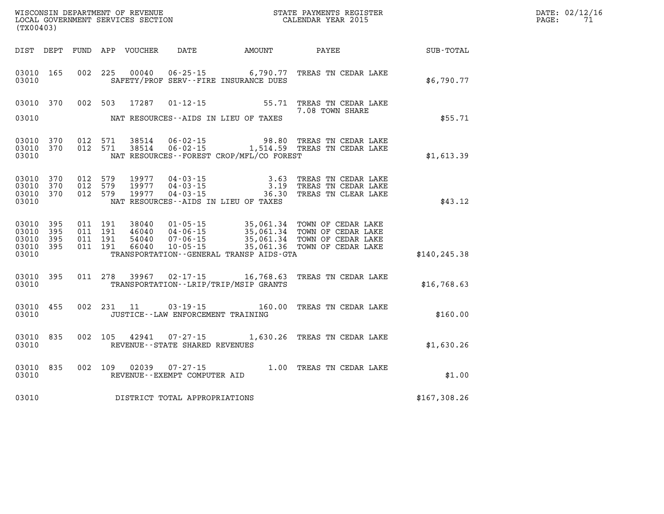| DATE: | 02/12/16 |
|-------|----------|
| PAGE: | 71       |

| (TX00403)                                 |                          |                          |                          | WISCONSIN DEPARTMENT OF REVENUE<br>LOCAL GOVERNMENT SERVICES SECTION |                                                                      |                                                                                             | STATE PAYMENTS REGISTER<br>CALENDAR YEAR 2015                                        |               |
|-------------------------------------------|--------------------------|--------------------------|--------------------------|----------------------------------------------------------------------|----------------------------------------------------------------------|---------------------------------------------------------------------------------------------|--------------------------------------------------------------------------------------|---------------|
| DIST                                      | DEPT                     | FUND                     | APP                      | VOUCHER                                                              | DATE                                                                 | AMOUNT                                                                                      | PAYEE                                                                                | SUB-TOTAL     |
| 03010<br>03010                            | 165                      | 002                      | 225                      | 00040                                                                |                                                                      | $06 - 25 - 15$ 6,790.77<br>SAFETY/PROF SERV--FIRE INSURANCE DUES                            | TREAS TN CEDAR LAKE                                                                  | \$6,790.77    |
| 03010                                     | 370                      | 002                      | 503                      | 17287                                                                | $01 - 12 - 15$                                                       | 55.71                                                                                       | TREAS TN CEDAR LAKE<br>7.08 TOWN SHARE                                               |               |
| 03010                                     |                          |                          |                          |                                                                      |                                                                      | NAT RESOURCES -- AIDS IN LIEU OF TAXES                                                      |                                                                                      | \$55.71       |
| 03010<br>03010<br>03010                   | 370<br>370               | 012<br>012               | 571<br>571               | 38514<br>38514                                                       |                                                                      | 06-02-15 98.80<br>06-02-15 1,514.59<br>NAT RESOURCES--FOREST CROP/MFL/CO FOREST             | TREAS TN CEDAR LAKE<br>TREAS TN CEDAR LAKE                                           | \$1,613.39    |
| 03010<br>03010<br>03010<br>03010          | 370<br>370<br>370        | 012<br>012<br>012        | 579<br>579<br>579        | 19977<br>19977<br>19977                                              | $04 - 03 - 15$<br>$04 - 03 - 15$<br>$04 - 03 - 15$                   | 3.63<br>3.19<br>36.30<br>NAT RESOURCES -- AIDS IN LIEU OF TAXES                             | TREAS TN CEDAR LAKE<br>TREAS TN CEDAR LAKE<br>TREAS TN CLEAR LAKE                    | \$43.12       |
| 03010<br>03010<br>03010<br>03010<br>03010 | 395<br>395<br>395<br>395 | 011<br>011<br>011<br>011 | 191<br>191<br>191<br>191 | 38040<br>46040<br>54040<br>66040                                     | $01 - 05 - 15$<br>$04 - 06 - 15$<br>$07 - 06 - 15$<br>$10 - 05 - 15$ | 35,061.34<br>35,061.34<br>35,061.34<br>35,061.36<br>TRANSPORTATION--GENERAL TRANSP AIDS-GTA | TOWN OF CEDAR LAKE<br>TOWN OF CEDAR LAKE<br>TOWN OF CEDAR LAKE<br>TOWN OF CEDAR LAKE | \$140, 245.38 |
| 03010<br>03010                            | 395                      | 011                      | 278                      | 39967                                                                | $02 - 17 - 15$                                                       | 16,768.63<br>TRANSPORTATION - - LRIP/TRIP/MSIP GRANTS                                       | TREAS TN CEDAR LAKE                                                                  | \$16,768.63   |
| 03010<br>03010                            | 455                      | 002                      | 231                      | 11                                                                   | $03 - 19 - 15$<br>JUSTICE - - LAW ENFORCEMENT TRAINING               | 160.00                                                                                      | TREAS TN CEDAR LAKE                                                                  | \$160.00      |
| 03010<br>03010                            | 835                      | 002                      | 105                      | 42941                                                                | $07 - 27 - 15$<br>REVENUE - - STATE SHARED REVENUES                  | 1,630.26                                                                                    | TREAS TN CEDAR LAKE                                                                  | \$1,630.26    |
| 03010<br>03010                            | 835                      | 002                      | 109                      | 02039                                                                | $07 - 27 - 15$<br>REVENUE--EXEMPT COMPUTER AID                       | 1.00                                                                                        | TREAS TN CEDAR LAKE                                                                  | \$1.00        |
| 03010                                     |                          |                          |                          |                                                                      | DISTRICT TOTAL APPROPRIATIONS                                        |                                                                                             |                                                                                      | \$167,308.26  |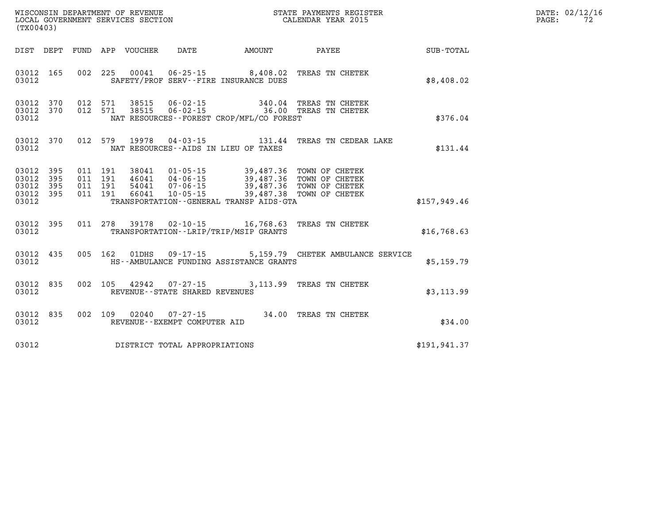| (TX00403) |  |  |                                          | WISCONSIN DEPARTMENT OF REVENUE<br>LOCAL GOVERNMENT SERVICES SECTION<br>CALENDAR YEAR 2015<br>STATE PAYMENTS REGISTER                                                                                                                                                                                                                                        |               | DATE: 02/12/16<br>$\mathtt{PAGE:}$<br>72 |
|-----------|--|--|------------------------------------------|--------------------------------------------------------------------------------------------------------------------------------------------------------------------------------------------------------------------------------------------------------------------------------------------------------------------------------------------------------------|---------------|------------------------------------------|
|           |  |  | DIST DEPT FUND APP VOUCHER DATE AMOUNT   | <b>PAYEE</b>                                                                                                                                                                                                                                                                                                                                                 | SUB-TOTAL     |                                          |
| 03012     |  |  | SAFETY/PROF SERV--FIRE INSURANCE DUES    | 03012 165 002 225 00041 06-25-15 8,408.02 TREAS TN CHETEK                                                                                                                                                                                                                                                                                                    | \$8,408.02    |                                          |
| 03012     |  |  | NAT RESOURCES--FOREST CROP/MFL/CO FOREST | $\begin{array}{cccccccc} 03012 & 370 & 012 & 571 & 38515 & 06\cdot 02\cdot 15 & & 340.04 & \text{TREAS TN CHETEK} \\ 03012 & 370 & 012 & 571 & 38515 & 06\cdot 02\cdot 15 & & 36.00 & \text{TREAS TN CHETEK} \end{array}$                                                                                                                                    | \$376.04      |                                          |
| 03012     |  |  | NAT RESOURCES--AIDS IN LIEU OF TAXES     | 03012 370 012 579 19978 04-03-15 131.44 TREAS TN CEDEAR LAKE                                                                                                                                                                                                                                                                                                 | \$131.44      |                                          |
| 03012     |  |  | TRANSPORTATION--GENERAL TRANSP AIDS-GTA  | $\begin{array}{cccccccc} 03012 & 395 & 011 & 191 & 38041 & 01\cdot 05\cdot 15 & 39\text{ , }487\text{ .}36 & \text{TOWN OF CHETER} \\ 03012 & 395 & 011 & 191 & 46041 & 04\cdot 06\cdot 15 & 39\text{ , }487\text{ .}36 & \text{TOWN OF CHETER} \\ 03012 & 395 & 011 & 191 & 54041 & 07\cdot 06\cdot 15 & 39\text{ , }487\text{ .}36 & \text{TOWN OF CHETER$ | \$157,949.46  |                                          |
| 03012     |  |  | TRANSPORTATION - - LRIP/TRIP/MSIP GRANTS | 03012 395 011 278 39178 02-10-15 16,768.63 TREAS TN CHETEK                                                                                                                                                                                                                                                                                                   | \$16,768.63   |                                          |
| 03012     |  |  | HS--AMBULANCE FUNDING ASSISTANCE GRANTS  | 03012 435 005 162 01DHS 09-17-15 5,159.79 CHETEK AMBULANCE SERVICE                                                                                                                                                                                                                                                                                           | \$5,159.79    |                                          |
| 03012     |  |  | REVENUE--STATE SHARED REVENUES           | 03012 835 002 105 42942 07-27-15 3,113.99 TREAS TN CHETEK                                                                                                                                                                                                                                                                                                    | \$3,113.99    |                                          |
| 03012     |  |  | REVENUE--EXEMPT COMPUTER AID             | 03012 835 002 109 02040 07-27-15 34.00 TREAS TN CHETEK                                                                                                                                                                                                                                                                                                       | \$34.00       |                                          |
| 03012     |  |  | DISTRICT TOTAL APPROPRIATIONS            |                                                                                                                                                                                                                                                                                                                                                              | \$191, 941.37 |                                          |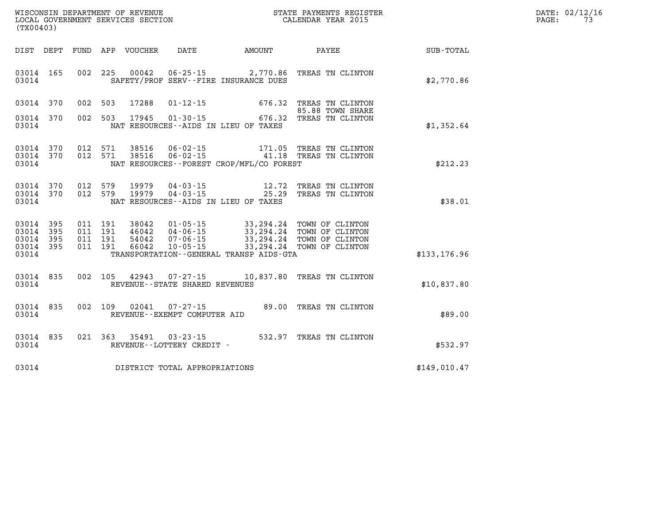| DATE: | 02/12/16 |
|-------|----------|
| PAGE: | 73       |

| (TX00403)                                                             |                          |                                                              |                                                                                                                                             |                                                                                              |               |
|-----------------------------------------------------------------------|--------------------------|--------------------------------------------------------------|---------------------------------------------------------------------------------------------------------------------------------------------|----------------------------------------------------------------------------------------------|---------------|
| DIST<br>DEPT                                                          | FUND                     | APP VOUCHER                                                  | DATE<br>AMOUNT                                                                                                                              | PAYEE                                                                                        | SUB-TOTAL     |
| 165<br>03014<br>03014                                                 | 002                      | 225<br>00042                                                 | $06 - 25 - 15$ 2,770.86<br>SAFETY/PROF SERV--FIRE INSURANCE DUES                                                                            | TREAS TN CLINTON                                                                             | \$2,770.86    |
| 370<br>03014                                                          | 002                      | 503<br>17288                                                 | $01 - 12 - 15$<br>676.32                                                                                                                    | TREAS TN CLINTON<br>85.88 TOWN SHARE                                                         |               |
| 03014<br>370<br>03014                                                 | 002                      | 503<br>17945                                                 | 676.32<br>$01 - 30 - 15$<br>NAT RESOURCES -- AIDS IN LIEU OF TAXES                                                                          | TREAS TN CLINTON                                                                             | \$1,352.64    |
| 03014<br>370<br>03014<br>370<br>03014                                 | 012<br>012               | 571<br>38516<br>571<br>38516                                 | $06 - 02 - 15$<br>171.05<br>$06 - 02 - 15$<br>NAT RESOURCES - - FOREST CROP/MFL/CO FOREST                                                   | TREAS TN CLINTON<br>41.18 TREAS TN CLINTON                                                   | \$212.23      |
| 03014<br>370<br>03014<br>370<br>03014                                 | 012<br>012               | 579<br>19979<br>579<br>19979                                 | $04 - 03 - 15$<br>12.72<br>$04 - 03 - 15$<br>25.29<br>NAT RESOURCES--AIDS IN LIEU OF TAXES                                                  | TREAS TN CLINTON<br>TREAS TN CLINTON                                                         | \$38.01       |
| 395<br>03014<br>395<br>03014<br>03014<br>395<br>03014<br>395<br>03014 | 011<br>011<br>011<br>011 | 191<br>38042<br>191<br>46042<br>191<br>54042<br>191<br>66042 | $01 - 05 - 15$<br>33,294.24<br>$04 - 06 - 15$<br>$07 - 06 - 15$<br>$10 - 05 - 15$<br>33, 294. 24<br>TRANSPORTATION--GENERAL TRANSP AIDS-GTA | TOWN OF CLINTON<br>33,294.24 TOWN OF CLINTON<br>33,294.24 TOWN OF CLINTON<br>TOWN OF CLINTON | \$133, 176.96 |
| 03014<br>835<br>03014                                                 | 002                      | 105<br>42943<br>REVENUE - - STATE SHARED REVENUES            | $07 - 27 - 15$<br>10,837.80                                                                                                                 | TREAS TN CLINTON                                                                             | \$10,837.80   |
| 835<br>03014<br>03014                                                 | 002                      | 109<br>02041<br>REVENUE - - EXEMPT COMPUTER AID              | 89.00<br>$07 - 27 - 15$                                                                                                                     | TREAS TN CLINTON                                                                             | \$89.00       |
| 03014<br>835<br>03014                                                 | 021                      | 363<br>35491<br>REVENUE--LOTTERY CREDIT -                    | 532.97<br>$03 - 23 - 15$                                                                                                                    | TREAS TN CLINTON                                                                             | \$532.97      |
| 03014                                                                 |                          |                                                              | DISTRICT TOTAL APPROPRIATIONS                                                                                                               |                                                                                              | \$149,010.47  |

WISCONSIN DEPARTMENT OF REVENUE **STATE PAYMENTS REGISTER**<br>LOCAL GOVERNMENT SERVICES SECTION

LOCAL GOVERNMENT SERVICES SECTION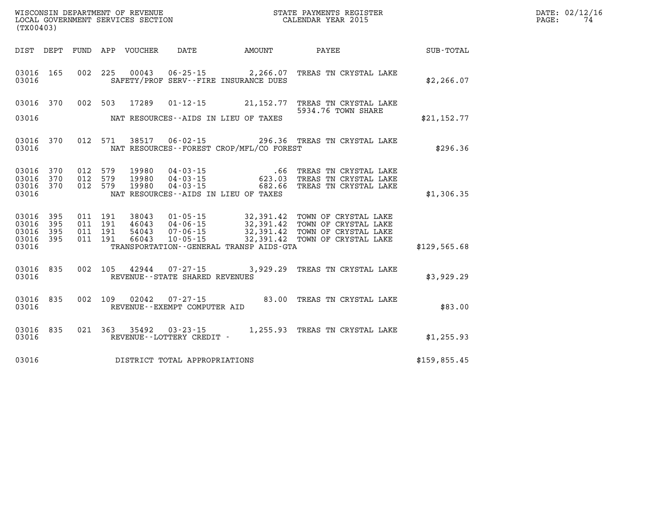| (TX00403)                                             |     |                                          |         | WISCONSIN DEPARTMENT OF REVENUE<br>LOCAL GOVERNMENT SERVICES SECTION |                                                     |                                                                   | STATE PAYMENTS REGISTER<br>CALENDAR YEAR 2015                                                                                                          |              | DATE: 02/12/16<br>74<br>PAGE: |
|-------------------------------------------------------|-----|------------------------------------------|---------|----------------------------------------------------------------------|-----------------------------------------------------|-------------------------------------------------------------------|--------------------------------------------------------------------------------------------------------------------------------------------------------|--------------|-------------------------------|
| DIST DEPT                                             |     |                                          |         | FUND APP VOUCHER                                                     | DATE                                                | <b>AMOUNT</b>                                                     | <b>PAYEE</b>                                                                                                                                           | SUB-TOTAL    |                               |
| 03016 165<br>03016                                    |     | 002 225                                  |         | 00043                                                                |                                                     | $06 - 25 - 15$ 2, 266.07<br>SAFETY/PROF SERV--FIRE INSURANCE DUES | TREAS TN CRYSTAL LAKE                                                                                                                                  | \$2,266.07   |                               |
| 03016 370                                             |     | 002 503                                  |         | 17289                                                                |                                                     |                                                                   | 01-12-15 21, 152.77 TREAS TN CRYSTAL LAKE<br>5934.76 TOWN SHARE                                                                                        |              |                               |
| 03016                                                 |     |                                          |         |                                                                      |                                                     | NAT RESOURCES--AIDS IN LIEU OF TAXES                              |                                                                                                                                                        | \$21,152.77  |                               |
| 03016 370<br>03016                                    |     |                                          | 012 571 | 38517                                                                |                                                     | NAT RESOURCES - - FOREST CROP/MFL/CO FOREST                       | 06-02-15 296.36 TREAS TN CRYSTAL LAKE                                                                                                                  | \$296.36     |                               |
| 03016 370<br>03016 370<br>03016 370<br>03016          |     | 012 579<br>012 579<br>012 579            |         | 19980<br>19980<br>19980                                              | 04 - 03 - 15<br>04 - 03 - 15<br>$04 - 03 - 15$      | 682.66<br>NAT RESOURCES--AIDS IN LIEU OF TAXES                    | .66 TREAS TN CRYSTAL LAKE<br>623.03 TREAS TN CRYSTAL LAKE<br>TREAS TN CRYSTAL LAKE                                                                     | \$1,306.35   |                               |
| 03016 395<br>03016<br>03016 395<br>03016 395<br>03016 | 395 | 011 191<br>011 191<br>011 191<br>011 191 |         | 38043<br>46043<br>54043<br>66043                                     | 04-06-15<br>07-06-15                                | TRANSPORTATION--GENERAL TRANSP AIDS-GTA                           | 01-05-15 32,391.42 TOWN OF CRYSTAL LAKE<br>32,391.42 TOWN OF CRYSTAL LAKE<br>32,391.42 TOWN OF CRYSTAL LAKE<br>10-05-15 32,391.42 TOWN OF CRYSTAL LAKE | \$129,565.68 |                               |
| 03016 835<br>03016                                    |     |                                          | 002 105 |                                                                      | 42944 07-27-15<br>REVENUE - - STATE SHARED REVENUES |                                                                   | 3,929.29 TREAS TN CRYSTAL LAKE                                                                                                                         | \$3,929.29   |                               |
| 03016<br>03016                                        | 835 | 002 109                                  |         | 02042                                                                | 07-27-15<br>REVENUE--EXEMPT COMPUTER AID            |                                                                   | 83.00 TREAS TN CRYSTAL LAKE                                                                                                                            | \$83.00      |                               |
| 03016<br>03016                                        | 835 |                                          | 021 363 | 35492                                                                | $03 - 23 - 15$<br>REVENUE - - LOTTERY CREDIT -      |                                                                   | 1,255.93 TREAS TN CRYSTAL LAKE                                                                                                                         | \$1,255.93   |                               |
| 03016                                                 |     |                                          |         |                                                                      | DISTRICT TOTAL APPROPRIATIONS                       |                                                                   |                                                                                                                                                        | \$159,855.45 |                               |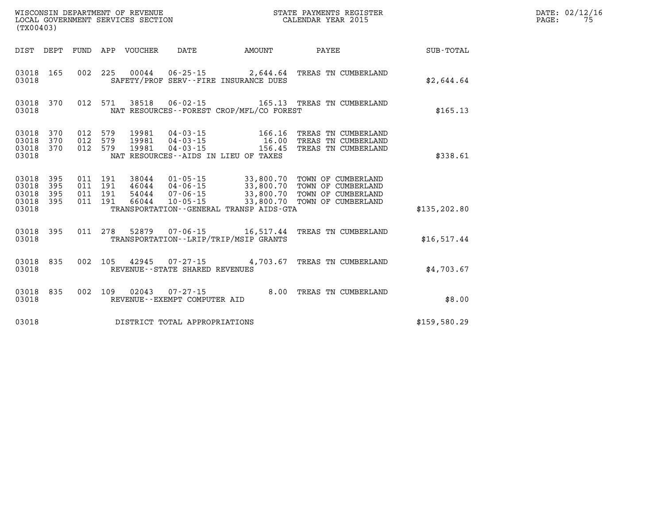|                  | CALENDAR YEAR 2015                                                                   |                                                                                             |                                                                      | LOCAL GOVERNMENT SERVICES SECTION |                          |                          |                          | (TX00403)                                 |
|------------------|--------------------------------------------------------------------------------------|---------------------------------------------------------------------------------------------|----------------------------------------------------------------------|-----------------------------------|--------------------------|--------------------------|--------------------------|-------------------------------------------|
| <b>SUB-TOTAL</b> | PAYEE                                                                                | AMOUNT                                                                                      | DATE                                                                 | VOUCHER                           | APP                      | FUND                     | DEPT                     | DIST                                      |
| \$2,644.64       | TREAS TN CUMBERLAND                                                                  | 00044 06-25-15 2,644.64<br>SAFETY/PROF SERV--FIRE INSURANCE DUES                            |                                                                      |                                   | 225                      | 002                      | 165                      | 03018<br>03018                            |
| \$165.13         | 165.13 TREAS TN CUMBERLAND                                                           | NAT RESOURCES - - FOREST CROP/MFL/CO FOREST                                                 | $06 - 02 - 15$                                                       | 38518                             | 571                      | 012                      | 370                      | 03018<br>03018                            |
| \$338.61         | TREAS TN CUMBERLAND<br>TREAS TN CUMBERLAND<br>TREAS TN CUMBERLAND                    | 166.16<br>16.00<br>156.45<br>NAT RESOURCES -- AIDS IN LIEU OF TAXES                         | 04-03-15<br>04-03-15<br>$04 - 03 - 15$                               | 19981<br>19981<br>19981           | 579<br>579<br>579        | 012<br>012<br>012        | 370<br>370<br>370        | 03018<br>03018<br>03018<br>03018          |
| \$135, 202.80    | TOWN OF CUMBERLAND<br>TOWN OF CUMBERLAND<br>TOWN OF CUMBERLAND<br>TOWN OF CUMBERLAND | 33,800.70<br>33,800.70<br>33,800.70<br>33,800.70<br>TRANSPORTATION--GENERAL TRANSP AIDS-GTA | $01 - 05 - 15$<br>$04 - 06 - 15$<br>$07 - 06 - 15$<br>$10 - 05 - 15$ | 38044<br>46044<br>54044<br>66044  | 191<br>191<br>191<br>191 | 011<br>011<br>011<br>011 | 395<br>395<br>395<br>395 | 03018<br>03018<br>03018<br>03018<br>03018 |
| \$16,517.44      | TREAS TN CUMBERLAND                                                                  | $07 - 06 - 15$ 16, 517.44<br>TRANSPORTATION - - LRIP/TRIP/MSIP GRANTS                       |                                                                      | 52879                             | 278                      | 011                      | 395                      | 03018<br>03018                            |
| \$4,703.67       | TREAS TN CUMBERLAND                                                                  | 4,703.67                                                                                    | $07 - 27 - 15$<br>REVENUE - - STATE SHARED REVENUES                  | 42945                             | 105                      | 002                      | 835                      | 03018<br>03018                            |
| \$8.00           | TREAS TN CUMBERLAND                                                                  | 8.00                                                                                        | $07 - 27 - 15$<br>REVENUE--EXEMPT COMPUTER AID                       | 02043                             | 109                      | 002                      | 835                      | 03018<br>03018                            |
| \$159,580.29     |                                                                                      |                                                                                             | DISTRICT TOTAL APPROPRIATIONS                                        |                                   |                          |                          |                          | 03018                                     |

**DATE: 02/12/16<br>PAGE: 75** 

**WISCONSIN DEPARTMENT OF REVENUE STATE PAYMENTS REGISTER**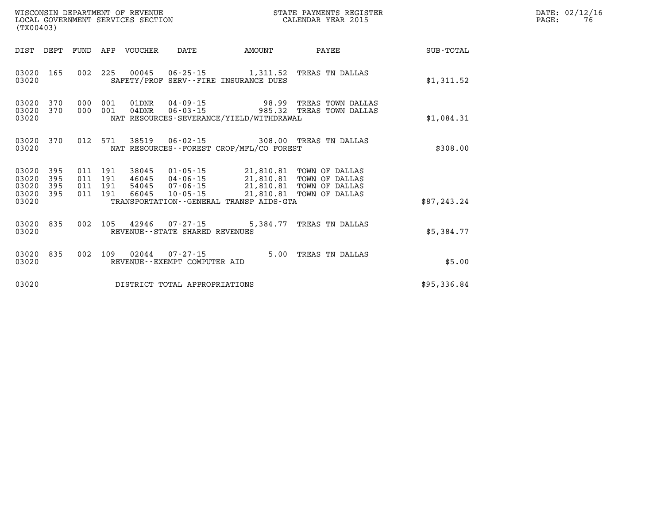| (TX00403) |                                                                   |  |         |                    |                            |                                                        |                                                                                                                                                                                                                        | STATE PAYMENTS REGISTER                                                               |             | DATE: 02/12/16<br>PAGE:<br>76 |
|-----------|-------------------------------------------------------------------|--|---------|--------------------|----------------------------|--------------------------------------------------------|------------------------------------------------------------------------------------------------------------------------------------------------------------------------------------------------------------------------|---------------------------------------------------------------------------------------|-------------|-------------------------------|
|           |                                                                   |  |         |                    | DIST DEPT FUND APP VOUCHER |                                                        | DATE AMOUNT                                                                                                                                                                                                            | <b>PAYEE</b>                                                                          | SUB-TOTAL   |                               |
|           | 03020 165<br>03020                                                |  |         |                    |                            |                                                        | SAFETY/PROF SERV--FIRE INSURANCE DUES                                                                                                                                                                                  | 002 225 00045 06-25-15 1,311.52 TREAS TN DALLAS                                       | \$1,311.52  |                               |
|           | 03020 370<br>03020 370<br>03020                                   |  | 000     | 001<br>000 001     |                            |                                                        | NAT RESOURCES-SEVERANCE/YIELD/WITHDRAWAL                                                                                                                                                                               | 01DNR  04-09-15  98.99 TREAS TOWN DALLAS<br>04DNR  06-03-15  985.32 TREAS TOWN DALLAS | \$1,084.31  |                               |
|           | 03020 370<br>03020                                                |  |         |                    |                            |                                                        | NAT RESOURCES - - FOREST CROP/MFL/CO FOREST                                                                                                                                                                            | 012 571 38519 06-02-15 308.00 TREAS TN DALLAS                                         | \$308.00    |                               |
|           | 03020 395<br>03020 395<br>03020 395<br>03020 395 011 191<br>03020 |  | 011 191 | 011 191<br>011 191 |                            | 54045  07-06-15                                        | 38045  01-05-15  21,810.81  TOWN OF DALLAS<br>46045 04-06-15 21,810.81 TOWN OF DALLAS<br>54045 07-06-15 21,810.81 TOWN OF DALLAS<br>66045 10-05-15 21,810.81 TOWN OF DALLAS<br>TRANSPORTATION--GENERAL TRANSP AIDS-GTA |                                                                                       | \$87,243.24 |                               |
|           | 03020 835<br>03020                                                |  |         |                    |                            | REVENUE - - STATE SHARED REVENUES                      |                                                                                                                                                                                                                        | 002 105 42946 07-27-15 5,384.77 TREAS TN DALLAS                                       | \$5,384.77  |                               |
|           | 03020 835<br>03020                                                |  |         |                    |                            | 002 109 02044 07-27-15<br>REVENUE--EXEMPT COMPUTER AID |                                                                                                                                                                                                                        | 5.00 TREAS TN DALLAS                                                                  | \$5.00      |                               |
|           | 03020                                                             |  |         |                    |                            | DISTRICT TOTAL APPROPRIATIONS                          |                                                                                                                                                                                                                        |                                                                                       | \$95,336.84 |                               |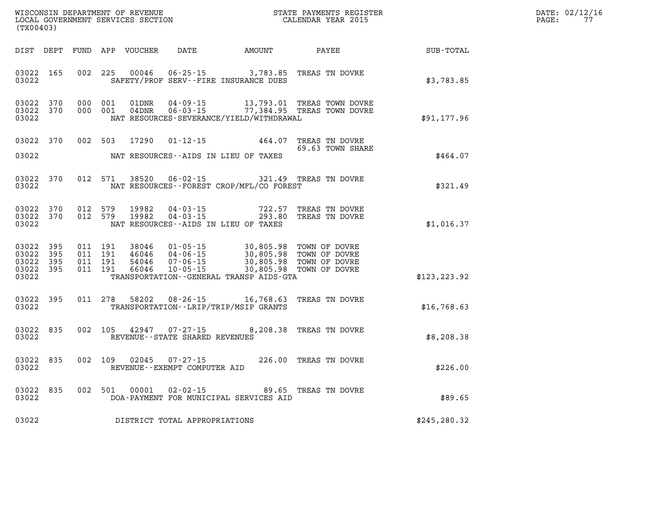| $\mathtt{DATE}$ : | 02/12/16 |
|-------------------|----------|
| PAGE:             | 77       |

| (TX00403)                                             |           |         |                                |                                                | WISCONSIN DEPARTMENT OF REVENUE<br>LOCAL GOVERNMENT SERVICES SECTION CALENDAR YEAR 2015                                                                                                                                                                                                                                                                                                    |                       | $\mathbb{R}^n$                                                             | DATE: 02/12/1<br>77<br>PAGE: |
|-------------------------------------------------------|-----------|---------|--------------------------------|------------------------------------------------|--------------------------------------------------------------------------------------------------------------------------------------------------------------------------------------------------------------------------------------------------------------------------------------------------------------------------------------------------------------------------------------------|-----------------------|----------------------------------------------------------------------------|------------------------------|
|                                                       |           |         |                                |                                                |                                                                                                                                                                                                                                                                                                                                                                                            |                       | DIST DEPT FUND APP VOUCHER DATE AMOUNT PAYEE SUB-TOTAL                     |                              |
| 03022 165<br>03022                                    |           |         |                                |                                                | 002 225 00046 06-25-15 3,783.85 TREAS TN DOVRE<br>SAFETY/PROF SERV--FIRE INSURANCE DUES                                                                                                                                                                                                                                                                                                    |                       | \$3,783.85                                                                 |                              |
| 03022 370<br>03022                                    | 03022 370 |         |                                |                                                | 000 001 01DNR 04-09-15 13,793.01 TREAS TOWN DOVRE 000 001 04DNR 06-03-15 77,384.95 TREAS TOWN DOVRE<br>NAT RESOURCES-SEVERANCE/YIELD/WITHDRAWAL                                                                                                                                                                                                                                            |                       | \$91,177.96                                                                |                              |
|                                                       | 03022 370 |         |                                |                                                | 002 503 17290 01-12-15 464.07 TREAS TN DOVRE<br>69.63 TOWN SHAR                                                                                                                                                                                                                                                                                                                            | 69.63 TOWN SHARE      |                                                                            |                              |
| 03022                                                 |           |         |                                |                                                | NAT RESOURCES--AIDS IN LIEU OF TAXES                                                                                                                                                                                                                                                                                                                                                       |                       | \$464.07                                                                   |                              |
| 03022                                                 | 03022 370 |         |                                |                                                |                                                                                                                                                                                                                                                                                                                                                                                            |                       | 012 571 38520 06-02-15 321.49 TREAS TN DOVRE<br>\$321.49 \$321.49 \$321.49 |                              |
| 03022 370<br>03022                                    | 03022 370 |         | 012 579 19982<br>012 579 19982 |                                                | 04-03-15 722.57 TREAS TN DOVRE<br>04-03-15 293.80 TREAS TN DOVRE<br>NAT RESOURCES -- AIDS IN LIEU OF TAXES                                                                                                                                                                                                                                                                                 |                       | \$1,016.37                                                                 |                              |
| 03022<br>03022 395<br>03022 395<br>03022 395<br>03022 | 395       |         |                                |                                                | $\begin{array}{cccc} 011 & 191 & 38046 & 01\cdot 05\cdot 15 & 30\,805\, .98 & \text{TOWN OF DOVER} \\ 011 & 191 & 46046 & 04\cdot 06\cdot 15 & 30\,805\, .98 & \text{TOWN OF DOVER} \\ 011 & 191 & 54046 & 07\cdot 06\cdot 15 & 30\,805\, .98 & \text{TOWN OF DOVER} \\ 011 & 191 & 66046 & 10\cdot 05\cdot 15 & 30\,805\, .98 & \text{TOWN OF$<br>TRANSPORTATION--GENERAL TRANSP AIDS-GTA |                       | \$123, 223.92                                                              |                              |
| 03022                                                 | 03022 395 |         |                                |                                                | 011 278 58202 08-26-15 16,768.63 TREAS TN DOVRE<br>TRANSPORTATION - - LRIP/TRIP/MSIP GRANTS                                                                                                                                                                                                                                                                                                |                       | \$16,768.63                                                                |                              |
| 03022 835<br>03022                                    |           |         |                                | REVENUE--STATE SHARED REVENUES                 | 002 105 42947 07-27-15 8,208.38 TREAS TN DOVRE                                                                                                                                                                                                                                                                                                                                             |                       | \$8,208.38                                                                 |                              |
| 03022<br>03022                                        | 835       | 002 109 |                                | 02045 07-27-15<br>REVENUE--EXEMPT COMPUTER AID |                                                                                                                                                                                                                                                                                                                                                                                            | 226.00 TREAS TN DOVRE | \$226.00                                                                   |                              |
| 03022                                                 | 03022 835 |         | 002 501 00001                  |                                                | 02-02-15 89.65 TREAS TN DOVRE<br>DOA-PAYMENT FOR MUNICIPAL SERVICES AID                                                                                                                                                                                                                                                                                                                    |                       | \$89.65                                                                    |                              |
|                                                       |           |         |                                | 03022 DISTRICT TOTAL APPROPRIATIONS            |                                                                                                                                                                                                                                                                                                                                                                                            |                       | \$245,280.32                                                               |                              |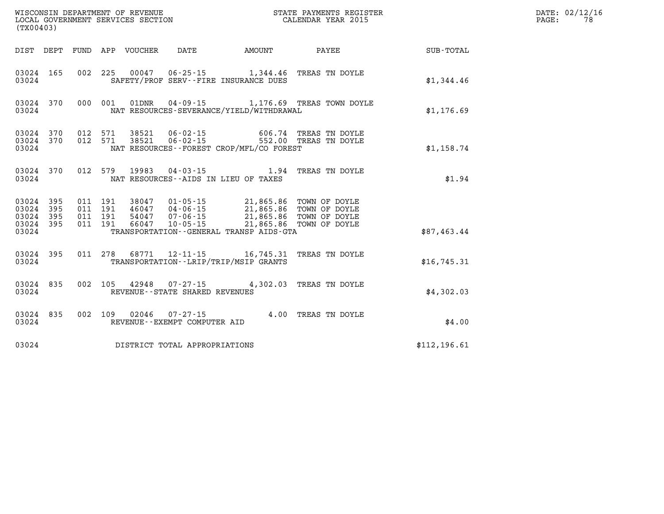| (TX00403)                                |                  |                                          |                                 |                                |                                                                                                                                                                                                                     |                                                            |               | DATE: 02/12/16<br>78<br>$\mathtt{PAGE}$ : |
|------------------------------------------|------------------|------------------------------------------|---------------------------------|--------------------------------|---------------------------------------------------------------------------------------------------------------------------------------------------------------------------------------------------------------------|------------------------------------------------------------|---------------|-------------------------------------------|
|                                          |                  |                                          | DIST DEPT FUND APP VOUCHER DATE |                                |                                                                                                                                                                                                                     | AMOUNT PAYEE                                               | SUB-TOTAL     |                                           |
| 03024                                    | 03024 165        |                                          |                                 |                                | 002 225 00047 06-25-15 1,344.46 TREAS TN DOYLE<br>SAFETY/PROF SERV--FIRE INSURANCE DUES                                                                                                                             |                                                            | \$1,344.46    |                                           |
| 03024                                    |                  |                                          |                                 |                                | NAT RESOURCES-SEVERANCE/YIELD/WITHDRAWAL                                                                                                                                                                            | 03024 370 000 001 01DNR 04-09-15 1,176.69 TREAS TOWN DOYLE | \$1,176.69    |                                           |
| 03024                                    |                  |                                          |                                 |                                | NAT RESOURCES--FOREST CROP/MFL/CO FOREST                                                                                                                                                                            |                                                            | \$1,158.74    |                                           |
| 03024                                    | 03024 370        |                                          |                                 |                                | 012 579 19983 04-03-15 1.94 TREAS TN DOYLE<br>NAT RESOURCES--AIDS IN LIEU OF TAXES                                                                                                                                  |                                                            | \$1.94        |                                           |
| 03024 395<br>03024<br>03024 395<br>03024 | 03024 395<br>395 | 011 191<br>011 191<br>011 191<br>011 191 |                                 |                                | 38047  01-05-15  21,865.86 TOWN OF DOYLE<br>46047  04-06-15  21,865.86 TOWN OF DOYLE<br>54047 07-06-15 21,865.86 TOWN OF DOYLE<br>66047 10-05-15 21,865.86 TOWN OF DOYLE<br>TRANSPORTATION--GENERAL TRANSP AIDS-GTA |                                                            | \$87,463.44   |                                           |
| 03024                                    | 03024 395        |                                          |                                 |                                | 011 278 68771 12-11-15 16,745.31 TREAS TN DOYLE<br>TRANSPORTATION--LRIP/TRIP/MSIP GRANTS                                                                                                                            |                                                            | \$16,745.31   |                                           |
| 03024                                    | 03024 835        |                                          |                                 | REVENUE--STATE SHARED REVENUES | 002 105 42948 07-27-15 4,302.03 TREAS TN DOYLE                                                                                                                                                                      |                                                            | \$4,302.03    |                                           |
| 03024                                    | 03024 835        |                                          |                                 | REVENUE--EXEMPT COMPUTER AID   | 002 109 02046 07-27-15 4.00 TREAS TN DOYLE                                                                                                                                                                          |                                                            | \$4.00        |                                           |
| 03024                                    |                  |                                          |                                 | DISTRICT TOTAL APPROPRIATIONS  |                                                                                                                                                                                                                     |                                                            | \$112, 196.61 |                                           |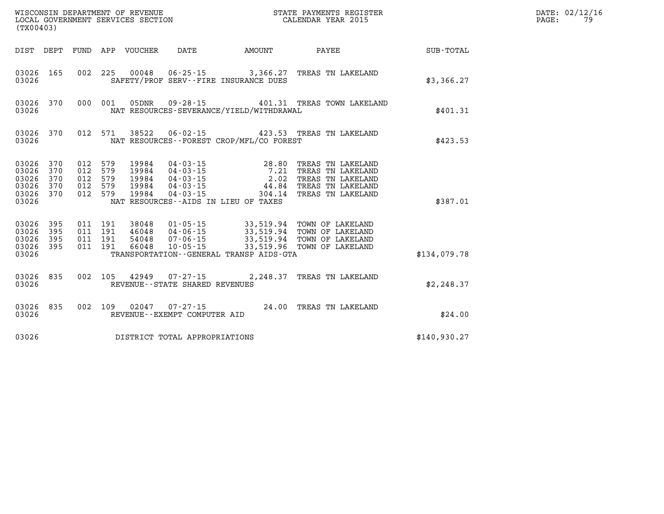| (TX00403)                                                  |                   |                                                     |         |                            |                                                        | WISCONSIN DEPARTMENT OF REVENUE<br>LOCAL GOVERNMENT SERVICES SECTION<br>(TYOO403) | STATE PAYMENTS REGISTER<br>CALENDAR YEAR 2015                                                                                                                                       |              | DATE: 02/12/16<br>79<br>PAGE: |
|------------------------------------------------------------|-------------------|-----------------------------------------------------|---------|----------------------------|--------------------------------------------------------|-----------------------------------------------------------------------------------|-------------------------------------------------------------------------------------------------------------------------------------------------------------------------------------|--------------|-------------------------------|
|                                                            |                   |                                                     |         | DIST DEPT FUND APP VOUCHER | DATE                                                   | AMOUNT                                                                            | PAYEE                                                                                                                                                                               | SUB-TOTAL    |                               |
| 03026 165<br>03026                                         |                   |                                                     |         |                            |                                                        | 002 225 00048 06-25-15 3,366.27<br>SAFETY/PROF SERV--FIRE INSURANCE DUES          | TREAS TN LAKELAND                                                                                                                                                                   | \$3,366.27   |                               |
| 03026                                                      | 03026 370         |                                                     | 000 001 | 05DNR                      |                                                        | NAT RESOURCES-SEVERANCE/YIELD/WITHDRAWAL                                          | 09-28-15   401.31 TREAS TOWN LAKELAND                                                                                                                                               | \$401.31     |                               |
| 03026                                                      | 03026 370         |                                                     | 012 571 | 38522                      |                                                        | NAT RESOURCES--FOREST CROP/MFL/CO FOREST                                          | 06-02-15  423.53  TREAS TN LAKELAND                                                                                                                                                 | \$423.53     |                               |
| 03026 370<br>03026<br>03026<br>03026<br>03026 370<br>03026 | 370<br>370<br>370 | 012 579<br>012 579<br>012 579<br>012 579<br>012 579 |         | 19984<br>19984             | 04-03-15                                               | $04 - 03 - 15$ 44.84<br>304.14<br>NAT RESOURCES--AIDS IN LIEU OF TAXES            | 19984  04-03-15  28.80 TREAS TN LAKELAND<br>19984  04-03-15  7.21 TREAS TN LAKELAND<br>19984  04-03-15  2.02 TREAS TN LAKELAND<br>TREAS TN LAKELAND<br>TREAS TN LAKELAND            | \$387.01     |                               |
| 03026 395<br>03026<br>03026<br>03026 395<br>03026          | 395<br>395        | 011 191<br>011 191<br>011 191<br>011 191            |         |                            |                                                        | TRANSPORTATION--GENERAL TRANSP AIDS-GTA                                           | 38048  01-05-15  33,519.94  TOWN OF LAKELAND<br>46048 04-06-15 33,519.94 TOWN OF LAKELAND<br>54048 07-06-15 33,519.94 TOWN OF LAKELAND<br>66048 10-05-15 33,519.96 TOWN OF LAKELAND | \$134,079.78 |                               |
| 03026 835<br>03026                                         |                   | 002 105                                             |         |                            | REVENUE - - STATE SHARED REVENUES                      |                                                                                   | 2,248.37 TREAS TN LAKELAND                                                                                                                                                          | \$2,248.37   |                               |
| 03026                                                      | 03026 835         |                                                     |         |                            | 002 109 02047 07-27-15<br>REVENUE--EXEMPT COMPUTER AID |                                                                                   | 24.00 TREAS TN LAKELAND                                                                                                                                                             | \$24.00      |                               |
| 03026                                                      |                   |                                                     |         |                            | DISTRICT TOTAL APPROPRIATIONS                          |                                                                                   |                                                                                                                                                                                     | \$140,930.27 |                               |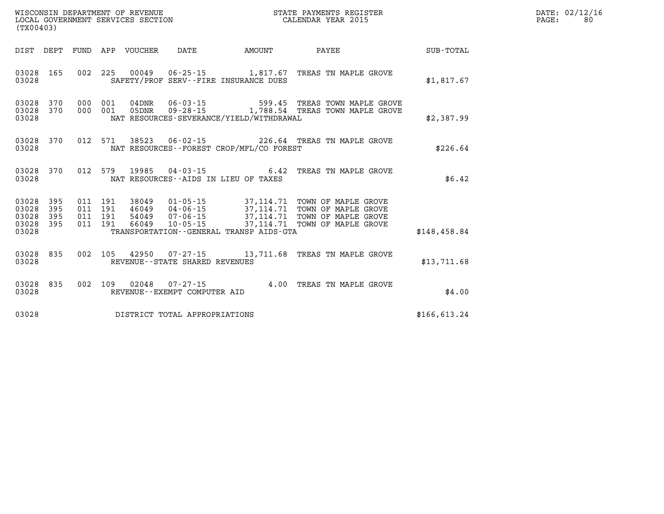| WISCONSIN DEPARTMENT OF REVENUE   | STATE PAYMENTS REGISTER |       | DATE: 02/12/16 |
|-----------------------------------|-------------------------|-------|----------------|
| LOCAL GOVERNMENT SERVICES SECTION | CALENDAR YEAR 2015      | PAGE: | 80             |

| (TX00403)                                         |            |  | LOCAL GOVERNMENT SERVICES SECTION |                                |                                              | CALENDAR YEAR 2015                                                                                                                                                                                                                                                                                                                                                |              | PAGE: | 80 |
|---------------------------------------------------|------------|--|-----------------------------------|--------------------------------|----------------------------------------------|-------------------------------------------------------------------------------------------------------------------------------------------------------------------------------------------------------------------------------------------------------------------------------------------------------------------------------------------------------------------|--------------|-------|----|
|                                                   |            |  |                                   |                                | DIST DEPT FUND APP VOUCHER DATE AMOUNT       | PAYEE SUB-TOTAL                                                                                                                                                                                                                                                                                                                                                   |              |       |    |
| 03028 165<br>03028                                |            |  |                                   |                                | SAFETY/PROF SERV--FIRE INSURANCE DUES        | 002 225 00049 06-25-15 1,817.67 TREAS TN MAPLE GROVE                                                                                                                                                                                                                                                                                                              | \$1,817.67   |       |    |
| 03028 370<br>03028                                | 03028 370  |  |                                   |                                | NAT RESOURCES-SEVERANCE/YIELD/WITHDRAWAL     | 000 001 04DNR 06-03-15 599.45 TREAS TOWN MAPLE GROVE<br>000 001 05DNR 09-28-15 1,788.54 TREAS TOWN MAPLE GROVE                                                                                                                                                                                                                                                    | \$2,387.99   |       |    |
| 03028 370<br>03028                                |            |  |                                   |                                | NAT RESOURCES--FOREST CROP/MFL/CO FOREST     | 012 571 38523 06-02-15 226.64 TREAS TN MAPLE GROVE                                                                                                                                                                                                                                                                                                                | \$226.64     |       |    |
| 03028                                             | 03028 370  |  |                                   |                                | NAT RESOURCES--AIDS IN LIEU OF TAXES         | 012 579 19985 04-03-15 6.42 TREAS TN MAPLE GROVE                                                                                                                                                                                                                                                                                                                  | \$6.42       |       |    |
| 03028<br>03028<br>03028 395<br>03028 395<br>03028 | 395<br>395 |  |                                   |                                | TRANSPORTATION - - GENERAL TRANSP AIDS - GTA | $\begin{array}{cccc} 011 & 191 & 38049 & 01 \cdot 05 \cdot 15 & 37,114.71 & \text{TOWN OF MAPLE GROVE} \\ 011 & 191 & 46049 & 04 \cdot 06 \cdot 15 & 37,114.71 & \text{TOWN OF MAPLE GROVE} \\ 011 & 191 & 54049 & 07 \cdot 06 \cdot 15 & 37,114.71 & \text{TOWN OF MAPLE GROVE} \\ 011 & 191 & 66049 & 10 \cdot 05 \cdot 15 & 37,114.71 & \text{TOWN OF MAPLE G$ | \$148,458.84 |       |    |
|                                                   |            |  |                                   |                                |                                              |                                                                                                                                                                                                                                                                                                                                                                   |              |       |    |
| 03028 835<br>03028                                |            |  |                                   | REVENUE--STATE SHARED REVENUES |                                              | 002 105 42950 07-27-15 13,711.68 TREAS TN MAPLE GROVE                                                                                                                                                                                                                                                                                                             | \$13,711.68  |       |    |
| 03028<br>03028                                    | 835        |  |                                   | REVENUE--EXEMPT COMPUTER AID   |                                              | 002 109 02048 07-27-15 4.00 TREAS TN MAPLE GROVE                                                                                                                                                                                                                                                                                                                  | \$4.00       |       |    |
| 03028                                             |            |  |                                   | DISTRICT TOTAL APPROPRIATIONS  |                                              |                                                                                                                                                                                                                                                                                                                                                                   | \$166.613.24 |       |    |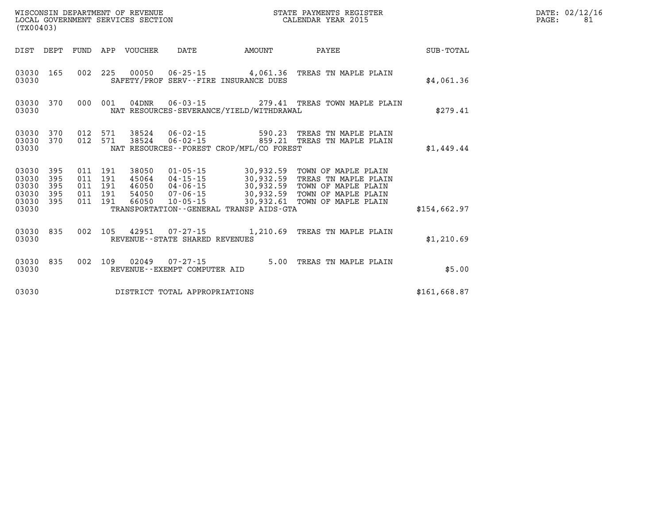| WISCONSIN DEPARTMENT OF REVENUE<br>LOCAL GOVERNMENT SERVICES SECTION<br>(TX00403) |                   |         |                                          |                                 |                                |                                             | STATE PAYMENTS REGISTER<br>CALENDAR YEAR 2015                                                                                                                                                                                              | DATE: 02/12/16<br>$\mathtt{PAGE:}$ |  |  |
|-----------------------------------------------------------------------------------|-------------------|---------|------------------------------------------|---------------------------------|--------------------------------|---------------------------------------------|--------------------------------------------------------------------------------------------------------------------------------------------------------------------------------------------------------------------------------------------|------------------------------------|--|--|
|                                                                                   |                   |         |                                          | DIST DEPT FUND APP VOUCHER DATE |                                | AMOUNT                                      | <b>PAYEE</b> PAYEE                                                                                                                                                                                                                         | SUB-TOTAL                          |  |  |
| 03030                                                                             | 03030 165         |         |                                          |                                 |                                | SAFETY/PROF SERV--FIRE INSURANCE DUES       | 002 225 00050 06-25-15 4,061.36 TREAS TN MAPLE PLAIN                                                                                                                                                                                       | \$4,061.36                         |  |  |
| 03030                                                                             | 03030 370         |         |                                          |                                 |                                | NAT RESOURCES-SEVERANCE/YIELD/WITHDRAWAL    | 000 001 04DNR  06-03-15  279.41 TREAS TOWN MAPLE PLAIN                                                                                                                                                                                     | \$279.41                           |  |  |
| 03030                                                                             | 03030 370         |         |                                          |                                 |                                | NAT RESOURCES - - FOREST CROP/MFL/CO FOREST | 03030 370 012 571 38524 06-02-15 590.23 TREAS TN MAPLE PLAIN<br>012 571 38524 06-02-15 859.21 TREAS TN MAPLE PLAIN                                                                                                                         | \$1,449.44                         |  |  |
| 03030 395<br>03030<br>03030<br>03030<br>03030 395                                 | 395<br>395<br>395 | 011 191 | 011 191<br>011 191<br>011 191<br>011 191 |                                 |                                |                                             | 38050 01-05-15 30,932.59 TOWN OF MAPLE PLAIN<br>45064 04-15-15 30,932.59 TREAS TN MAPLE PLAIN<br>46050 04-06-15 30,932.59 TOWN OF MAPLE PLAIN<br>54050 07-06-15 30,932.59 TOWN OF MAPLE PLAIN<br>66050 10-05-15 30,932.61 TOWN OF MAPLE PL |                                    |  |  |
| 03030                                                                             |                   |         |                                          |                                 |                                | TRANSPORTATION--GENERAL TRANSP AIDS-GTA     |                                                                                                                                                                                                                                            | \$154,662.97                       |  |  |
| 03030                                                                             | 03030 835         |         |                                          |                                 | REVENUE--STATE SHARED REVENUES |                                             | 002 105 42951 07-27-15 1,210.69 TREAS TN MAPLE PLAIN                                                                                                                                                                                       | \$1,210.69                         |  |  |
| 03030                                                                             | 03030 835         |         |                                          |                                 | REVENUE--EXEMPT COMPUTER AID   |                                             | 002 109 02049 07-27-15 5.00 TREAS TN MAPLE PLAIN                                                                                                                                                                                           | \$5.00                             |  |  |
| 03030                                                                             |                   |         |                                          |                                 | DISTRICT TOTAL APPROPRIATIONS  |                                             |                                                                                                                                                                                                                                            | \$161,668.87                       |  |  |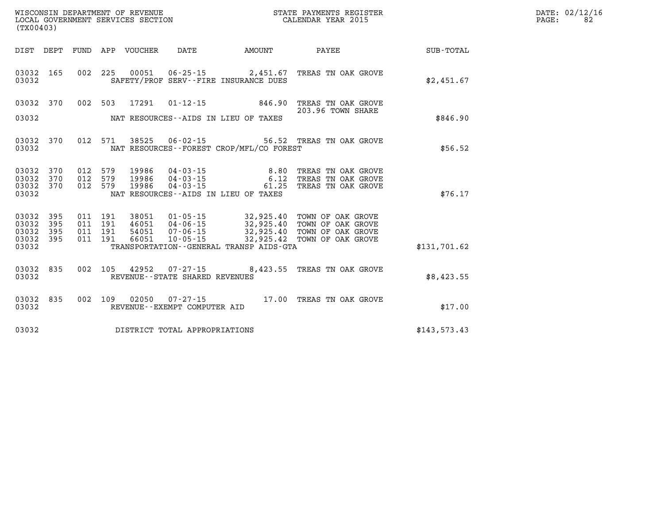| $\mathtt{DATE}$ : | 02/12/16 |
|-------------------|----------|
| PAGE:             | 82       |

| (TX00403)               |                   |                   |                   | WISCONSIN DEPARTMENT OF REVENUE<br>LOCAL GOVERNMENT SERVICES SECTION |                                                |                                                                  | STATE PAYMENTS REGISTER<br>CALENDAR YEAR 2015               |                  |
|-------------------------|-------------------|-------------------|-------------------|----------------------------------------------------------------------|------------------------------------------------|------------------------------------------------------------------|-------------------------------------------------------------|------------------|
| DIST                    | DEPT              | FUND              | APP               | VOUCHER                                                              | DATE                                           | AMOUNT                                                           | PAYEE                                                       | <b>SUB-TOTAL</b> |
| 03032<br>03032          | 165               | 002               | 225               | 00051                                                                |                                                | $06 - 25 - 15$ 2,451.67<br>SAFETY/PROF SERV--FIRE INSURANCE DUES | TREAS TN OAK GROVE                                          | \$2,451.67       |
| 03032                   | 370               | 002               | 503               | 17291                                                                | $01 - 12 - 15$                                 | 846.90                                                           | TREAS TN OAK GROVE<br>203.96 TOWN SHARE                     |                  |
| 03032                   |                   |                   |                   |                                                                      |                                                | NAT RESOURCES--AIDS IN LIEU OF TAXES                             |                                                             | \$846.90         |
| 03032<br>03032          | 370               | 012               | 571               | 38525                                                                | $06 - 02 - 15$                                 | NAT RESOURCES - - FOREST CROP/MFL/CO FOREST                      | 56.52 TREAS TN OAK GROVE                                    | \$56.52          |
| 03032<br>03032          | 370<br>370        | 012<br>012        | 579<br>579        | 19986<br>19986                                                       | 04 - 03 - 15<br>$04 - 03 - 15$                 | 8.80<br>6.12                                                     | TREAS TN OAK GROVE<br>TREAS TN OAK GROVE                    |                  |
| 03032<br>03032          | 370               | 012               | 579               | 19986                                                                | $04 - 03 - 15$                                 | 61.25<br>NAT RESOURCES -- AIDS IN LIEU OF TAXES                  | TREAS TN OAK GROVE                                          | \$76.17          |
| 03032<br>03032<br>03032 | 395<br>395<br>395 | 011<br>011<br>011 | 191<br>191<br>191 | 38051<br>46051<br>54051                                              | 01-05-15<br>$04 - 06 - 15$<br>$07 - 06 - 15$   | 32,925.40<br>32,925.40<br>32,925.40                              | TOWN OF OAK GROVE<br>TOWN OF OAK GROVE<br>TOWN OF OAK GROVE |                  |
| 03032<br>03032          | 395               | 011               | 191               | 66051                                                                | $10 - 05 - 15$                                 | 32,925.42<br>TRANSPORTATION--GENERAL TRANSP AIDS-GTA             | TOWN OF OAK GROVE                                           | \$131,701.62     |
| 03032<br>03032          | 835               | 002               | 105               | 42952                                                                | 07-27-15<br>REVENUE - - STATE SHARED REVENUES  |                                                                  | 8,423.55 TREAS TN OAK GROVE                                 | \$8,423.55       |
| 03032<br>03032          | 835               | 002               | 109               | 02050                                                                | $07 - 27 - 15$<br>REVENUE--EXEMPT COMPUTER AID |                                                                  | 17.00 TREAS TN OAK GROVE                                    | \$17.00          |
| 03032                   |                   |                   |                   |                                                                      | DISTRICT TOTAL APPROPRIATIONS                  |                                                                  |                                                             | \$143,573.43     |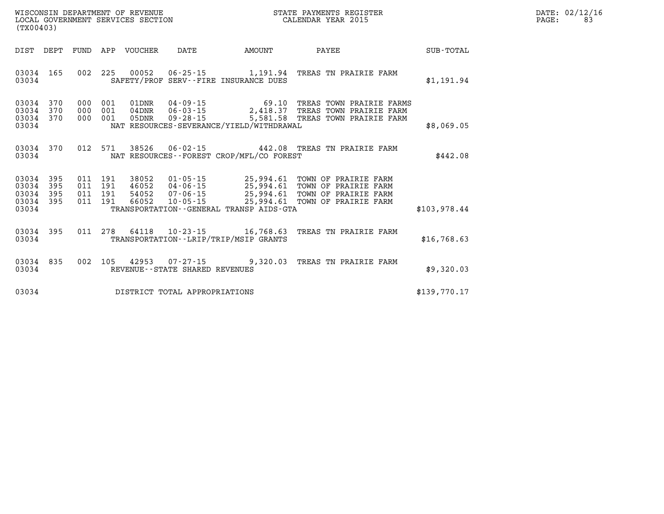|                   | DATE: 02/12/16 |
|-------------------|----------------|
| $\mathtt{PAGE}$ : | 83             |

| WISCONSIN DEPARTMENT OF REVENUE<br>LOCAL GOVERNMENT SERVICES SECTION<br>(TX00403) |                          |                          |                          |                                  |                                                                |                                                                   | STATE PAYMENTS REGISTER<br>CALENDAR YEAR 2015                                                                                        |              |
|-----------------------------------------------------------------------------------|--------------------------|--------------------------|--------------------------|----------------------------------|----------------------------------------------------------------|-------------------------------------------------------------------|--------------------------------------------------------------------------------------------------------------------------------------|--------------|
| DIST                                                                              | DEPT                     | FUND                     | APP                      | VOUCHER                          | DATE                                                           | AMOUNT                                                            | PAYEE                                                                                                                                | SUB-TOTAL    |
| 03034<br>03034                                                                    | 165                      | 002                      | 225                      | 00052                            |                                                                | SAFETY/PROF SERV--FIRE INSURANCE DUES                             | 06-25-15 1,191.94 TREAS TN PRAIRIE FARM                                                                                              | \$1,191.94   |
| 03034<br>03034<br>03034<br>03034                                                  | 370<br>370<br>370        | 000<br>000<br>000        | 001<br>001<br>001        | 01DNR<br>04DNR<br>05DNR          | $04 - 09 - 15$<br>$06 - 03 - 15$<br>$09 - 28 - 15$             | NAT RESOURCES-SEVERANCE/YIELD/WITHDRAWAL                          | 69.10 TREAS TOWN PRAIRIE FARMS<br>2,418.37 TREAS TOWN PRAIRIE FARM<br>5,581.58 TREAS TOWN PRAIRIE FARM                               | \$8,069.05   |
| 03034<br>03034                                                                    | 370                      | 012                      | 571                      | 38526                            |                                                                | NAT RESOURCES - - FOREST CROP/MFL/CO FOREST                       | 06-02-15 442.08 TREAS TN PRAIRIE FARM                                                                                                | \$442.08     |
| 03034<br>03034<br>03034<br>03034<br>03034                                         | 395<br>395<br>395<br>395 | 011<br>011<br>011<br>011 | 191<br>191<br>191<br>191 | 38052<br>46052<br>54052<br>66052 | $01 - 05 - 15$<br>$04 - 06 - 15$<br>07-06-15<br>$10 - 05 - 15$ | TRANSPORTATION--GENERAL TRANSP AIDS-GTA                           | 25,994.61 TOWN OF PRAIRIE FARM<br>25,994.61 TOWN OF PRAIRIE FARM<br>25,994.61 TOWN OF PRAIRIE FARM<br>25,994.61 TOWN OF PRAIRIE FARM | \$103,978.44 |
| 03034<br>03034                                                                    | 395                      | 011                      | 278                      | 64118                            |                                                                | $10 - 23 - 15$ 16,768.63<br>TRANSPORTATION--LRIP/TRIP/MSIP GRANTS | TREAS TN PRAIRIE FARM                                                                                                                | \$16,768.63  |
| 03034<br>03034                                                                    | 835                      | 002                      | 105                      | 42953                            | $07 - 27 - 15$<br>REVENUE - - STATE SHARED REVENUES            | 9,320.03                                                          | TREAS TN PRAIRIE FARM                                                                                                                | \$9,320.03   |
| 03034                                                                             |                          |                          |                          |                                  | DISTRICT TOTAL APPROPRIATIONS                                  |                                                                   |                                                                                                                                      | \$139.770.17 |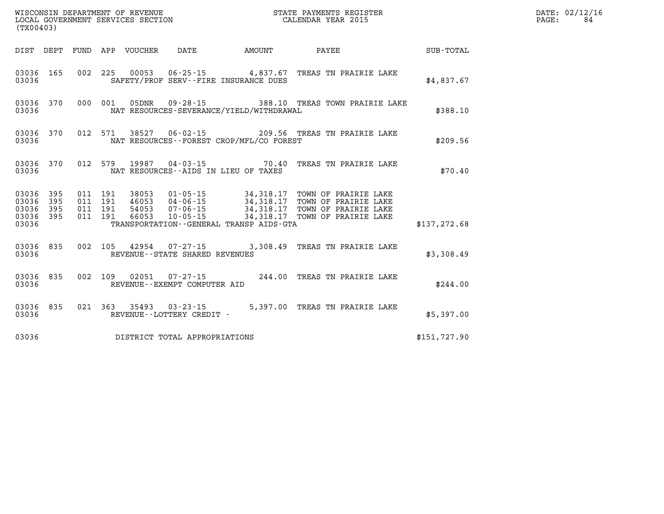| (TX00403)                                                         | STATE PAYMENTS REGISTER<br>WISCONSIN DEPARTMENT OF REVENUE<br>LOCAL GOVERNMENT SERVICES SECTION<br>CALENDAR YEAR 2015 |                                                                                                 |                  |  |  |  |  |  |
|-------------------------------------------------------------------|-----------------------------------------------------------------------------------------------------------------------|-------------------------------------------------------------------------------------------------|------------------|--|--|--|--|--|
| DIST<br>DEPT<br>FUND                                              | APP<br>DATE<br>VOUCHER<br>AMOUNT                                                                                      | PAYEE                                                                                           | <b>SUB-TOTAL</b> |  |  |  |  |  |
| 03036<br>165<br>002<br>03036                                      | 225<br>00053 06-25-15 4,837.67<br>SAFETY/PROF SERV--FIRE INSURANCE DUES                                               | TREAS TN PRAIRIE LAKE                                                                           | \$4,837.67       |  |  |  |  |  |
| 03036<br>370<br>000<br>03036                                      | 001<br>$09 - 28 - 15$<br>05DNR<br>NAT RESOURCES-SEVERANCE/YIELD/WITHDRAWAL                                            | 388.10 TREAS TOWN PRAIRIE LAKE                                                                  | \$388.10         |  |  |  |  |  |
| 03036<br>370<br>012<br>03036                                      | 571<br>NAT RESOURCES - - FOREST CROP/MFL/CO FOREST                                                                    | 38527 06-02-15 209.56 TREAS TN PRAIRIE LAKE                                                     | \$209.56         |  |  |  |  |  |
| 012<br>03036<br>370<br>03036                                      | 19987<br>579<br>$04 - 03 - 15$<br>NAT RESOURCES -- AIDS IN LIEU OF TAXES                                              | 70.40<br>TREAS TN PRAIRIE LAKE                                                                  | \$70.40          |  |  |  |  |  |
| 03036<br>395<br>011<br>03036<br>395<br>011<br>03036<br>395<br>011 | 191<br>$01 - 05 - 15$<br>34,318.17<br>38053<br>191<br>46053<br>04 - 06 - 15<br>07 - 06 - 15<br>191<br>54053           | TOWN OF PRAIRIE LAKE<br>34, 318.17<br>TOWN OF PRAIRIE LAKE<br>34,318.17<br>TOWN OF PRAIRIE LAKE |                  |  |  |  |  |  |
| 03036<br>395<br>011<br>03036                                      | 34, 318.17<br>191<br>66053<br>$10 - 05 - 15$<br>TRANSPORTATION--GENERAL TRANSP AIDS-GTA                               | TOWN OF PRAIRIE LAKE                                                                            | \$137, 272.68    |  |  |  |  |  |
| 03036<br>835<br>002<br>03036                                      | 105<br>42954<br>$07 - 27 - 15$<br>REVENUE - - STATE SHARED REVENUES                                                   | 3,308.49<br>TREAS TN PRAIRIE LAKE                                                               | \$3,308.49       |  |  |  |  |  |
| 03036<br>835<br>002<br>03036                                      | 109<br>02051<br>$07 - 27 - 15$<br>REVENUE--EXEMPT COMPUTER AID                                                        | 244.00<br>TREAS TN PRAIRIE LAKE                                                                 | \$244.00         |  |  |  |  |  |
| 835<br>021<br>03036<br>03036                                      | 363<br>35493<br>$03 - 23 - 15$<br>REVENUE - - LOTTERY CREDIT -                                                        | 5,397.00<br>TREAS TN PRAIRIE LAKE                                                               | \$5,397.00       |  |  |  |  |  |
| 03036                                                             | DISTRICT TOTAL APPROPRIATIONS                                                                                         |                                                                                                 | \$151,727.90     |  |  |  |  |  |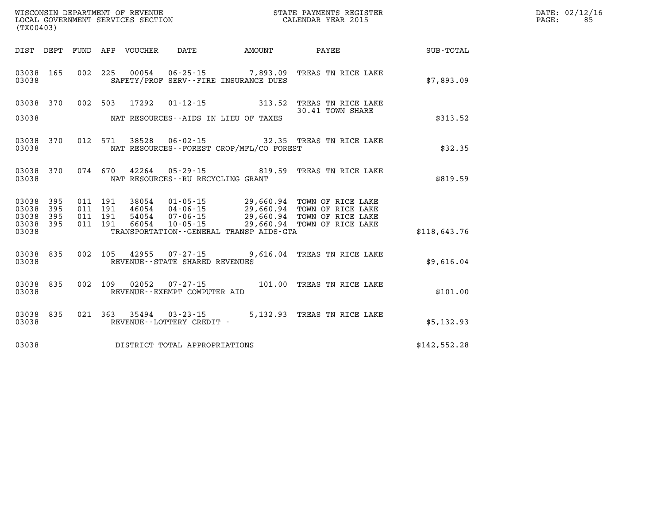| $\mathtt{DATE}$ : | 02/12/16 |
|-------------------|----------|
| PAGE:             | 85.      |

| (TX00403)                                                             | WISCONSIN DEPARTMENT OF REVENUE<br>LOCAL GOVERNMENT SERVICES SECTION                     |                                                                                                                                                        | STATE PAYMENTS REGISTER<br>CALENDAR YEAR 2015                                              |                  |
|-----------------------------------------------------------------------|------------------------------------------------------------------------------------------|--------------------------------------------------------------------------------------------------------------------------------------------------------|--------------------------------------------------------------------------------------------|------------------|
| DEPT<br>DIST                                                          | <b>FUND</b><br>APP<br>VOUCHER                                                            | DATE<br>AMOUNT                                                                                                                                         | PAYEE                                                                                      | <b>SUB-TOTAL</b> |
| 165<br>03038<br>03038                                                 | 002<br>225<br>00054                                                                      | $06 - 25 - 15$ 7,893.09<br>SAFETY/PROF SERV--FIRE INSURANCE DUES                                                                                       | TREAS TN RICE LAKE                                                                         | \$7,893.09       |
| 03038<br>370                                                          | 002<br>503<br>17292                                                                      | $01 - 12 - 15$<br>313.52                                                                                                                               | TREAS TN RICE LAKE<br>30.41 TOWN SHARE                                                     |                  |
| 03038                                                                 |                                                                                          | NAT RESOURCES--AIDS IN LIEU OF TAXES                                                                                                                   |                                                                                            | \$313.52         |
| 03038<br>370<br>03038                                                 | 012<br>571<br>38528                                                                      | $06 - 02 - 15$<br>NAT RESOURCES - - FOREST CROP/MFL/CO FOREST                                                                                          | 32.35 TREAS TN RICE LAKE                                                                   | \$32.35          |
| 370<br>03038<br>03038                                                 | 074<br>670<br>42264                                                                      | $05 - 29 - 15$<br>819.59<br>NAT RESOURCES - - RU RECYCLING GRANT                                                                                       | TREAS TN RICE LAKE                                                                         | \$819.59         |
| 03038<br>395<br>03038<br>395<br>03038<br>395<br>395<br>03038<br>03038 | 011<br>191<br>38054<br>011<br>191<br>46054<br>191<br>011<br>54054<br>011<br>191<br>66054 | $01 - 05 - 15$<br>29,660.94<br>$04 - 06 - 15$<br>$07 - 06 - 15$<br>29,660.94<br>$10 - 05 - 15$<br>29,660.94<br>TRANSPORTATION--GENERAL TRANSP AIDS-GTA | 29,660.94 TOWN OF RICE LAKE<br>TOWN OF RICE LAKE<br>TOWN OF RICE LAKE<br>TOWN OF RICE LAKE | \$118,643.76     |
| 835<br>03038<br>03038                                                 | 002<br>105<br>42955                                                                      | 9,616.04<br>$07 - 27 - 15$<br>REVENUE - - STATE SHARED REVENUES                                                                                        | TREAS TN RICE LAKE                                                                         | \$9,616.04       |
| 835<br>03038<br>03038                                                 | 002<br>109<br>02052                                                                      | $07 - 27 - 15$<br>101.00<br>REVENUE--EXEMPT COMPUTER AID                                                                                               | TREAS TN RICE LAKE                                                                         | \$101.00         |
| 835<br>03038<br>03038                                                 | 021<br>363<br>35494                                                                      | $03 - 23 - 15$<br>REVENUE - - LOTTERY CREDIT -                                                                                                         | 5,132.93 TREAS TN RICE LAKE                                                                | \$5,132.93       |
| 03038                                                                 |                                                                                          | DISTRICT TOTAL APPROPRIATIONS                                                                                                                          |                                                                                            | \$142,552.28     |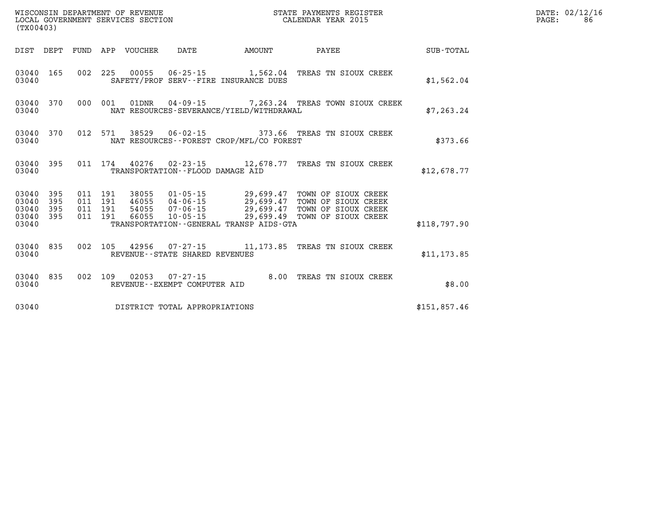| (TX00403)                                 |                          |                          |                          | WISCONSIN DEPARTMENT OF REVENUE<br>LOCAL GOVERNMENT SERVICES SECTION |                                             |                                                                                                                                | STATE PAYMENTS REGISTER<br>CALENDAR YEAR 2015                                            |                  |
|-------------------------------------------|--------------------------|--------------------------|--------------------------|----------------------------------------------------------------------|---------------------------------------------|--------------------------------------------------------------------------------------------------------------------------------|------------------------------------------------------------------------------------------|------------------|
| DIST                                      | DEPT                     | FUND                     | APP                      | VOUCHER                                                              | DATE                                        | AMOUNT                                                                                                                         | PAYEE                                                                                    | <b>SUB-TOTAL</b> |
| 03040<br>03040                            | 165                      | 002                      | 225                      |                                                                      |                                             | SAFETY/PROF SERV--FIRE INSURANCE DUES                                                                                          | 00055  06-25-15  1,562.04  TREAS TN SIOUX CREEK                                          | \$1,562.04       |
| 03040<br>03040                            | 370                      | 000                      | 001                      | 01DNR                                                                |                                             | NAT RESOURCES-SEVERANCE/YIELD/WITHDRAWAL                                                                                       | 04-09-15 7,263.24 TREAS TOWN SIOUX CREEK                                                 | \$7,263.24       |
| 03040<br>03040                            | 370                      | 012                      | 571                      |                                                                      |                                             | NAT RESOURCES - - FOREST CROP/MFL/CO FOREST                                                                                    | 38529  06-02-15  373.66  TREAS TN SIOUX CREEK                                            | \$373.66         |
| 03040<br>03040                            | 395                      | 011                      | 174                      |                                                                      | TRANSPORTATION -- FLOOD DAMAGE AID          | 40276 02-23-15 12,678.77                                                                                                       | TREAS TN SIOUX CREEK                                                                     | \$12,678.77      |
| 03040<br>03040<br>03040<br>03040<br>03040 | 395<br>395<br>395<br>395 | 011<br>011<br>011<br>011 | 191<br>191<br>191<br>191 | 38055<br>46055<br>54055<br>66055                                     | $07 - 06 - 15$<br>10-05-15                  | $01 - 05 - 15$ 29,699.47<br>$04 - 06 - 15$ 29,699.47<br>29,699.47<br>29,699.49<br>TRANSPORTATION - - GENERAL TRANSP AIDS - GTA | TOWN OF SIOUX CREEK<br>TOWN OF SIOUX CREEK<br>TOWN OF SIOUX CREEK<br>TOWN OF SIOUX CREEK | \$118,797.90     |
| 03040<br>03040                            | 835                      | 002                      | 105                      | 42956                                                                | REVENUE - - STATE SHARED REVENUES           |                                                                                                                                | 07-27-15 11,173.85 TREAS TN SIOUX CREEK                                                  | \$11, 173.85     |
| 03040<br>03040                            | 835                      | 002                      | 109                      | 02053                                                                | 07-27-15<br>REVENUE - - EXEMPT COMPUTER AID | 8.00                                                                                                                           | TREAS TN SIOUX CREEK                                                                     | \$8.00           |
| 03040                                     |                          |                          |                          |                                                                      | DISTRICT TOTAL APPROPRIATIONS               |                                                                                                                                |                                                                                          | \$151,857.46     |

**LOCAL GOVERNIT SERVICE:** 02/12/16<br>PAGE: 86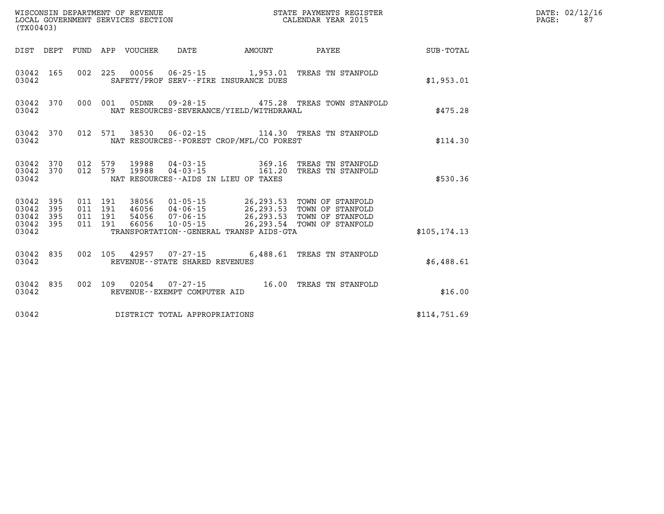| %WISCONSIN DEPARTMENT OF REVENUE $$\tt STATE~PAYMENTS~REGISTER$ LOCAL GOVERNMENT SERVICES SECTION $$\tt CALENDAR~YEAR~2015$<br>(TX00403) |            |                   |  |  |                                |                                          |                                                                                                                                                                                                            |               | DATE: 02/12/16<br>PAGE:<br>87 |
|------------------------------------------------------------------------------------------------------------------------------------------|------------|-------------------|--|--|--------------------------------|------------------------------------------|------------------------------------------------------------------------------------------------------------------------------------------------------------------------------------------------------------|---------------|-------------------------------|
|                                                                                                                                          |            |                   |  |  |                                | DIST DEPT FUND APP VOUCHER DATE AMOUNT   | <b>PAYEE</b>                                                                                                                                                                                               | SUB-TOTAL     |                               |
| 03042 165<br>03042                                                                                                                       |            |                   |  |  |                                | SAFETY/PROF SERV--FIRE INSURANCE DUES    | 002 225 00056 06-25-15 1,953.01 TREAS TN STANFOLD                                                                                                                                                          | \$1,953.01    |                               |
| 03042                                                                                                                                    |            | 03042 370 000 001 |  |  |                                | NAT RESOURCES-SEVERANCE/YIELD/WITHDRAWAL | 05DNR  09-28-15  475.28 TREAS TOWN STANFOLD                                                                                                                                                                | \$475.28      |                               |
| 03042                                                                                                                                    | 03042 370  |                   |  |  |                                | NAT RESOURCES--FOREST CROP/MFL/CO FOREST | 012 571 38530 06-02-15 114.30 TREAS TN STANFOLD                                                                                                                                                            | \$114.30      |                               |
| 03042                                                                                                                                    |            |                   |  |  |                                | NAT RESOURCES -- AIDS IN LIEU OF TAXES   | $\begin{array}{cccccccc} 03042 & 370 & 012 & 579 & 19988 & 04-03-15 & & 369.16 & \text{TREAS TN STANFOLD} \\ 03042 & 370 & 012 & 579 & 19988 & 04-03-15 & & 161.20 & \text{TREAS TN STANFOLD} \end{array}$ | \$530.36      |                               |
| 03042<br>03042<br>03042 395<br>03042 395<br>03042                                                                                        | 395<br>395 |                   |  |  |                                | TRANSPORTATION--GENERAL TRANSP AIDS-GTA  | 011 191 38056 01-05-15 26,293.53 TOWN OF STANFOLD<br>011 191 46056 04-06-15 26,293.53 TOWN OF STANFOLD<br>011 191 54056 07-06-15 26,293.53 TOWN OF STANFOLD<br>011 191 66056 10-05-15                      | \$105, 174.13 |                               |
| 03042                                                                                                                                    | 03042 835  |                   |  |  | REVENUE--STATE SHARED REVENUES |                                          | 002 105 42957 07-27-15 6,488.61 TREAS TN STANFOLD                                                                                                                                                          | \$6,488.61    |                               |
| 03042 835<br>03042                                                                                                                       |            |                   |  |  | REVENUE--EXEMPT COMPUTER AID   |                                          | 002 109 02054 07-27-15 16.00 TREAS TN STANFOLD                                                                                                                                                             | \$16.00       |                               |
| 03042                                                                                                                                    |            |                   |  |  | DISTRICT TOTAL APPROPRIATIONS  |                                          |                                                                                                                                                                                                            | \$114,751.69  |                               |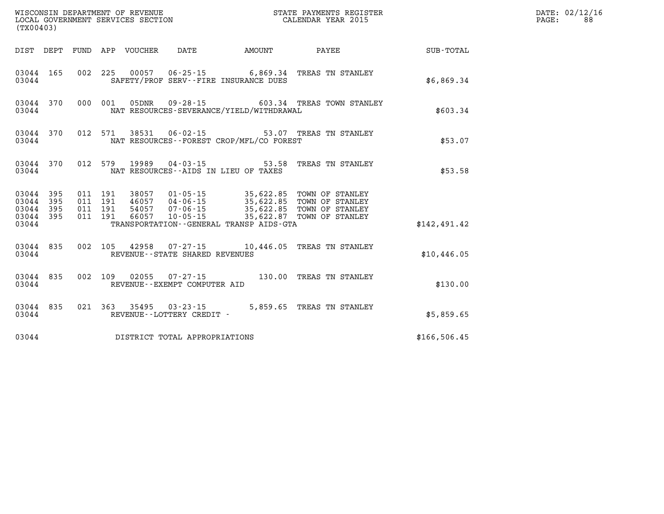| (TX00403) |                                     |  |  |  |                                                     |                                              |                                                                                                                                                                                                                                                                                                                                                            |              | DATE: 02/12/16<br>88<br>PAGE: |
|-----------|-------------------------------------|--|--|--|-----------------------------------------------------|----------------------------------------------|------------------------------------------------------------------------------------------------------------------------------------------------------------------------------------------------------------------------------------------------------------------------------------------------------------------------------------------------------------|--------------|-------------------------------|
|           |                                     |  |  |  |                                                     | DIST DEPT FUND APP VOUCHER DATE AMOUNT       | <b>PAYEE</b> PAYEE                                                                                                                                                                                                                                                                                                                                         | SUB-TOTAL    |                               |
| 03044     | 03044 165                           |  |  |  |                                                     | SAFETY/PROF SERV--FIRE INSURANCE DUES        | 002 225 00057 06-25-15 6,869.34 TREAS TN STANLEY                                                                                                                                                                                                                                                                                                           | \$6,869.34   |                               |
| 03044     |                                     |  |  |  |                                                     | NAT RESOURCES-SEVERANCE/YIELD/WITHDRAWAL     | 03044 370 000 001 05DNR 09-28-15 603.34 TREAS TOWN STANLEY                                                                                                                                                                                                                                                                                                 | \$603.34     |                               |
| 03044     | 03044 370                           |  |  |  |                                                     | NAT RESOURCES - - FOREST CROP/MFL/CO FOREST  | 012 571 38531 06-02-15 53.07 TREAS TN STANLEY                                                                                                                                                                                                                                                                                                              | \$53.07      |                               |
|           | 03044 370<br>03044                  |  |  |  |                                                     | NAT RESOURCES--AIDS IN LIEU OF TAXES         | 012 579 19989 04-03-15 53.58 TREAS TN STANLEY                                                                                                                                                                                                                                                                                                              | \$53.58      |                               |
|           | 03044 395<br>03044 395<br>03044 395 |  |  |  |                                                     |                                              | $\begin{array}{cccc} 011 & 191 & 38057 & 01\cdot 05\cdot 15 & 35,622.85 & \text{TOWN OF STANLEY} \\ 011 & 191 & 46057 & 04\cdot 06\cdot 15 & 35,622.85 & \text{TOWN OF STANLEY} \\ 011 & 191 & 54057 & 07\cdot 06\cdot 15 & 35,622.85 & \text{TOWN OF STANLEY} \\ 011 & 191 & 66057 & 10\cdot 05\cdot 15 & 35,622.87 & \text{TOWN OF STANLEY} \end{array}$ |              |                               |
| 03044     | 03044 395                           |  |  |  |                                                     | TRANSPORTATION - - GENERAL TRANSP AIDS - GTA |                                                                                                                                                                                                                                                                                                                                                            | \$142.491.42 |                               |
| 03044     |                                     |  |  |  | REVENUE - - STATE SHARED REVENUES                   |                                              | 03044 835 002 105 42958 07-27-15 10,446.05 TREAS TN STANLEY                                                                                                                                                                                                                                                                                                | \$10,446.05  |                               |
| 03044     | 03044 835                           |  |  |  | REVENUE--EXEMPT COMPUTER AID                        |                                              | 002 109 02055 07-27-15 130.00 TREAS TN STANLEY                                                                                                                                                                                                                                                                                                             | \$130.00     |                               |
| 03044     | 03044 835                           |  |  |  | 021 363 35495 03-23-15<br>REVENUE--LOTTERY CREDIT - |                                              | 5,859.65 TREAS TN STANLEY                                                                                                                                                                                                                                                                                                                                  | \$5,859.65   |                               |
|           |                                     |  |  |  | 03044 DISTRICT TOTAL APPROPRIATIONS                 |                                              |                                                                                                                                                                                                                                                                                                                                                            | \$166,506.45 |                               |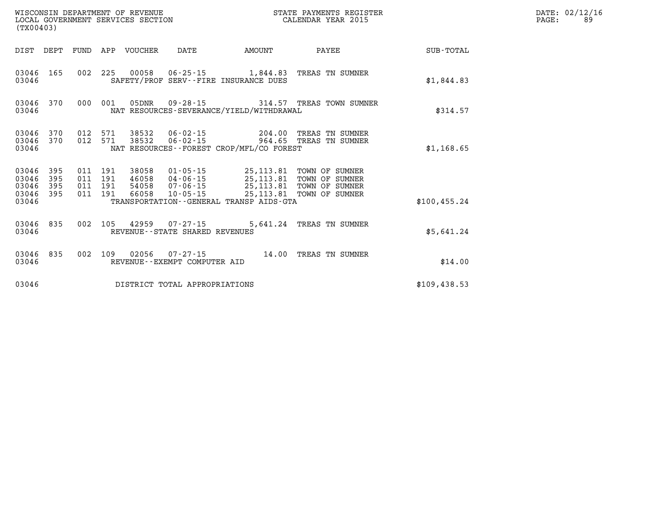| WISCONSIN DEPARTMENT OF REVENUE<br>LOCAL GOVERNMENT SERVICES SECTION<br>(TX00403) |                        |                               |         |                |                                                  |                                                                                                                                                                                         | STATE PAYMENTS REGISTER<br>CALENDAR YEAR 2015                            |               | DATE: 02/12/16<br>PAGE:<br>89 |
|-----------------------------------------------------------------------------------|------------------------|-------------------------------|---------|----------------|--------------------------------------------------|-----------------------------------------------------------------------------------------------------------------------------------------------------------------------------------------|--------------------------------------------------------------------------|---------------|-------------------------------|
|                                                                                   |                        | DIST DEPT FUND                |         | APP VOUCHER    | DATE                                             | AMOUNT                                                                                                                                                                                  | PAYEE                                                                    | SUB-TOTAL     |                               |
| 03046                                                                             | 03046 165              |                               | 002 225 |                |                                                  | SAFETY/PROF SERV--FIRE INSURANCE DUES                                                                                                                                                   | 00058  06-25-15  1,844.83  TREAS TN SUMNER                               | \$1,844.83    |                               |
| 03046                                                                             | 03046 370              |                               | 000 001 | 05DNR          |                                                  | NAT RESOURCES-SEVERANCE/YIELD/WITHDRAWAL                                                                                                                                                |                                                                          | \$314.57      |                               |
| 03046                                                                             | 03046 370<br>03046 370 | 012<br>012 571                | 571     | 38532<br>38532 |                                                  | NAT RESOURCES - - FOREST CROP/MFL/CO FOREST                                                                                                                                             | 06-02-15 204.00 TREAS TN SUMNER<br>06-02-15    964.65    TREAS TN SUMNER | \$1,168.65    |                               |
| 03046 395<br>03046<br>03046<br>03046 395<br>03046                                 | 395<br>395             | 011 191<br>011 191<br>011 191 | 011 191 | 38058<br>66058 | 54058 07-06-15<br>10-05-15                       | 01-05-15 25,113.81 TOWN OF SUMNER<br>46058  04-06-15  25,113.81  TOWN OF SUMNER<br>25,113.81 TOWN OF SUMNER<br>25,113.81 TOWN OF SUMNER<br>TRANSPORTATION - - GENERAL TRANSP AIDS - GTA |                                                                          | \$100, 455.24 |                               |
|                                                                                   |                        |                               |         |                |                                                  |                                                                                                                                                                                         |                                                                          |               |                               |
| 03046                                                                             | 03046 835              |                               | 002 105 |                | 42959 07-27-15<br>REVENUE--STATE SHARED REVENUES |                                                                                                                                                                                         | 5,641.24 TREAS TN SUMNER                                                 | \$5.641.24    |                               |
| 03046                                                                             | 03046 835              | 002 109                       |         | 02056          | 07-27-15<br>REVENUE--EXEMPT COMPUTER AID         |                                                                                                                                                                                         | 14.00 TREAS TN SUMNER                                                    | \$14.00       |                               |
| 03046                                                                             |                        |                               |         |                | DISTRICT TOTAL APPROPRIATIONS                    |                                                                                                                                                                                         |                                                                          | \$109,438.53  |                               |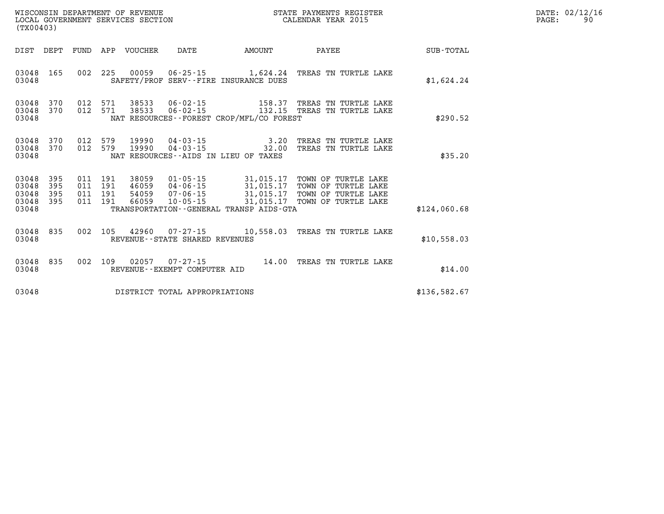| (TX00403)                                                             | LOCAL GOVERNMENT SERVICES SECTION                                                                                                                                                                                                                                                                              |        | CALENDAR YEAR 2015                                                           |              | PAGE: | 90 |
|-----------------------------------------------------------------------|----------------------------------------------------------------------------------------------------------------------------------------------------------------------------------------------------------------------------------------------------------------------------------------------------------------|--------|------------------------------------------------------------------------------|--------------|-------|----|
| DEPT<br>DIST                                                          | FUND APP VOUCHER<br>DATE                                                                                                                                                                                                                                                                                       | AMOUNT | PAYEE                                                                        | SUB-TOTAL    |       |    |
| 03048<br>165<br>03048                                                 | 002 225 00059 06-25-15 1,624.24 TREAS TN TURTLE LAKE<br>SAFETY/PROF SERV--FIRE INSURANCE DUES                                                                                                                                                                                                                  |        |                                                                              | \$1,624.24   |       |    |
| 03048<br>370<br>370<br>03048<br>03048                                 | 012 571 38533<br>012 571<br>38533<br>NAT RESOURCES - - FOREST CROP/MFL/CO FOREST                                                                                                                                                                                                                               |        | 06-02-15 158.37 TREAS TN TURTLE LAKE<br>06-02-15 132.15 TREAS TN TURTLE LAKE | \$290.52     |       |    |
| 370<br>03048<br>370<br>03048<br>03048                                 | 012 579 19990<br>012 579<br>19990<br>NAT RESOURCES--AIDS IN LIEU OF TAXES                                                                                                                                                                                                                                      |        | 04-03-15 3.20 TREAS TN TURTLE LAKE<br>04-03-15 32.00 TREAS TN TURTLE LAKE    | \$35.20      |       |    |
| 03048<br>395<br>03048<br>395<br>03048<br>395<br>03048<br>395<br>03048 | 011 191<br>38059<br>38059  01-05-15  31,015.17  TOWN OF TURTLE LAKE<br>46059  04-06-15  31,015.17  TOWN OF TURTLE LAKE<br>54059  07-06-15  31,015.17  TOWN OF TURTLE LAKE<br>66059  10-05-15  31,015.17  TOWN OF TURTLE LAKE<br>011 191<br>011 191<br>011 191 66059<br>TRANSPORTATION--GENERAL TRANSP AIDS-GTA |        |                                                                              | \$124.060.68 |       |    |
| 03048<br>835<br>03048                                                 | 002 105 42960 07-27-15 10,558.03 TREAS TN TURTLE LAKE<br>REVENUE--STATE SHARED REVENUES                                                                                                                                                                                                                        |        |                                                                              | \$10,558.03  |       |    |
| 835<br>03048<br>03048                                                 | 002 109 02057<br>REVENUE--EXEMPT COMPUTER AID                                                                                                                                                                                                                                                                  |        |                                                                              | \$14.00      |       |    |
| 03048                                                                 | DISTRICT TOTAL APPROPRIATIONS                                                                                                                                                                                                                                                                                  |        |                                                                              | \$136,582.67 |       |    |

**WISCONSIN DEPARTMENT OF REVENUE STATE PAYMENTS REGISTER DATE: 02/12/16**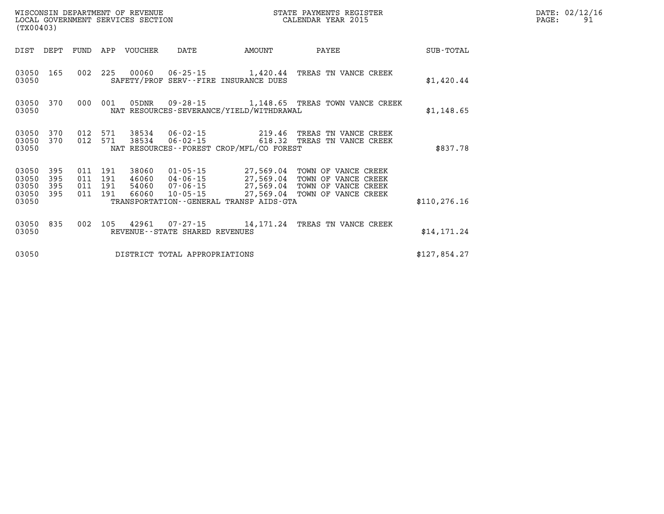| WISCONSIN DEPARTMENT OF REVENUE<br>LOCAL GOVERNMENT SERVICES SECTION<br>(TX00403) |                   |                    |                    |                  |                                |                                             | STATE PAYMENTS REGISTER<br>CALENDAR YEAR 2015                                                                                                                                                            |               | DATE: 02/12/16<br>PAGE:<br>91 |
|-----------------------------------------------------------------------------------|-------------------|--------------------|--------------------|------------------|--------------------------------|---------------------------------------------|----------------------------------------------------------------------------------------------------------------------------------------------------------------------------------------------------------|---------------|-------------------------------|
| DIST                                                                              | DEPT              |                    |                    | FUND APP VOUCHER | DATE                           | AMOUNT                                      | PAYEE                                                                                                                                                                                                    | SUB-TOTAL     |                               |
| 03050 165<br>03050                                                                |                   |                    |                    |                  |                                | SAFETY/PROF SERV--FIRE INSURANCE DUES       | 002 225 00060 06-25-15 1,420.44 TREAS TN VANCE CREEK                                                                                                                                                     | \$1,420.44    |                               |
| 03050<br>03050                                                                    | 370               |                    | 000 001            |                  |                                | NAT RESOURCES-SEVERANCE/YIELD/WITHDRAWAL    | 05DNR  09-28-15  1,148.65  TREAS TOWN VANCE CREEK                                                                                                                                                        | \$1,148.65    |                               |
| 03050 370<br>03050 370<br>03050                                                   |                   | 012 571            | 012 571            | 38534<br>38534   |                                | NAT RESOURCES - - FOREST CROP/MFL/CO FOREST | 06-02-15   219.46 TREAS TN VANCE CREEK<br>06-02-15   618.32 TREAS TN VANCE CREEK                                                                                                                         | \$837.78      |                               |
| 03050<br>03050<br>03050<br>03050 395<br>03050                                     | 395<br>395<br>395 | 011 191<br>011 191 | 011 191<br>011 191 |                  |                                | TRANSPORTATION--GENERAL TRANSP AIDS-GTA     | 38060  01-05-15  27,569.04  TOWN OF VANCE CREEK<br>46060  04-06-15  27,569.04  TOWN OF VANCE CREEK<br>54060  07-06-15  27,569.04  TOWN OF VANCE CREEK<br>66060  10-05-15  27,569.04  TOWN OF VANCE CREEK | \$110, 276.16 |                               |
| 03050 835<br>03050                                                                |                   |                    |                    |                  | REVENUE--STATE SHARED REVENUES |                                             | 002 105 42961 07-27-15 14,171.24 TREAS TN VANCE CREEK                                                                                                                                                    | \$14, 171.24  |                               |
| 03050                                                                             |                   |                    |                    |                  | DISTRICT TOTAL APPROPRIATIONS  |                                             |                                                                                                                                                                                                          | \$127,854.27  |                               |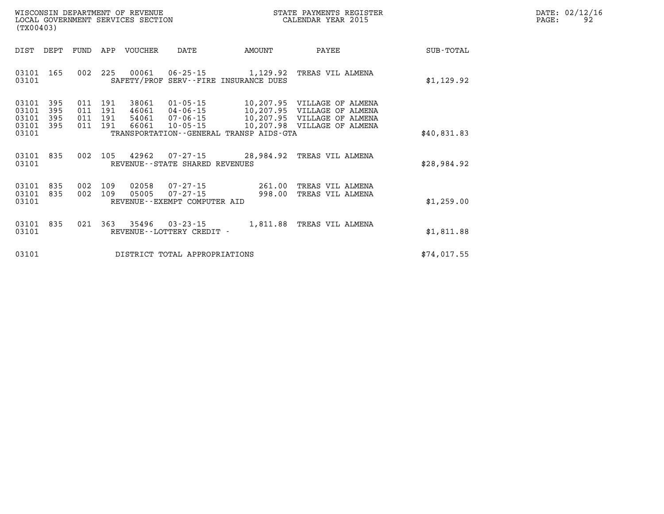| WISCONSIN DEPARTMENT OF REVENUE   | STATE PAYMENTS REGISTER | DATE: | : 02/12/16 |
|-----------------------------------|-------------------------|-------|------------|
| LOCAL GOVERNMENT SERVICES SECTION | CALENDAR YEAR 2015      | PAGE  |            |

| LOCAL GOVERNMENT SERVICES SECTION<br>(TX00403) |                   |      |                               |                         |                                                        | CALENDAR YEAR 2015                      |                                                                                           | PAGE:       | 92 |  |
|------------------------------------------------|-------------------|------|-------------------------------|-------------------------|--------------------------------------------------------|-----------------------------------------|-------------------------------------------------------------------------------------------|-------------|----|--|
| DIST                                           | DEPT              | FUND | APP                           | VOUCHER                 | DATE                                                   | AMOUNT                                  | PAYEE                                                                                     | SUB-TOTAL   |    |  |
| 03101<br>03101                                 | 165               |      | 002 225                       |                         |                                                        | SAFETY/PROF SERV--FIRE INSURANCE DUES   | 00061  06-25-15  1,129.92  TREAS VIL ALMENA                                               | \$1,129.92  |    |  |
| 03101<br>03101<br>03101                        | 395<br>395<br>395 |      | 011 191<br>011 191<br>011 191 | 38061<br>46061<br>54061 | $01 - 05 - 15$<br>04-06-15<br>07-06-15                 |                                         | 10,207.95 VILLAGE OF ALMENA<br>10,207.95 VILLAGE OF ALMENA<br>10,207.95 VILLAGE OF ALMENA |             |    |  |
| 03101<br>03101                                 | 395               |      | 011 191                       | 66061                   | $10 - 05 - 15$                                         | TRANSPORTATION--GENERAL TRANSP AIDS-GTA | 10,207.98 VILLAGE OF ALMENA                                                               | \$40,831.83 |    |  |
| 03101<br>03101                                 | 835               |      |                               | 002 105 42962           | REVENUE--STATE SHARED REVENUES                         |                                         | 07-27-15 28,984.92 TREAS VIL ALMENA                                                       | \$28,984.92 |    |  |
| 03101<br>03101 835                             | 835               | 002  | 002 109<br>109                | 02058<br>05005          | 07 - 27 - 15<br>07-27-15                               | 261.00<br>998.00                        | TREAS VIL ALMENA<br>TREAS VIL ALMENA                                                      |             |    |  |
| 03101                                          |                   |      |                               |                         | REVENUE--EXEMPT COMPUTER AID                           |                                         |                                                                                           | \$1,259.00  |    |  |
| 03101<br>03101                                 | 835               |      |                               |                         | 021 363 35496 03-23-15<br>REVENUE - - LOTTERY CREDIT - |                                         | 1,811.88 TREAS VIL ALMENA                                                                 | \$1,811.88  |    |  |
| 03101                                          |                   |      |                               |                         | DISTRICT TOTAL APPROPRIATIONS                          |                                         |                                                                                           | \$74,017.55 |    |  |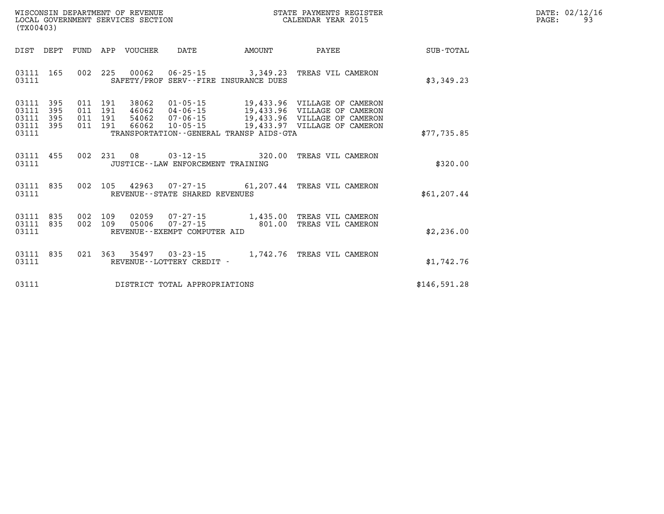| DATE: | 02/12/16 |
|-------|----------|
| PAGE: | 93       |

| (TX00403)                                                             |                                                                                                                                                          |                                                                                                                                                |              |
|-----------------------------------------------------------------------|----------------------------------------------------------------------------------------------------------------------------------------------------------|------------------------------------------------------------------------------------------------------------------------------------------------|--------------|
| DIST<br>DEPT                                                          | FUND<br>APP<br>VOUCHER<br>DATE                                                                                                                           | AMOUNT<br>PAYEE                                                                                                                                | SUB-TOTAL    |
| 165<br>03111<br>03111                                                 | 002<br>225<br>$00062$ $06 - 25 - 15$ 3,349.23<br>SAFETY/PROF SERV--FIRE INSURANCE DUES                                                                   | TREAS VIL CAMERON                                                                                                                              | \$3,349.23   |
| 03111<br>395<br>395<br>03111<br>395<br>03111<br>395<br>03111<br>03111 | 011<br>191<br>38062<br>01-05-15<br>011<br>191<br>46062 04-06-15<br>011<br>191<br>54062<br>011<br>191<br>66062<br>TRANSPORTATION--GENERAL TRANSP AIDS-GTA | 19,433.96 VILLAGE OF CAMERON<br>19,433.96 VILLAGE OF CAMERON<br>07-06-15 19,433.96 VILLAGE OF CAMERON<br>10-05-15 19,433.97 VILLAGE OF CAMERON | \$77,735.85  |
| 03111<br>455<br>03111                                                 | 002<br>231<br>08<br>JUSTICE - - LAW ENFORCEMENT TRAINING                                                                                                 | $03 - 12 - 15$ 320.00<br>TREAS VIL CAMERON                                                                                                     | \$320.00     |
| 835<br>03111<br>03111                                                 | 002<br>105<br>42963<br>REVENUE--STATE SHARED REVENUES                                                                                                    | 07-27-15 61,207.44 TREAS VIL CAMERON                                                                                                           | \$61, 207.44 |
| 03111<br>835<br>03111<br>835<br>03111                                 | 002<br>109<br>02059<br>002<br>109<br>05006<br>REVENUE--EXEMPT COMPUTER AID                                                                               | 07-27-15 1,435.00<br>07-27-15 801.00<br>TREAS VIL CAMERON<br>TREAS VIL CAMERON                                                                 | \$2,236.00   |
| 03111<br>835<br>03111                                                 | REVENUE - - LOTTERY CREDIT -                                                                                                                             | 021  363  35497  03-23-15  1,742.76  TREAS VIL CAMERON                                                                                         | \$1,742.76   |
| 03111                                                                 | DISTRICT TOTAL APPROPRIATIONS                                                                                                                            |                                                                                                                                                | \$146,591.28 |

WISCONSIN DEPARTMENT OF REVENUE **STATE PAYMENTS REGISTER**<br>LOCAL GOVERNMENT SERVICES SECTION

LOCAL GOVERNMENT SERVICES SECTION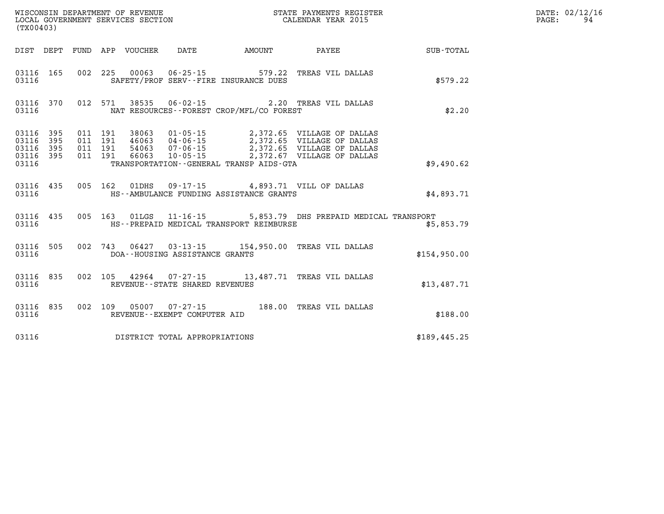| (TX00403)                       |                        |  |  |  |                                |                                                                        |                                                                                                                                                                                                                                                                                                                                                   |              | DATE: 02/12/16<br>94<br>PAGE: |
|---------------------------------|------------------------|--|--|--|--------------------------------|------------------------------------------------------------------------|---------------------------------------------------------------------------------------------------------------------------------------------------------------------------------------------------------------------------------------------------------------------------------------------------------------------------------------------------|--------------|-------------------------------|
|                                 |                        |  |  |  |                                |                                                                        | DIST DEPT FUND APP VOUCHER DATE AMOUNT PAYEE                                                                                                                                                                                                                                                                                                      | SUB-TOTAL    |                               |
| 03116                           | 03116 165              |  |  |  |                                | 002 225 00063 06-25-15 579.22<br>SAFETY/PROF SERV--FIRE INSURANCE DUES | TREAS VIL DALLAS                                                                                                                                                                                                                                                                                                                                  | \$579.22     |                               |
| 03116                           |                        |  |  |  |                                | NAT RESOURCES - - FOREST CROP/MFL/CO FOREST                            | 03116 370 012 571 38535 06-02-15 2.20 TREAS VIL DALLAS                                                                                                                                                                                                                                                                                            | \$2.20       |                               |
| 03116 395<br>03116 395<br>03116 | 03116 395<br>03116 395 |  |  |  |                                | TRANSPORTATION--GENERAL TRANSP AIDS-GTA                                | $\begin{array}{cccc} 011 & 191 & 38063 & 01\cdot 05\cdot 15 & 2\,372\, .65 & \text{VILLAGE OF DALLAS} \\ 011 & 191 & 46063 & 04\cdot 06\cdot 15 & 2\,372\, .65 & \text{VILLAGE OF DALLAS} \\ 011 & 191 & 54063 & 07\cdot 06\cdot 15 & 2\,372\, .65 & \text{VILLAGE OF DALLAS} \\ 011 & 191 & 66063 & 10\cdot 05\cdot 15 & 2\,372\, .67 & \text{V$ | \$9,490.62   |                               |
| 03116                           |                        |  |  |  |                                | HS--AMBULANCE FUNDING ASSISTANCE GRANTS                                | 03116 435 005 162 01DHS 09-17-15 4,893.71 VILL OF DALLAS                                                                                                                                                                                                                                                                                          | \$4.893.71   |                               |
|                                 | 03116                  |  |  |  |                                | HS--PREPAID MEDICAL TRANSPORT REIMBURSE                                | 03116 435 005 163 01LGS 11-16-15 5,853.79 DHS PREPAID MEDICAL TRANSPORT                                                                                                                                                                                                                                                                           | \$5,853.79   |                               |
| 03116                           |                        |  |  |  | DOA--HOUSING ASSISTANCE GRANTS |                                                                        | 03116 505 002 743 06427 03-13-15 154,950.00 TREAS VIL DALLAS                                                                                                                                                                                                                                                                                      | \$154,950.00 |                               |
| 03116                           |                        |  |  |  | REVENUE--STATE SHARED REVENUES |                                                                        | 03116 835 002 105 42964 07-27-15 13,487.71 TREAS VIL DALLAS                                                                                                                                                                                                                                                                                       | \$13,487.71  |                               |
| 03116                           |                        |  |  |  | REVENUE--EXEMPT COMPUTER AID   |                                                                        | 03116 835 002 109 05007 07-27-15 188.00 TREAS VIL DALLAS                                                                                                                                                                                                                                                                                          | \$188.00     |                               |
| 03116                           |                        |  |  |  | DISTRICT TOTAL APPROPRIATIONS  |                                                                        |                                                                                                                                                                                                                                                                                                                                                   | \$189,445.25 |                               |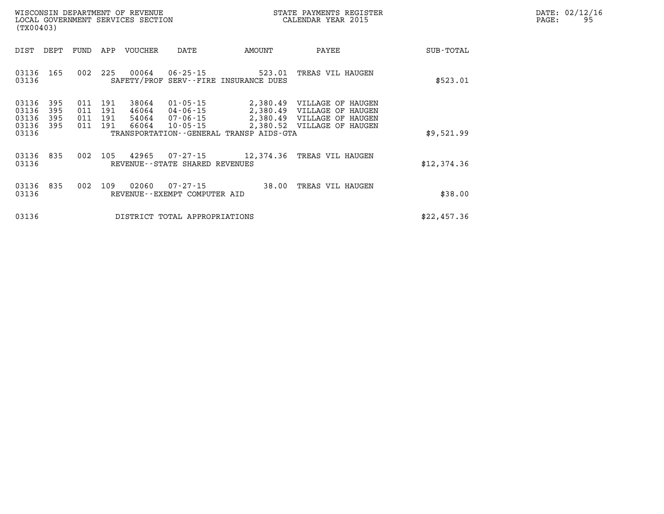|                   | DATE: 02/12/16 |
|-------------------|----------------|
| $\mathtt{PAGE}$ : | 95             |

| WISCONSIN DEPARTMENT OF REVENUE<br>LOCAL GOVERNMENT SERVICES SECTION<br>(TX00403) |                                           |                          |                          |                          |                                  |                                                |                                                 | STATE PAYMENTS REGISTER<br>CALENDAR YEAR 2015            |             | DATE: 02/12/1<br>PAGE:<br>95 |
|-----------------------------------------------------------------------------------|-------------------------------------------|--------------------------|--------------------------|--------------------------|----------------------------------|------------------------------------------------|-------------------------------------------------|----------------------------------------------------------|-------------|------------------------------|
|                                                                                   | DIST                                      | DEPT                     | FUND                     | APP                      | VOUCHER                          | DATE                                           | AMOUNT                                          | PAYEE                                                    | SUB-TOTAL   |                              |
|                                                                                   | 03136<br>03136                            | 165                      | 002                      | 225                      | 00064                            | $06 - 25 - 15$                                 | 523.01<br>SAFETY/PROF SERV--FIRE INSURANCE DUES | TREAS VIL HAUGEN                                         | \$523.01    |                              |
|                                                                                   | 03136<br>03136<br>03136<br>03136<br>03136 | 395<br>395<br>395<br>395 | 011<br>011<br>011<br>011 | 191<br>191<br>191<br>191 | 38064<br>46064<br>54064<br>66064 | 01-05-15<br>10-05-15                           | TRANSPORTATION - - GENERAL TRANSP AIDS - GTA    | 2,380.49 VILLAGE OF HAUGEN<br>2,380.52 VILLAGE OF HAUGEN | \$9,521.99  |                              |
|                                                                                   | 03136 835<br>03136                        |                          |                          | 002 105                  | 42965                            | REVENUE - - STATE SHARED REVENUES              |                                                 | 07-27-15 12,374.36 TREAS VIL HAUGEN                      | \$12,374.36 |                              |
|                                                                                   | 03136 835<br>03136                        |                          | 002                      | 109                      | 02060                            | $07 - 27 - 15$<br>REVENUE--EXEMPT COMPUTER AID |                                                 | 38.00 TREAS VIL HAUGEN                                   | \$38.00     |                              |
|                                                                                   | 03136                                     |                          |                          |                          |                                  | DISTRICT TOTAL APPROPRIATIONS                  |                                                 |                                                          | \$22,457.36 |                              |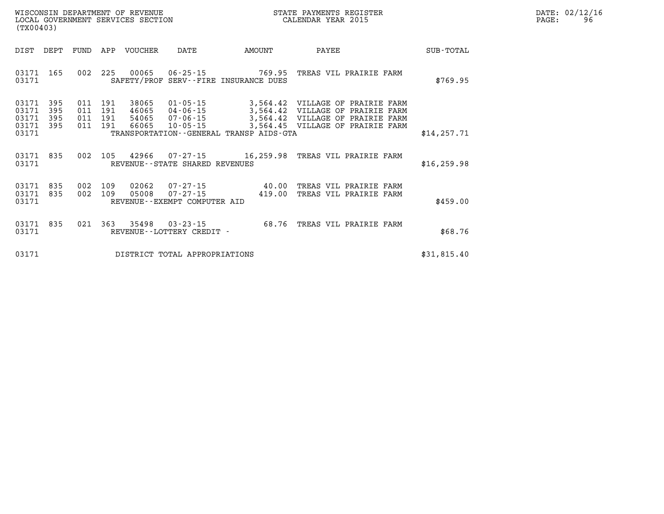| WISCONSIN DEPARTMENT OF REVENUE   | : PAYMENTS REGISTER<br>STATE | DATE: | : 02/12/16 |
|-----------------------------------|------------------------------|-------|------------|
| LOCAL GOVERNMENT SERVICES SECTION | CALENDAR YEAR 2015           | PAGE. |            |

| (TX00403)                       |                   |     |                           | LOCAL GOVERNMENT SERVICES SECTION |                                                |                                         | CALENDAR YEAR 2015                                                            |              | PAGE: | 96 |
|---------------------------------|-------------------|-----|---------------------------|-----------------------------------|------------------------------------------------|-----------------------------------------|-------------------------------------------------------------------------------|--------------|-------|----|
| DIST                            | DEPT              |     |                           | FUND APP VOUCHER                  | DATE                                           | AMOUNT                                  | PAYEE                                                                         | SUB-TOTAL    |       |    |
| 03171 165<br>03171              |                   |     |                           |                                   |                                                | SAFETY/PROF SERV--FIRE INSURANCE DUES   | 002 225 00065 06-25-15 769.95 TREAS VIL PRAIRIE FARM                          | \$769.95     |       |    |
| 03171<br>03171<br>03171         | 395<br>395<br>395 | 011 | 191<br>011 191<br>011 191 | 38065<br>46065                    | 04-06-15<br>54065 07-06-15                     |                                         | 01-05-15 3,564.42 VILLAGE OF PRAIRIE FARM<br>3,564.42 VILLAGE OF PRAIRIE FARM |              |       |    |
| 03171<br>03171                  | -395              |     | 011 191                   |                                   | 66065 10-05-15                                 | TRANSPORTATION--GENERAL TRANSP AIDS-GTA | 3,564.42 VILLAGE OF PRAIRIE FARM<br>3,564.45 VILLAGE OF PRAIRIE FARM          | \$14, 257.71 |       |    |
| 03171 835<br>03171              |                   |     |                           |                                   | REVENUE--STATE SHARED REVENUES                 |                                         | 002 105 42966 07-27-15 16,259.98 TREAS VIL PRAIRIE FARM                       | \$16, 259.98 |       |    |
| 03171 835<br>03171 835<br>03171 |                   |     | 002 109<br>002 109        | 02062<br>05008                    | $07 - 27 - 15$<br>REVENUE--EXEMPT COMPUTER AID | 419.00                                  | 07-27-15 40.00 TREAS VIL PRAIRIE FARM<br>TREAS VIL PRAIRIE FARM               | \$459.00     |       |    |
| 03171<br>03171                  | 835               |     |                           | 021 363 35498                     | REVENUE - - LOTTERY CREDIT -                   |                                         | 03-23-15 68.76 TREAS VIL PRAIRIE FARM                                         | \$68.76      |       |    |
| 03171                           |                   |     |                           |                                   | DISTRICT TOTAL APPROPRIATIONS                  |                                         |                                                                               | \$31,815.40  |       |    |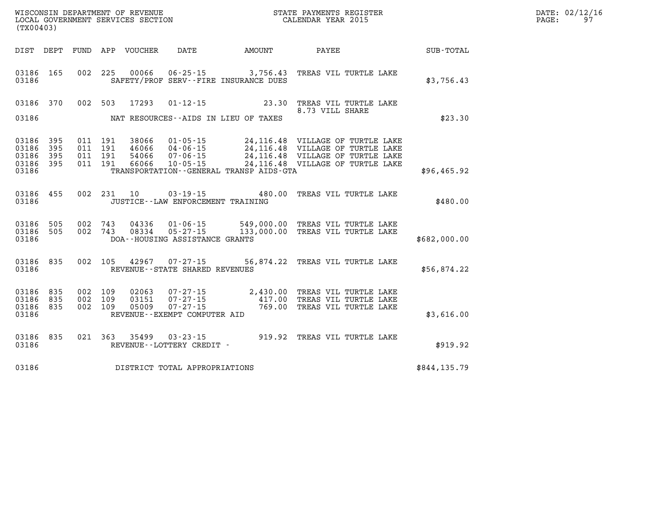| (TX00403)                                    |           |                               |         |               |                                     |                                                                          |                                                                                                                                                                                                                      |              | DATE: 02/12/16<br>PAGE:<br>97 |
|----------------------------------------------|-----------|-------------------------------|---------|---------------|-------------------------------------|--------------------------------------------------------------------------|----------------------------------------------------------------------------------------------------------------------------------------------------------------------------------------------------------------------|--------------|-------------------------------|
|                                              |           |                               |         |               |                                     | DIST DEPT FUND APP VOUCHER DATE AMOUNT PAYEE                             |                                                                                                                                                                                                                      | SUB-TOTAL    |                               |
| 03186                                        | 03186 165 |                               |         |               |                                     | 002 225 00066 06-25-15 3,756.43<br>SAFETY/PROF SERV--FIRE INSURANCE DUES | TREAS VIL TURTLE LAKE                                                                                                                                                                                                | \$3,756.43   |                               |
|                                              | 03186 370 |                               |         | 002 503 17293 |                                     |                                                                          | 01-12-15 23.30 TREAS VIL TURTLE LAKE<br>8.73 VILL SHARE                                                                                                                                                              |              |                               |
| 03186                                        |           |                               |         |               |                                     | NAT RESOURCES--AIDS IN LIEU OF TAXES                                     |                                                                                                                                                                                                                      | \$23.30      |                               |
| 03186 395<br>03186<br>03186 395<br>03186 395 | 395       | 011 191<br>011 191<br>011 191 | 011 191 |               |                                     |                                                                          | 38066  01-05-15  24,116.48  VILLAGE OF TURTLE LAKE<br>46066  04-06-15  24,116.48  VILLAGE OF TURTLE LAKE<br>54066  07-06-15  24,116.48  VILLAGE OF TURTLE LAKE<br>66066  10-05-15  24,116.48  VILLAGE OF TURTLE LAKE |              |                               |
| 03186                                        |           |                               |         |               |                                     | TRANSPORTATION - - GENERAL TRANSP AIDS - GTA                             |                                                                                                                                                                                                                      | \$96,465.92  |                               |
| 03186                                        |           |                               |         |               | JUSTICE -- LAW ENFORCEMENT TRAINING |                                                                          | 03186 455 002 231 10 03-19-15 480.00 TREAS VIL TURTLE LAKE                                                                                                                                                           | \$480.00     |                               |
| 03186                                        |           |                               |         |               | DOA--HOUSING ASSISTANCE GRANTS      |                                                                          | 03186 505 002 743 04336 01-06-15 549,000.00 TREAS VIL TURTLE LAKE<br>03186 505 002 743 08334 05-27-15 133,000.00 TREAS VIL TURTLE LAKE                                                                               | \$682,000.00 |                               |
| 03186 835<br>03186                           |           |                               |         |               | REVENUE--STATE SHARED REVENUES      |                                                                          | 002 105 42967 07-27-15 56,874.22 TREAS VIL TURTLE LAKE                                                                                                                                                               | \$56,874.22  |                               |
| 03186 835<br>03186 835<br>03186 835<br>03186 |           | 002 109<br>002 109<br>002 109 |         |               | REVENUE - - EXEMPT COMPUTER AID     |                                                                          | 02063  07-27-15  2,430.00 TREAS VIL TURTLE LAKE<br>03151  07-27-15  417.00 TREAS VIL TURTLE LAKE<br>05009  07-27-15  769.00 TREAS VIL TURTLE LAKE                                                                    | \$3,616.00   |                               |
|                                              |           |                               |         |               |                                     |                                                                          | 03186 835 021 363 35499 03-23-15 919.92 TREAS VIL TURTLE LAKE 03186 REVENUE--LOTTERY CREDIT -                                                                                                                        | \$919.92     |                               |
| 03186                                        |           |                               |         |               | DISTRICT TOTAL APPROPRIATIONS       |                                                                          |                                                                                                                                                                                                                      | \$844,135.79 |                               |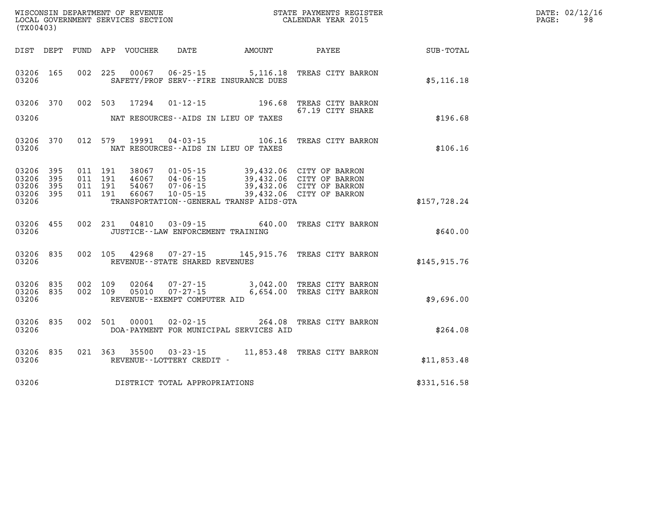| (TX00403)                                     |                     |         |                                          | WISCONSIN DEPARTMENT OF REVENUE<br>LOCAL GOVERNMENT SERVICES SECTION |                                     | STATE PAYMENTS REGISTER<br>CALENDAR YEAR 2015                                                                                                                                                                                     |                                                                                             | DATE: 02/12/16<br>98<br>$\mathtt{PAGE}$ : |  |
|-----------------------------------------------|---------------------|---------|------------------------------------------|----------------------------------------------------------------------|-------------------------------------|-----------------------------------------------------------------------------------------------------------------------------------------------------------------------------------------------------------------------------------|---------------------------------------------------------------------------------------------|-------------------------------------------|--|
|                                               |                     |         |                                          |                                                                      |                                     | DIST DEPT FUND APP VOUCHER DATE AMOUNT PAYEE                                                                                                                                                                                      |                                                                                             | SUB-TOTAL                                 |  |
| 03206                                         | 03206 165           |         |                                          |                                                                      |                                     | SAFETY/PROF SERV--FIRE INSURANCE DUES                                                                                                                                                                                             | 002 225 00067 06-25-15 5,116.18 TREAS CITY BARRON                                           | \$5,116.18                                |  |
| 03206                                         |                     |         |                                          | 03206 370 002 503 17294                                              |                                     | NAT RESOURCES--AIDS IN LIEU OF TAXES                                                                                                                                                                                              | 01-12-15 196.68 TREAS CITY BARRON<br>67.19 CITY SHARE                                       | \$196.68                                  |  |
| 03206                                         |                     |         |                                          |                                                                      |                                     | NAT RESOURCES--AIDS IN LIEU OF TAXES                                                                                                                                                                                              | 03206 370 012 579 19991 04-03-15 106.16 TREAS CITY BARRON                                   | \$106.16                                  |  |
| 03206 395<br>03206<br>03206<br>03206<br>03206 | 395<br>395<br>- 395 |         | 011 191<br>011 191<br>011 191<br>011 191 |                                                                      |                                     | 38067  01-05-15  39,432.06  CITY OF BARRON<br>46067 04-06-15 39,432.06 CITY OF BARRON<br>54067  07-06-15  39,432.06  CITY OF BARRON<br>66067  10-05-15  39,432.06  CITY OF BARRON<br>TRANSPORTATION - - GENERAL TRANSP AIDS - GTA |                                                                                             | \$157,728.24                              |  |
| 03206                                         | 03206 455           |         |                                          |                                                                      | JUSTICE -- LAW ENFORCEMENT TRAINING |                                                                                                                                                                                                                                   | 002 231 04810 03-09-15 640.00 TREAS CITY BARRON                                             | \$640.00                                  |  |
| 03206                                         | 03206 835           |         |                                          |                                                                      | REVENUE--STATE SHARED REVENUES      |                                                                                                                                                                                                                                   | 002 105 42968 07-27-15 145,915.76 TREAS CITY BARRON                                         | \$145,915.76                              |  |
| 03206<br>03206 835<br>03206                   | 835                 | 002 109 | 002 109                                  |                                                                      | REVENUE--EXEMPT COMPUTER AID        |                                                                                                                                                                                                                                   | 02064  07-27-15  3,042.00  TREAS CITY BARRON<br>05010  07-27-15  6,654.00 TREAS CITY BARRON | \$9,696.00                                |  |
| 03206                                         | 03206 835           |         |                                          | 002 501 00001                                                        |                                     | DOA-PAYMENT FOR MUNICIPAL SERVICES AID                                                                                                                                                                                            | 02-02-15 264.08 TREAS CITY BARRON                                                           | \$264.08                                  |  |
| 03206                                         |                     |         |                                          |                                                                      | REVENUE--LOTTERY CREDIT -           |                                                                                                                                                                                                                                   | 03206 835 021 363 35500 03-23-15 11,853.48 TREAS CITY BARRON                                | \$11,853.48                               |  |
| 03206                                         |                     |         |                                          |                                                                      | DISTRICT TOTAL APPROPRIATIONS       |                                                                                                                                                                                                                                   |                                                                                             | \$331,516.58                              |  |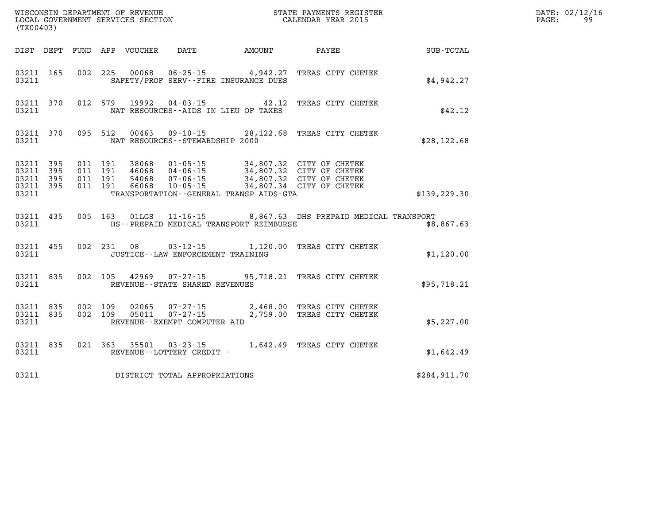| (TX00403)                                    |           |                                          |                                 |                                                 |                                         |                                                                                                                                                                             | $\mathbb{E} \mathbf{R}$ | DATE: 02/12/16<br>99<br>$\mathtt{PAGE:}$ |
|----------------------------------------------|-----------|------------------------------------------|---------------------------------|-------------------------------------------------|-----------------------------------------|-----------------------------------------------------------------------------------------------------------------------------------------------------------------------------|-------------------------|------------------------------------------|
|                                              |           |                                          | DIST DEPT FUND APP VOUCHER DATE |                                                 | <b>EXAMPLE THE AMOUNT</b>               | PAYEE                                                                                                                                                                       | SUB-TOTAL               |                                          |
| 03211                                        | 03211 165 |                                          |                                 | SAFETY/PROF SERV--FIRE INSURANCE DUES           |                                         | 002 225 00068 06-25-15 4,942.27 TREAS CITY CHETEK                                                                                                                           | \$4,942.27              |                                          |
| 03211                                        | 03211 370 |                                          |                                 | NAT RESOURCES--AIDS IN LIEU OF TAXES            |                                         | 012 579 19992 04-03-15 42.12 TREAS CITY CHETEK                                                                                                                              | \$42.12                 |                                          |
| 03211                                        |           |                                          |                                 | NAT RESOURCES - - STEWARDSHIP 2000              |                                         | 03211 370 095 512 00463 09-10-15 28,122.68 TREAS CITY CHETEK                                                                                                                | \$28, 122.68            |                                          |
| 03211 395<br>03211 395<br>03211 395<br>03211 | 03211 395 | 011 191<br>011 191<br>011 191<br>011 191 |                                 |                                                 | TRANSPORTATION--GENERAL TRANSP AIDS-GTA | 38068  01-05-15  34,807.32  CITY OF CHETEK<br>46068 04-06-15 34,807.32 CITY OF CHETEK<br>54068 07-06-15 34,807.32 CITY OF CHETEK<br>66068 10-05-15 34,807.34 CITY OF CHETEK | \$139, 229.30           |                                          |
| 03211                                        | 03211 435 |                                          |                                 |                                                 | HS--PREPAID MEDICAL TRANSPORT REIMBURSE | 005 163 01LGS 11-16-15 8,867.63 DHS PREPAID MEDICAL TRANSPORT                                                                                                               | \$8,867.63              |                                          |
| 03211                                        | 03211 455 |                                          |                                 | JUSTICE - - LAW ENFORCEMENT TRAINING            |                                         | 002 231 08 03-12-15 1,120.00 TREAS CITY CHETEK                                                                                                                              | \$1,120.00              |                                          |
| 03211                                        | 03211 835 |                                          |                                 | REVENUE--STATE SHARED REVENUES                  |                                         | 002 105 42969 07-27-15 95,718.21 TREAS CITY CHETEK                                                                                                                          | \$95,718.21             |                                          |
| 03211 835<br>03211 835<br>03211              |           | 002 109<br>002 109                       | 02065                           | 05011  07-27-15<br>REVENUE--EXEMPT COMPUTER AID |                                         | 07-27-15 2,468.00 TREAS CITY CHETEK<br>2,759.00 TREAS CITY CHETEK                                                                                                           | \$5,227.00              |                                          |
| 03211                                        | 03211 835 |                                          |                                 | REVENUE--LOTTERY CREDIT -                       |                                         | 021 363 35501 03-23-15 1,642.49 TREAS CITY CHETEK                                                                                                                           | \$1,642.49              |                                          |
| 03211                                        |           |                                          |                                 | DISTRICT TOTAL APPROPRIATIONS                   |                                         |                                                                                                                                                                             | \$284,911.70            |                                          |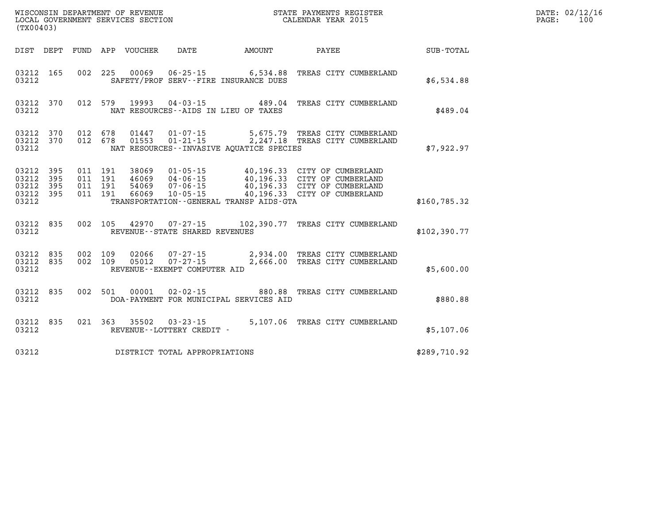| (TX00403)                                         |                        |                                          |         |                            |                                                     |                                          | DATE: 02/12/16<br>PAGE:<br>100                                                                                                                                                              |              |  |
|---------------------------------------------------|------------------------|------------------------------------------|---------|----------------------------|-----------------------------------------------------|------------------------------------------|---------------------------------------------------------------------------------------------------------------------------------------------------------------------------------------------|--------------|--|
|                                                   |                        |                                          |         | DIST DEPT FUND APP VOUCHER | DATE                                                | <b>AMOUNT</b>                            | PAYEE                                                                                                                                                                                       | SUB-TOTAL    |  |
| 03212 165<br>03212                                |                        |                                          |         | 002 225 00069              |                                                     | SAFETY/PROF SERV--FIRE INSURANCE DUES    | 06-25-15 6,534.88 TREAS CITY CUMBERLAND                                                                                                                                                     | \$6,534.88   |  |
| 03212                                             | 03212 370              |                                          |         |                            | NAT RESOURCES--AIDS IN LIEU OF TAXES                |                                          | 012 579 19993 04-03-15 489.04 TREAS CITY CUMBERLAND                                                                                                                                         | \$489.04     |  |
| 03212                                             | 03212 370<br>03212 370 | 012 678<br>012 678                       |         |                            | 01447   01-07-15                                    | NAT RESOURCES--INVASIVE AQUATICE SPECIES | 5,675.79 TREAS CITY CUMBERLAND<br>01553  01-21-15  2,247.18  TREAS CITY CUMBERLAND                                                                                                          | \$7,922.97   |  |
| 03212 395<br>03212<br>03212<br>03212 395<br>03212 | 395<br>395             | 011 191<br>011 191<br>011 191<br>011 191 |         | 66069                      |                                                     | TRANSPORTATION--GENERAL TRANSP AIDS-GTA  | 38069  01-05-15  40,196.33  CITY OF CUMBERLAND<br>46069 04-06-15 40,196.33 CITY OF CUMBERLAND<br>54069 07-06-15 40,196.33 CITY OF CUMBERLAND<br>66069 10-05-15 40,196.33 CITY OF CUMBERLAND | \$160,785.32 |  |
| 03212                                             | 03212 835              |                                          |         |                            | REVENUE--STATE SHARED REVENUES                      |                                          | 002 105 42970 07-27-15 102,390.77 TREAS CITY CUMBERLAND                                                                                                                                     | \$102,390.77 |  |
| 03212 835<br>03212                                | 03212 835              | 002 109                                  | 002 109 |                            | 05012  07-27-15<br>REVENUE--EXEMPT COMPUTER AID     |                                          | 02066  07-27-15  2,934.00  TREAS CITY CUMBERLAND<br>2,666.00 TREAS CITY CUMBERLAND                                                                                                          | \$5,600.00   |  |
| 03212 835<br>03212                                |                        |                                          |         | 002 501 00001              | 02-02-15                                            | DOA-PAYMENT FOR MUNICIPAL SERVICES AID   | 880.88 TREAS CITY CUMBERLAND                                                                                                                                                                | \$880.88     |  |
| 03212                                             | 03212 835              |                                          |         |                            | 021 363 35502 03-23-15<br>REVENUE--LOTTERY CREDIT - |                                          | 5,107.06 TREAS CITY CUMBERLAND                                                                                                                                                              | \$5,107.06   |  |
| 03212                                             |                        |                                          |         |                            | DISTRICT TOTAL APPROPRIATIONS                       |                                          |                                                                                                                                                                                             | \$289,710.92 |  |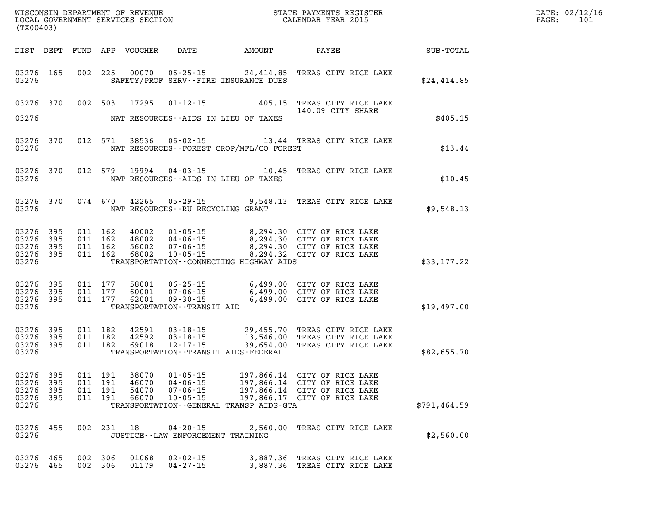| DATE: | 02/12/16 |
|-------|----------|
| PAGE: | 101      |

| (TX00403)                       |           | LOCAL GOVERNMENT SERVICES SECTION CALENDAR YEAR 2015 |                |                                  |                                           |                                                                                                                                                                                  |               | PAGE: | 101 |
|---------------------------------|-----------|------------------------------------------------------|----------------|----------------------------------|-------------------------------------------|----------------------------------------------------------------------------------------------------------------------------------------------------------------------------------|---------------|-------|-----|
|                                 |           |                                                      |                |                                  |                                           | DIST DEPT FUND APP VOUCHER DATE AMOUNT PAYEE TO SUB-TOTAL                                                                                                                        |               |       |     |
| 03276                           | 03276 165 |                                                      |                |                                  | SAFETY/PROF SERV--FIRE INSURANCE DUES     | 002 225 00070 06-25-15 24,414.85 TREAS CITY RICE LAKE                                                                                                                            | \$24,414.85   |       |     |
|                                 | 03276 370 |                                                      |                |                                  |                                           | 002 503 17295 01-12-15 405.15 TREAS CITY RICE LAKE<br>140.09 CITY SHARE<br>140.09 CITY SHARE                                                                                     |               |       |     |
| 03276                           |           |                                                      |                |                                  | NAT RESOURCES--AIDS IN LIEU OF TAXES      |                                                                                                                                                                                  | \$405.15      |       |     |
| 03276                           | 03276 370 | 012 571                                              |                |                                  | NAT RESOURCES--FOREST CROP/MFL/CO FOREST  | 38536 06-02-15 13.44 TREAS CITY RICE LAKE                                                                                                                                        | \$13.44       |       |     |
| 03276                           | 03276 370 | 012 579                                              |                |                                  | NAT RESOURCES--AIDS IN LIEU OF TAXES      | 19994  04-03-15    10.45    TREAS CITY RICE LAKE                                                                                                                                 | \$10.45       |       |     |
| 03276                           | 03276 370 |                                                      |                |                                  | NAT RESOURCES--RU RECYCLING GRANT         | 074 670 42265 05-29-15 9,548.13 TREAS CITY RICE LAKE                                                                                                                             | \$9,548.13    |       |     |
| 03276 395<br>03276              | 395       | 011 162<br>011 162                                   |                |                                  |                                           | 40002 01-05-15 8,294.30 CITY OF RICE LAKE<br>48002 04-06-15 8,294.30 CITY OF RICE LAKE<br>56002 07-06-15 8,294.30 CITY OF RICE LAKE<br>68002 10-05-15 8,294.32 CITY OF RICE LAKE |               |       |     |
| 03276 395<br>03276 395<br>03276 |           | 011 162<br>011 162                                   |                |                                  | TRANSPORTATION -- CONNECTING HIGHWAY AIDS |                                                                                                                                                                                  | \$33,177.22   |       |     |
| 03276 395<br>03276 395          |           | 011 177<br>011 177                                   | 58001<br>60001 |                                  |                                           |                                                                                                                                                                                  |               |       |     |
| 03276 395<br>03276              |           | 011 177                                              | 62001          | TRANSPORTATION--TRANSIT AID      |                                           |                                                                                                                                                                                  | \$19,497.00   |       |     |
| 03276 395<br>03276 395          |           | 011 182<br>011 182                                   | 42591<br>42592 |                                  |                                           | 03-18-15 29,455.70 TREAS CITY RICE LAKE<br>03-18-15 13,546.00 TREAS CITY RICE LAKE<br>12-17-15 39,654.00 TREAS CITY RICE LAKE                                                    |               |       |     |
| 03276 395<br>03276              |           | 011 182                                              | 69018          |                                  | TRANSPORTATION - - TRANSIT AIDS - FEDERAL |                                                                                                                                                                                  | \$82,655.70   |       |     |
| 03276 395<br>03276              | 395       | 011 191<br>011 191                                   | 38070<br>46070 |                                  |                                           | 01-05-15 197,866.14 CITY OF RICE LAKE<br>04-06-15 197,866.14 CITY OF RICE LAKE                                                                                                   |               |       |     |
| 03276<br>03276 395<br>03276     | 395       | 011 191<br>011 191                                   | 54070          | $07 - 06 - 15$                   | TRANSPORTATION--GENERAL TRANSP AIDS-GTA   | 197,866.14 CITY OF RICE LAKE<br>66070 10-05-15 197,866.17 CITY OF RICE LAKE                                                                                                      | \$791, 464.59 |       |     |
| 03276 455                       |           |                                                      | 002 231 18     |                                  |                                           | 04-20-15 2,560.00 TREAS CITY RICE LAKE                                                                                                                                           |               |       |     |
| 03276                           |           |                                                      |                |                                  | JUSTICE - - LAW ENFORCEMENT TRAINING      |                                                                                                                                                                                  | \$2,560.00    |       |     |
| 03276 465<br>03276 465          |           | 002 306<br>002 306                                   | 01068<br>01179 | $02 - 02 - 15$<br>$04 - 27 - 15$ |                                           | 3,887.36 TREAS CITY RICE LAKE<br>3,887.36 TREAS CITY RICE LAKE                                                                                                                   |               |       |     |

WISCONSIN DEPARTMENT OF REVENUE **STATE PAYMENTS REGISTER**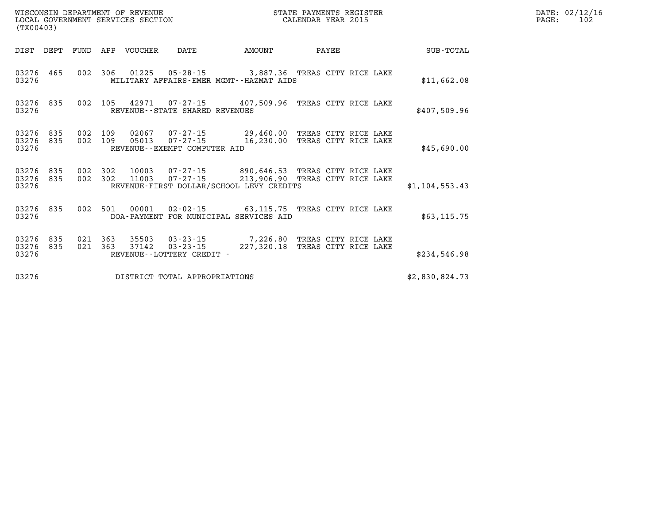| WISCONSIN DEPARTMENT OF REVENUE<br>LOCAL GOVERNMENT SERVICES SECTION<br>(TX00403) |                                                                                                 | STATE PAYMENTS REGISTER<br>CALENDAR YEAR 2015 | DATE: 02/12/1<br>PAGE:<br>102                                                        |                |  |
|-----------------------------------------------------------------------------------|-------------------------------------------------------------------------------------------------|-----------------------------------------------|--------------------------------------------------------------------------------------|----------------|--|
| DIST DEPT                                                                         | FUND APP VOUCHER<br>DATE                                                                        | AMOUNT                                        | PAYEE                                                                                | SUB-TOTAL      |  |
| 03276 465<br>03276                                                                | 002 306 01225 05-28-15 3,887.36 TREAS CITY RICE LAKE<br>MILITARY AFFAIRS-EMER MGMT--HAZMAT AIDS |                                               |                                                                                      | \$11,662.08    |  |
| 03276 835<br>002<br>03276                                                         | 105  42971  07-27-15  407,509.96  TREAS CITY RICE LAKE<br>REVENUE - - STATE SHARED REVENUES     |                                               |                                                                                      | \$407,509.96   |  |
| 03276 835<br>03276 835<br>002<br>03276                                            | 002 109 02067<br>109<br>05013<br>REVENUE--EXEMPT COMPUTER AID                                   |                                               | 07-27-15 29,460.00 TREAS CITY RICE LAKE<br>07-27-15 16,230.00 TREAS CITY RICE LAKE   | \$45,690.00    |  |
| 03276 835<br>002 302<br>03276 835<br>03276                                        | 002 302 10003<br>11003<br>REVENUE-FIRST DOLLAR/SCHOOL LEVY CREDITS                              |                                               | 07-27-15 890,646.53 TREAS CITY RICE LAKE<br>07-27-15 213,906.90 TREAS CITY RICE LAKE | \$1,104,553.43 |  |
| 03276 835<br>002<br>03276                                                         | 501<br>00001<br>DOA-PAYMENT FOR MUNICIPAL SERVICES AID                                          |                                               | 02-02-15 63,115.75 TREAS CITY RICE LAKE                                              | \$63,115.75    |  |
| 021 363<br>03276 835<br>03276 835<br>021<br>03276                                 | 35503<br>363<br>37142<br>$03 - 23 - 15$<br>REVENUE--LOTTERY CREDIT -                            |                                               | 03-23-15 7,226.80 TREAS CITY RICE LAKE<br>227,320.18 TREAS CITY RICE LAKE            | \$234,546.98   |  |
| 03276                                                                             | DISTRICT TOTAL APPROPRIATIONS                                                                   |                                               |                                                                                      | \$2,830,824.73 |  |

**DATE: 02/12/16<br>PAGE: 102**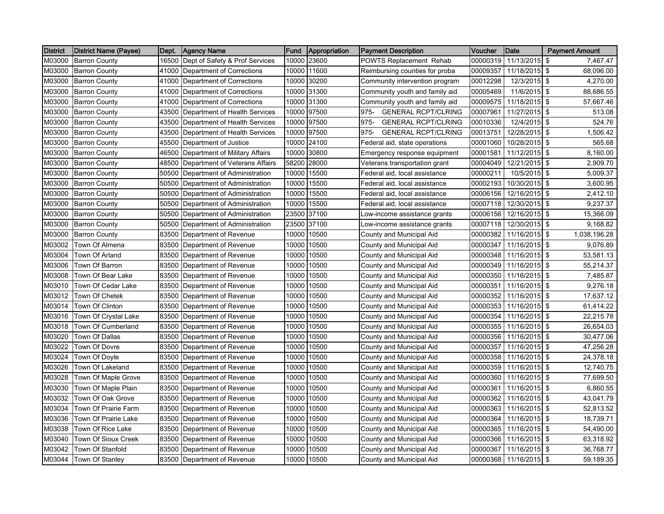| <b>District</b> | District Name (Payee) | Dept. | <b>Agency Name</b>             | <b>Fund</b> | Appropriation | <b>Payment Description</b>         | Voucher  | Date                   | <b>Payment Amount</b> |
|-----------------|-----------------------|-------|--------------------------------|-------------|---------------|------------------------------------|----------|------------------------|-----------------------|
| M03000          | <b>Barron County</b>  | 16500 | Dept of Safety & Prof Services | 10000       | 23600         | POWTS Replacement Rehab            | 00000319 | 11/13/2015 \$          | 7.467.47              |
| M03000          | <b>Barron County</b>  | 41000 | Department of Corrections      | 10000       | 11600         | Reimbursing counties for proba     | 00009357 | 11/18/2015 \$          | 68,096.00             |
| M03000          | <b>Barron County</b>  | 41000 | Department of Corrections      | 10000       | 30200         | Community intervention program     | 00012298 | 12/3/2015 \$           | 4,270.00              |
| M03000          | <b>Barron County</b>  | 41000 | Department of Corrections      | 10000       | 31300         | Community youth and family aid     | 00005469 | 11/6/2015 \$           | 88,686.55             |
| M03000          | <b>Barron County</b>  | 41000 | Department of Corrections      | 10000       | 31300         | Community youth and family aid     | 00009575 | 11/18/2015 \$          | 57,667.46             |
| M03000          | <b>Barron County</b>  | 43500 | Department of Health Services  | 10000       | 97500         | 975-<br><b>GENERAL RCPT/CLRING</b> | 00007961 | 11/27/2015 \$          | 513.08                |
| M03000          | <b>Barron County</b>  | 43500 | Department of Health Services  | 10000       | 97500         | 975-<br><b>GENERAL RCPT/CLRING</b> | 00010336 | 12/4/2015 \$           | 524.76                |
| M03000          | <b>Barron County</b>  | 43500 | Department of Health Services  | 10000       | 97500         | 975-<br><b>GENERAL RCPT/CLRING</b> | 00013751 | 12/28/2015 \$          | 1,506.42              |
| M03000          | <b>Barron County</b>  | 45500 | Department of Justice          | 10000       | 24100         | Federal aid, state operations      | 00001060 | 10/28/2015 \$          | 565.68                |
| M03000          | <b>Barron County</b>  | 46500 | Department of Military Affairs | 10000       | 30800         | Emergency response equipment       | 00001581 | 11/12/2015 \$          | 8,160.00              |
| M03000          | <b>Barron County</b>  | 48500 | Department of Veterans Affairs | 58200       | 28000         | Veterans transportation grant      | 00004049 | 12/21/2015 \$          | 2,909.70              |
| M03000          | <b>Barron County</b>  | 50500 | Department of Administration   | 10000       | 15500         | Federal aid, local assistance      | 00000211 | 10/5/2015 \$           | 5,009.37              |
| M03000          | <b>Barron County</b>  | 50500 | Department of Administration   | 10000       | 15500         | Federal aid, local assistance      | 00002193 | 10/30/2015 \$          | 3,600.95              |
| M03000          | <b>Barron County</b>  | 50500 | Department of Administration   | 10000       | 15500         | Federal aid, local assistance      | 00006156 | 12/16/2015 \$          | 2,412.10              |
| M03000          | <b>Barron County</b>  | 50500 | Department of Administration   | 10000       | 15500         | Federal aid, local assistance      | 00007118 | 12/30/2015 \$          | 9,237.37              |
| M03000          | <b>Barron County</b>  | 50500 | Department of Administration   | 23500       | 37100         | Low-income assistance grants       | 00006156 | 12/16/2015 \$          | 15,366.09             |
| M03000          | <b>Barron County</b>  | 50500 | Department of Administration   | 23500       | 37100         | Low-income assistance grants       | 00007118 | 12/30/2015 \$          | 9,168.82              |
| M03000          | <b>Barron County</b>  | 83500 | Department of Revenue          | 10000       | 10500         | County and Municipal Aid           | 00000382 | 11/16/2015 \$          | 1,038,196.28          |
| M03002          | Town Of Almena        | 83500 | Department of Revenue          | 10000       | 10500         | County and Municipal Aid           | 00000347 | 11/16/2015 \$          | 9,076.89              |
| M03004          | Town Of Arland        | 83500 | Department of Revenue          | 10000       | 10500         | County and Municipal Aid           | 00000348 | 11/16/2015 \$          | 53,581.13             |
| M03006          | Town Of Barron        | 83500 | Department of Revenue          | 10000       | 10500         | County and Municipal Aid           | 00000349 | 11/16/2015 \$          | 55,214.37             |
| M03008          | Town Of Bear Lake     | 83500 | Department of Revenue          | 10000       | 10500         | County and Municipal Aid           | 00000350 | 11/16/2015 \$          | 7,485.87              |
| M03010          | Town Of Cedar Lake    |       | 83500 Department of Revenue    | 10000       | 10500         | County and Municipal Aid           | 00000351 | 11/16/2015 \$          | 9,276.18              |
| M03012          | Town Of Chetek        | 83500 | Department of Revenue          | 10000       | 10500         | County and Municipal Aid           | 00000352 | 11/16/2015 \$          | 17,637.12             |
| M03014          | Town Of Clinton       | 83500 | Department of Revenue          | 10000       | 10500         | County and Municipal Aid           | 00000353 | 11/16/2015 \$          | 61,414.22             |
| M03016          | Town Of Crystal Lake  | 83500 | Department of Revenue          | 10000       | 10500         | County and Municipal Aid           | 00000354 | 11/16/2015 \$          | 22,215.78             |
| M03018          | Town Of Cumberland    | 83500 | Department of Revenue          | 10000       | 10500         | County and Municipal Aid           | 00000355 | 11/16/2015 \$          | 26,654.03             |
| M03020          | Town Of Dallas        | 83500 | Department of Revenue          | 10000       | 10500         | County and Municipal Aid           | 00000356 | 11/16/2015 \$          | 30,477.06             |
| M03022          | Town Of Dovre         | 83500 | Department of Revenue          | 10000       | 10500         | County and Municipal Aid           | 00000357 | 11/16/2015 \$          | 47,256.28             |
| M03024          | Town Of Doyle         | 83500 | Department of Revenue          | 10000       | 10500         | County and Municipal Aid           | 00000358 | 11/16/2015 \$          | 24,378.18             |
| M03026          | Town Of Lakeland      | 83500 | Department of Revenue          | 10000       | 10500         | County and Municipal Aid           | 00000359 | 11/16/2015 \$          | 12,740.75             |
| M03028          | Town Of Maple Grove   | 83500 | Department of Revenue          | 10000       | 10500         | County and Municipal Aid           | 00000360 | 11/16/2015 \$          | 77,699.50             |
| M03030          | Town Of Maple Plain   | 83500 | Department of Revenue          | 10000       | 10500         | County and Municipal Aid           | 00000361 | 11/16/2015 \$          | 6,860.55              |
| M03032          | Town Of Oak Grove     | 83500 | Department of Revenue          | 10000       | 10500         | County and Municipal Aid           | 00000362 | 11/16/2015 \$          | 43,041.79             |
| M03034          | Town Of Prairie Farm  | 83500 | Department of Revenue          | 10000       | 10500         | County and Municipal Aid           | 00000363 | 11/16/2015 \$          | 52,813.52             |
| M03036          | Town Of Prairie Lake  | 83500 | Department of Revenue          | 10000       | 10500         | County and Municipal Aid           | 00000364 | 11/16/2015 \$          | 18,739.71             |
| M03038          | Town Of Rice Lake     | 83500 | Department of Revenue          | 10000       | 10500         | County and Municipal Aid           | 00000365 | 11/16/2015 \$          | 54,490.00             |
| M03040          | Town Of Sioux Creek   | 83500 | Department of Revenue          | 10000       | 10500         | County and Municipal Aid           | 00000366 | 11/16/2015 \$          | 63,318.92             |
| M03042          | Town Of Stanfold      | 83500 | Department of Revenue          | 10000       | 10500         | County and Municipal Aid           | 00000367 | 11/16/2015 \$          | 36,768.77             |
| M03044          | Town Of Stanley       |       | 83500 Department of Revenue    | 10000       | 10500         | County and Municipal Aid           |          | 00000368 11/16/2015 \$ | 59,189.35             |